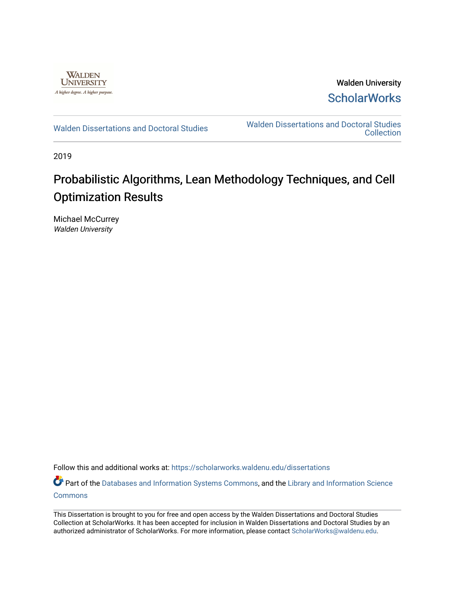

Walden University **ScholarWorks** 

[Walden Dissertations and Doctoral Studies](https://scholarworks.waldenu.edu/dissertations) Walden Dissertations and Doctoral Studies **Collection** 

2019

# Probabilistic Algorithms, Lean Methodology Techniques, and Cell Optimization Results

Michael McCurrey Walden University

Follow this and additional works at: [https://scholarworks.waldenu.edu/dissertations](https://scholarworks.waldenu.edu/dissertations?utm_source=scholarworks.waldenu.edu%2Fdissertations%2F7939&utm_medium=PDF&utm_campaign=PDFCoverPages)

Part of the [Databases and Information Systems Commons](http://network.bepress.com/hgg/discipline/145?utm_source=scholarworks.waldenu.edu%2Fdissertations%2F7939&utm_medium=PDF&utm_campaign=PDFCoverPages), and the Library and Information Science **[Commons](http://network.bepress.com/hgg/discipline/1018?utm_source=scholarworks.waldenu.edu%2Fdissertations%2F7939&utm_medium=PDF&utm_campaign=PDFCoverPages)** 

This Dissertation is brought to you for free and open access by the Walden Dissertations and Doctoral Studies Collection at ScholarWorks. It has been accepted for inclusion in Walden Dissertations and Doctoral Studies by an authorized administrator of ScholarWorks. For more information, please contact [ScholarWorks@waldenu.edu](mailto:ScholarWorks@waldenu.edu).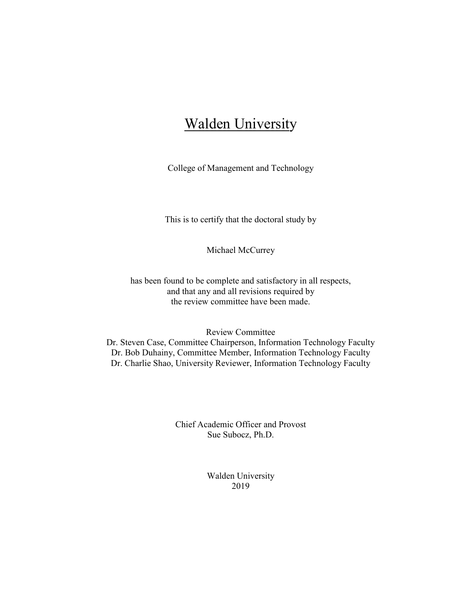# **Walden University**

College of Management and Technology

This is to certify that the doctoral study by

Michael McCurrey

has been found to be complete and satisfactory in all respects, and that any and all revisions required by the review committee have been made.

Review Committee Dr. Steven Case, Committee Chairperson, Information Technology Faculty Dr. Bob Duhainy, Committee Member, Information Technology Faculty Dr. Charlie Shao, University Reviewer, Information Technology Faculty

> Chief Academic Officer and Provost Sue Subocz, Ph.D.

> > Walden University 2019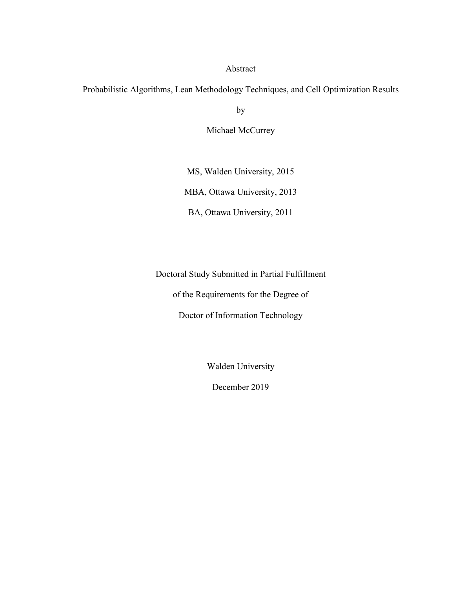#### Abstract

Probabilistic Algorithms, Lean Methodology Techniques, and Cell Optimization Results

by

Michael McCurrey

MS, Walden University, 2015 MBA, Ottawa University, 2013 BA, Ottawa University, 2011

Doctoral Study Submitted in Partial Fulfillment of the Requirements for the Degree of Doctor of Information Technology

Walden University

December 2019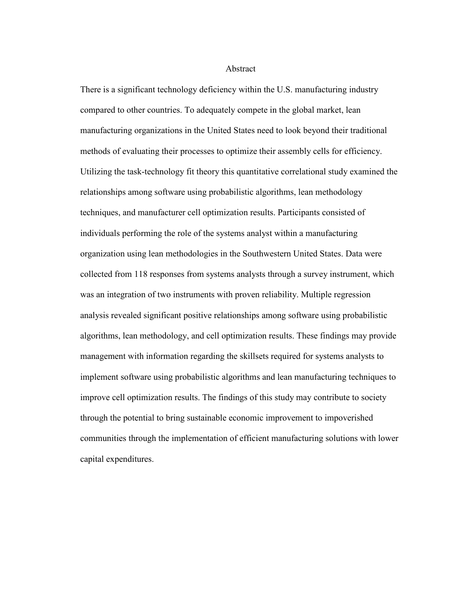Abstract

There is a significant technology deficiency within the U.S. manufacturing industry compared to other countries. To adequately compete in the global market, lean manufacturing organizations in the United States need to look beyond their traditional methods of evaluating their processes to optimize their assembly cells for efficiency. Utilizing the task-technology fit theory this quantitative correlational study examined the relationships among software using probabilistic algorithms, lean methodology techniques, and manufacturer cell optimization results. Participants consisted of individuals performing the role of the systems analyst within a manufacturing organization using lean methodologies in the Southwestern United States. Data were collected from 118 responses from systems analysts through a survey instrument, which was an integration of two instruments with proven reliability. Multiple regression analysis revealed significant positive relationships among software using probabilistic algorithms, lean methodology, and cell optimization results. These findings may provide management with information regarding the skillsets required for systems analysts to implement software using probabilistic algorithms and lean manufacturing techniques to improve cell optimization results. The findings of this study may contribute to society through the potential to bring sustainable economic improvement to impoverished communities through the implementation of efficient manufacturing solutions with lower capital expenditures.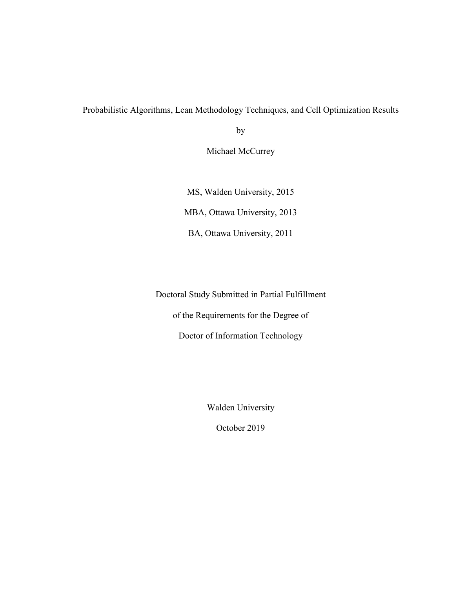Probabilistic Algorithms, Lean Methodology Techniques, and Cell Optimization Results

by

Michael McCurrey

MS, Walden University, 2015 MBA, Ottawa University, 2013 BA, Ottawa University, 2011

Doctoral Study Submitted in Partial Fulfillment of the Requirements for the Degree of Doctor of Information Technology

Walden University

October 2019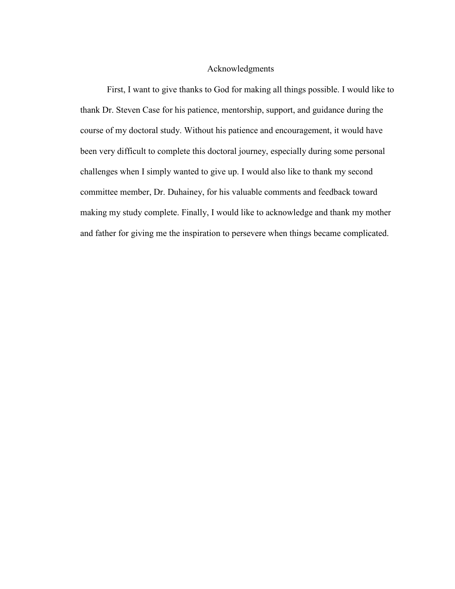#### Acknowledgments

First, I want to give thanks to God for making all things possible. I would like to thank Dr. Steven Case for his patience, mentorship, support, and guidance during the course of my doctoral study. Without his patience and encouragement, it would have been very difficult to complete this doctoral journey, especially during some personal challenges when I simply wanted to give up. I would also like to thank my second committee member, Dr. Duhainey, for his valuable comments and feedback toward making my study complete. Finally, I would like to acknowledge and thank my mother and father for giving me the inspiration to persevere when things became complicated.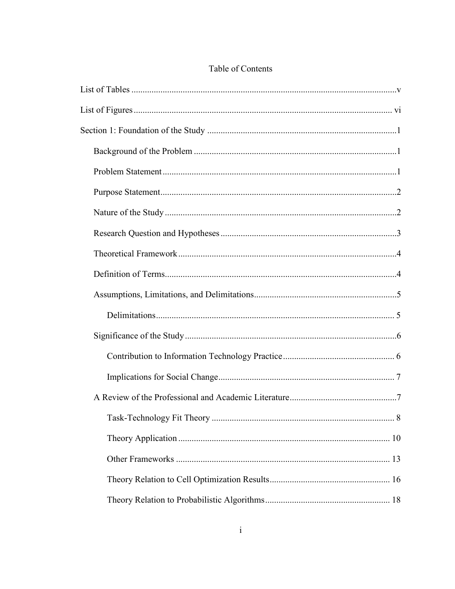### Table of Contents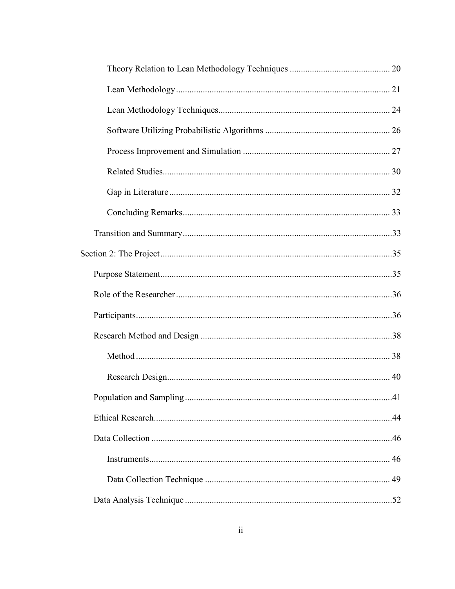| 41 |
|----|
|    |
|    |
|    |
|    |
|    |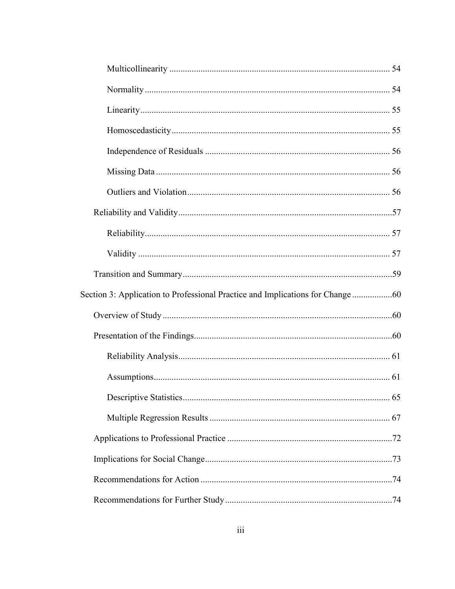| Section 3: Application to Professional Practice and Implications for Change |  |
|-----------------------------------------------------------------------------|--|
|                                                                             |  |
|                                                                             |  |
|                                                                             |  |
|                                                                             |  |
|                                                                             |  |
|                                                                             |  |
|                                                                             |  |
|                                                                             |  |
|                                                                             |  |
|                                                                             |  |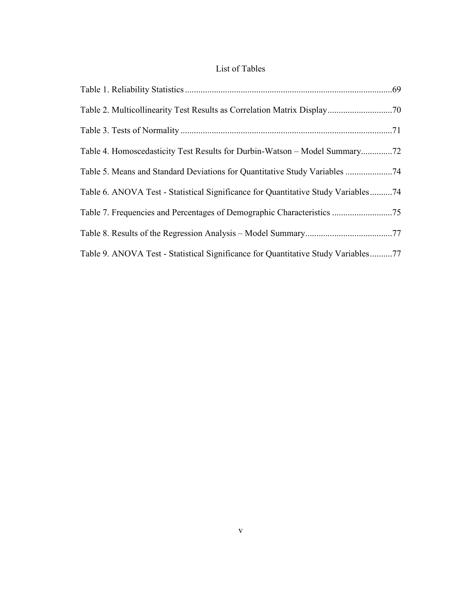### List of Tables

| Table 6. ANOVA Test - Statistical Significance for Quantitative Study Variables74 |  |
|-----------------------------------------------------------------------------------|--|
| Table 7. Frequencies and Percentages of Demographic Characteristics 75            |  |
|                                                                                   |  |
| Table 9. ANOVA Test - Statistical Significance for Quantitative Study Variables77 |  |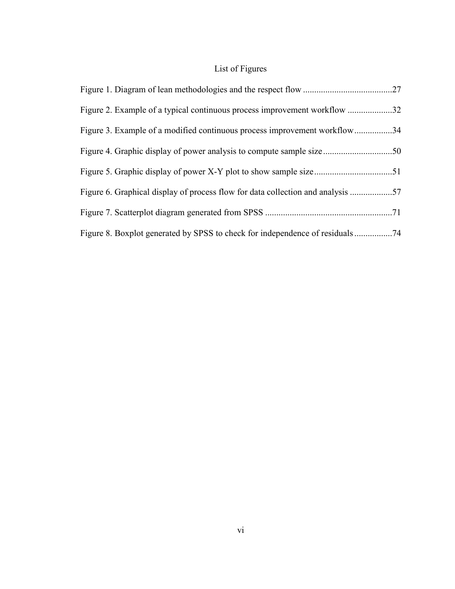## List of Figures

| Figure 2. Example of a typical continuous process improvement workflow 32    |  |
|------------------------------------------------------------------------------|--|
| Figure 3. Example of a modified continuous process improvement workflow34    |  |
|                                                                              |  |
|                                                                              |  |
| Figure 6. Graphical display of process flow for data collection and analysis |  |
|                                                                              |  |
|                                                                              |  |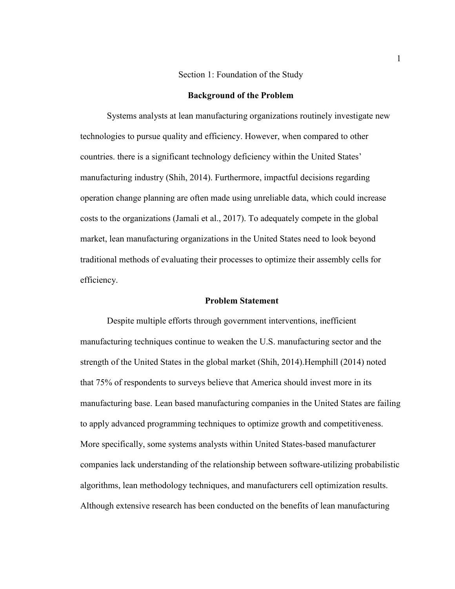#### Section 1: Foundation of the Study

#### **Background of the Problem**

Systems analysts at lean manufacturing organizations routinely investigate new technologies to pursue quality and efficiency. However, when compared to other countries. there is a significant technology deficiency within the United States' manufacturing industry (Shih, 2014). Furthermore, impactful decisions regarding operation change planning are often made using unreliable data, which could increase costs to the organizations (Jamali et al., 2017). To adequately compete in the global market, lean manufacturing organizations in the United States need to look beyond traditional methods of evaluating their processes to optimize their assembly cells for efficiency.

#### **Problem Statement**

Despite multiple efforts through government interventions, inefficient manufacturing techniques continue to weaken the U.S. manufacturing sector and the strength of the United States in the global market (Shih, 2014).Hemphill (2014) noted that 75% of respondents to surveys believe that America should invest more in its manufacturing base. Lean based manufacturing companies in the United States are failing to apply advanced programming techniques to optimize growth and competitiveness. More specifically, some systems analysts within United States-based manufacturer companies lack understanding of the relationship between software-utilizing probabilistic algorithms, lean methodology techniques, and manufacturers cell optimization results. Although extensive research has been conducted on the benefits of lean manufacturing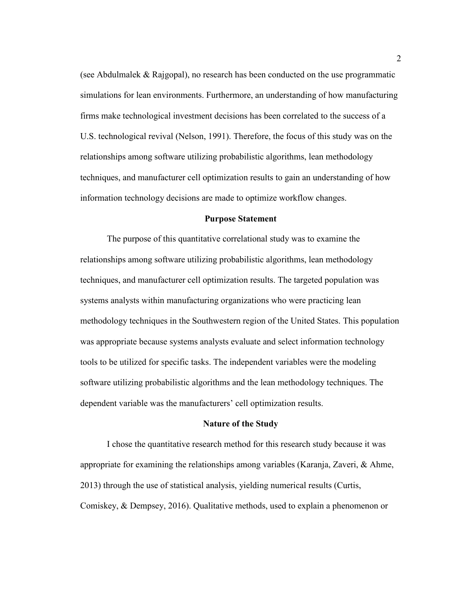(see Abdulmalek & Rajgopal), no research has been conducted on the use programmatic simulations for lean environments. Furthermore, an understanding of how manufacturing firms make technological investment decisions has been correlated to the success of a U.S. technological revival (Nelson, 1991). Therefore, the focus of this study was on the relationships among software utilizing probabilistic algorithms, lean methodology techniques, and manufacturer cell optimization results to gain an understanding of how information technology decisions are made to optimize workflow changes.

#### **Purpose Statement**

The purpose of this quantitative correlational study was to examine the relationships among software utilizing probabilistic algorithms, lean methodology techniques, and manufacturer cell optimization results. The targeted population was systems analysts within manufacturing organizations who were practicing lean methodology techniques in the Southwestern region of the United States. This population was appropriate because systems analysts evaluate and select information technology tools to be utilized for specific tasks. The independent variables were the modeling software utilizing probabilistic algorithms and the lean methodology techniques. The dependent variable was the manufacturers' cell optimization results.

#### **Nature of the Study**

I chose the quantitative research method for this research study because it was appropriate for examining the relationships among variables (Karanja, Zaveri, & Ahme, 2013) through the use of statistical analysis, yielding numerical results (Curtis, Comiskey, & Dempsey, 2016). Qualitative methods, used to explain a phenomenon or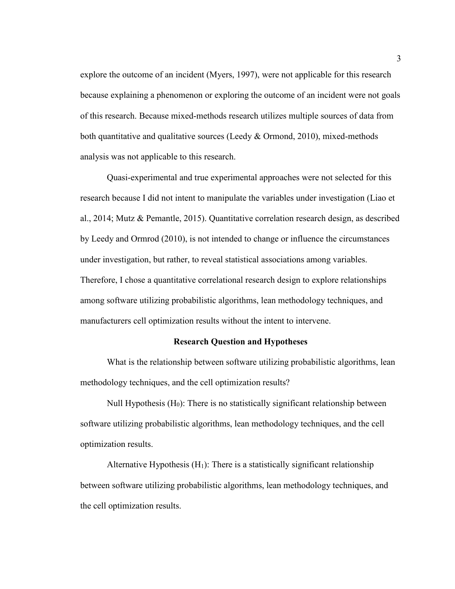explore the outcome of an incident (Myers, 1997), were not applicable for this research because explaining a phenomenon or exploring the outcome of an incident were not goals of this research. Because mixed-methods research utilizes multiple sources of data from both quantitative and qualitative sources (Leedy & Ormond, 2010), mixed-methods analysis was not applicable to this research.

Quasi-experimental and true experimental approaches were not selected for this research because I did not intent to manipulate the variables under investigation (Liao et al., 2014; Mutz & Pemantle, 2015). Quantitative correlation research design, as described by Leedy and Ormrod (2010), is not intended to change or influence the circumstances under investigation, but rather, to reveal statistical associations among variables. Therefore, I chose a quantitative correlational research design to explore relationships among software utilizing probabilistic algorithms, lean methodology techniques, and manufacturers cell optimization results without the intent to intervene.

#### **Research Question and Hypotheses**

What is the relationship between software utilizing probabilistic algorithms, lean methodology techniques, and the cell optimization results?

Null Hypothesis  $(H_0)$ : There is no statistically significant relationship between software utilizing probabilistic algorithms, lean methodology techniques, and the cell optimization results.

Alternative Hypothesis  $(H_1)$ : There is a statistically significant relationship between software utilizing probabilistic algorithms, lean methodology techniques, and the cell optimization results.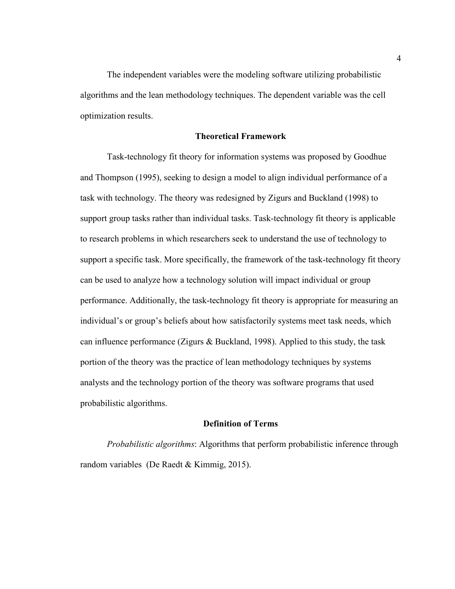The independent variables were the modeling software utilizing probabilistic algorithms and the lean methodology techniques. The dependent variable was the cell optimization results.

#### **Theoretical Framework**

Task-technology fit theory for information systems was proposed by Goodhue and Thompson (1995), seeking to design a model to align individual performance of a task with technology. The theory was redesigned by Zigurs and Buckland (1998) to support group tasks rather than individual tasks. Task-technology fit theory is applicable to research problems in which researchers seek to understand the use of technology to support a specific task. More specifically, the framework of the task-technology fit theory can be used to analyze how a technology solution will impact individual or group performance. Additionally, the task-technology fit theory is appropriate for measuring an individual's or group's beliefs about how satisfactorily systems meet task needs, which can influence performance (Zigurs & Buckland, 1998). Applied to this study, the task portion of the theory was the practice of lean methodology techniques by systems analysts and the technology portion of the theory was software programs that used probabilistic algorithms.

#### **Definition of Terms**

*Probabilistic algorithms*: Algorithms that perform probabilistic inference through random variables (De Raedt & Kimmig, 2015).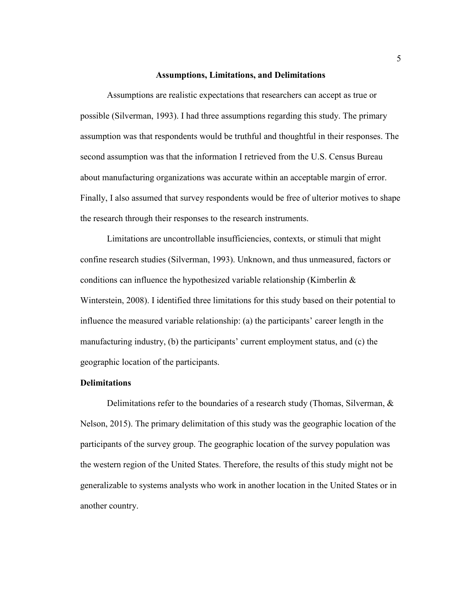#### **Assumptions, Limitations, and Delimitations**

Assumptions are realistic expectations that researchers can accept as true or possible (Silverman, 1993). I had three assumptions regarding this study. The primary assumption was that respondents would be truthful and thoughtful in their responses. The second assumption was that the information I retrieved from the U.S. Census Bureau about manufacturing organizations was accurate within an acceptable margin of error. Finally, I also assumed that survey respondents would be free of ulterior motives to shape the research through their responses to the research instruments.

Limitations are uncontrollable insufficiencies, contexts, or stimuli that might confine research studies (Silverman, 1993). Unknown, and thus unmeasured, factors or conditions can influence the hypothesized variable relationship (Kimberlin & Winterstein, 2008). I identified three limitations for this study based on their potential to influence the measured variable relationship: (a) the participants' career length in the manufacturing industry, (b) the participants' current employment status, and (c) the geographic location of the participants.

#### **Delimitations**

Delimitations refer to the boundaries of a research study (Thomas, Silverman, & Nelson, 2015). The primary delimitation of this study was the geographic location of the participants of the survey group. The geographic location of the survey population was the western region of the United States. Therefore, the results of this study might not be generalizable to systems analysts who work in another location in the United States or in another country.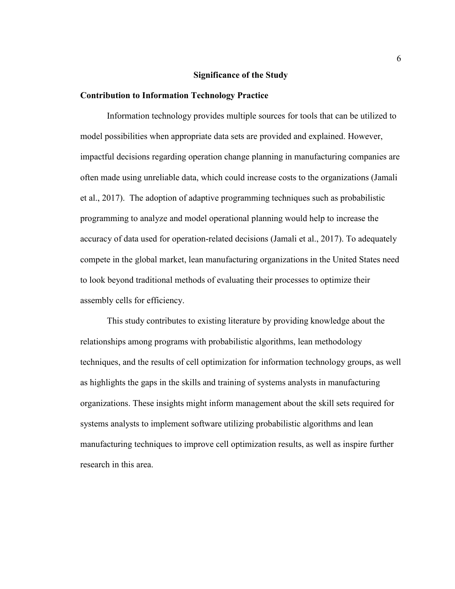#### **Significance of the Study**

#### **Contribution to Information Technology Practice**

Information technology provides multiple sources for tools that can be utilized to model possibilities when appropriate data sets are provided and explained. However, impactful decisions regarding operation change planning in manufacturing companies are often made using unreliable data, which could increase costs to the organizations (Jamali et al., 2017). The adoption of adaptive programming techniques such as probabilistic programming to analyze and model operational planning would help to increase the accuracy of data used for operation-related decisions (Jamali et al., 2017). To adequately compete in the global market, lean manufacturing organizations in the United States need to look beyond traditional methods of evaluating their processes to optimize their assembly cells for efficiency.

This study contributes to existing literature by providing knowledge about the relationships among programs with probabilistic algorithms, lean methodology techniques, and the results of cell optimization for information technology groups, as well as highlights the gaps in the skills and training of systems analysts in manufacturing organizations. These insights might inform management about the skill sets required for systems analysts to implement software utilizing probabilistic algorithms and lean manufacturing techniques to improve cell optimization results, as well as inspire further research in this area.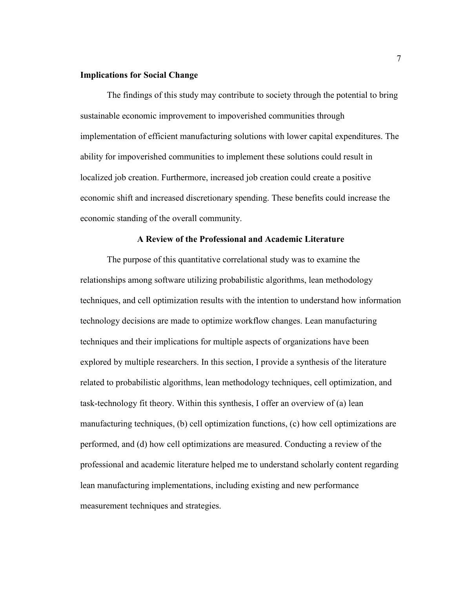#### **Implications for Social Change**

The findings of this study may contribute to society through the potential to bring sustainable economic improvement to impoverished communities through implementation of efficient manufacturing solutions with lower capital expenditures. The ability for impoverished communities to implement these solutions could result in localized job creation. Furthermore, increased job creation could create a positive economic shift and increased discretionary spending. These benefits could increase the economic standing of the overall community.

#### **A Review of the Professional and Academic Literature**

The purpose of this quantitative correlational study was to examine the relationships among software utilizing probabilistic algorithms, lean methodology techniques, and cell optimization results with the intention to understand how information technology decisions are made to optimize workflow changes. Lean manufacturing techniques and their implications for multiple aspects of organizations have been explored by multiple researchers. In this section, I provide a synthesis of the literature related to probabilistic algorithms, lean methodology techniques, cell optimization, and task-technology fit theory. Within this synthesis, I offer an overview of (a) lean manufacturing techniques, (b) cell optimization functions, (c) how cell optimizations are performed, and (d) how cell optimizations are measured. Conducting a review of the professional and academic literature helped me to understand scholarly content regarding lean manufacturing implementations, including existing and new performance measurement techniques and strategies.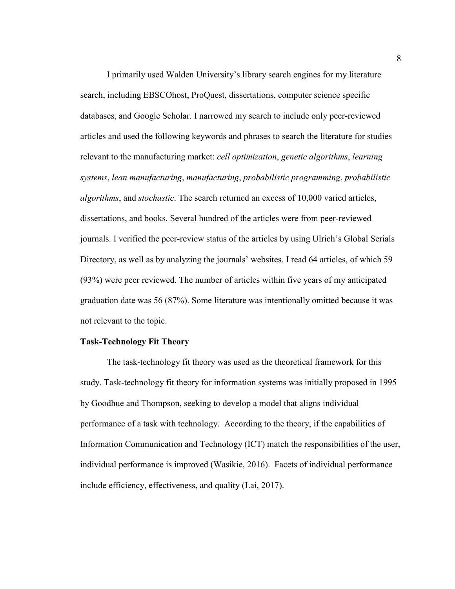I primarily used Walden University's library search engines for my literature search, including EBSCOhost, ProQuest, dissertations, computer science specific databases, and Google Scholar. I narrowed my search to include only peer-reviewed articles and used the following keywords and phrases to search the literature for studies relevant to the manufacturing market: *cell optimization*, *genetic algorithms*, *learning systems*, *lean manufacturing*, *manufacturing*, *probabilistic programming*, *probabilistic algorithms*, and *stochastic*. The search returned an excess of 10,000 varied articles, dissertations, and books. Several hundred of the articles were from peer-reviewed journals. I verified the peer-review status of the articles by using Ulrich's Global Serials Directory, as well as by analyzing the journals' websites. I read 64 articles, of which 59 (93%) were peer reviewed. The number of articles within five years of my anticipated graduation date was 56 (87%). Some literature was intentionally omitted because it was not relevant to the topic.

#### **Task-Technology Fit Theory**

The task-technology fit theory was used as the theoretical framework for this study. Task-technology fit theory for information systems was initially proposed in 1995 by Goodhue and Thompson, seeking to develop a model that aligns individual performance of a task with technology. According to the theory, if the capabilities of Information Communication and Technology (ICT) match the responsibilities of the user, individual performance is improved (Wasikie, 2016). Facets of individual performance include efficiency, effectiveness, and quality (Lai, 2017).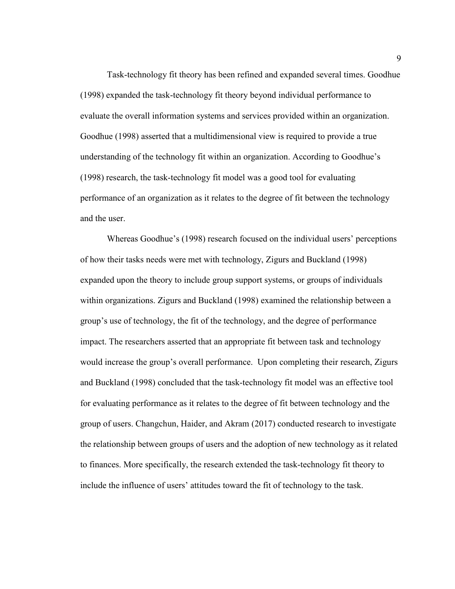Task-technology fit theory has been refined and expanded several times. Goodhue (1998) expanded the task-technology fit theory beyond individual performance to evaluate the overall information systems and services provided within an organization. Goodhue (1998) asserted that a multidimensional view is required to provide a true understanding of the technology fit within an organization. According to Goodhue's (1998) research, the task-technology fit model was a good tool for evaluating performance of an organization as it relates to the degree of fit between the technology and the user.

 Whereas Goodhue's (1998) research focused on the individual users' perceptions of how their tasks needs were met with technology, Zigurs and Buckland (1998) expanded upon the theory to include group support systems, or groups of individuals within organizations. Zigurs and Buckland (1998) examined the relationship between a group's use of technology, the fit of the technology, and the degree of performance impact. The researchers asserted that an appropriate fit between task and technology would increase the group's overall performance. Upon completing their research, Zigurs and Buckland (1998) concluded that the task-technology fit model was an effective tool for evaluating performance as it relates to the degree of fit between technology and the group of users. Changchun, Haider, and Akram (2017) conducted research to investigate the relationship between groups of users and the adoption of new technology as it related to finances. More specifically, the research extended the task-technology fit theory to include the influence of users' attitudes toward the fit of technology to the task.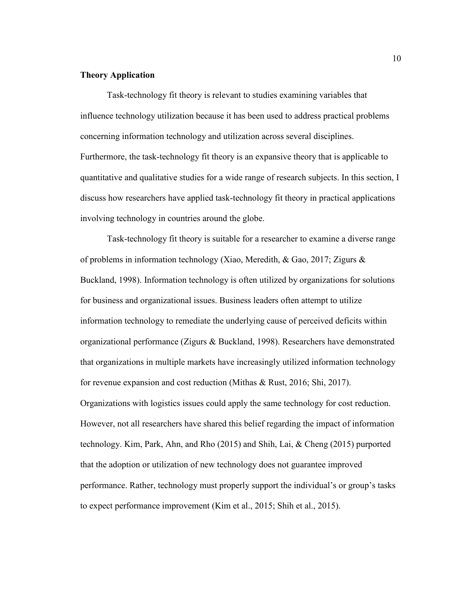#### **Theory Application**

Task-technology fit theory is relevant to studies examining variables that influence technology utilization because it has been used to address practical problems concerning information technology and utilization across several disciplines. Furthermore, the task-technology fit theory is an expansive theory that is applicable to quantitative and qualitative studies for a wide range of research subjects. In this section, I discuss how researchers have applied task-technology fit theory in practical applications involving technology in countries around the globe.

Task-technology fit theory is suitable for a researcher to examine a diverse range of problems in information technology (Xiao, Meredith, & Gao, 2017; Zigurs & Buckland, 1998). Information technology is often utilized by organizations for solutions for business and organizational issues. Business leaders often attempt to utilize information technology to remediate the underlying cause of perceived deficits within organizational performance (Zigurs & Buckland, 1998). Researchers have demonstrated that organizations in multiple markets have increasingly utilized information technology for revenue expansion and cost reduction (Mithas & Rust, 2016; Shi, 2017). Organizations with logistics issues could apply the same technology for cost reduction. However, not all researchers have shared this belief regarding the impact of information technology. Kim, Park, Ahn, and Rho (2015) and Shih, Lai, & Cheng (2015) purported that the adoption or utilization of new technology does not guarantee improved performance. Rather, technology must properly support the individual's or group's tasks to expect performance improvement (Kim et al., 2015; Shih et al., 2015).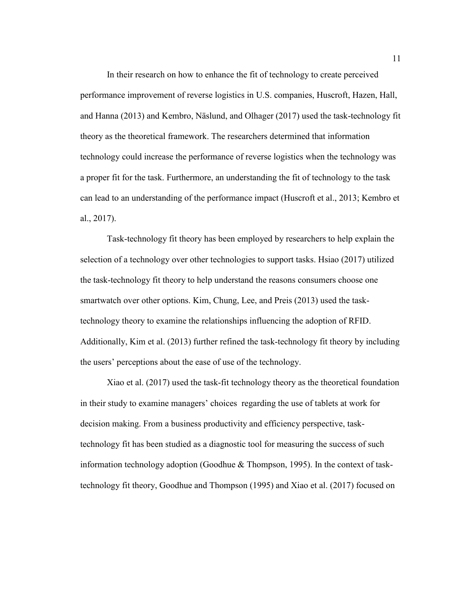In their research on how to enhance the fit of technology to create perceived performance improvement of reverse logistics in U.S. companies, Huscroft, Hazen, Hall, and Hanna (2013) and Kembro, Näslund, and Olhager (2017) used the task-technology fit theory as the theoretical framework. The researchers determined that information technology could increase the performance of reverse logistics when the technology was a proper fit for the task. Furthermore, an understanding the fit of technology to the task can lead to an understanding of the performance impact (Huscroft et al., 2013; Kembro et al., 2017).

Task-technology fit theory has been employed by researchers to help explain the selection of a technology over other technologies to support tasks. Hsiao (2017) utilized the task-technology fit theory to help understand the reasons consumers choose one smartwatch over other options. Kim, Chung, Lee, and Preis (2013) used the tasktechnology theory to examine the relationships influencing the adoption of RFID. Additionally, Kim et al. (2013) further refined the task-technology fit theory by including the users' perceptions about the ease of use of the technology.

Xiao et al. (2017) used the task-fit technology theory as the theoretical foundation in their study to examine managers' choices regarding the use of tablets at work for decision making. From a business productivity and efficiency perspective, tasktechnology fit has been studied as a diagnostic tool for measuring the success of such information technology adoption (Goodhue & Thompson, 1995). In the context of tasktechnology fit theory, Goodhue and Thompson (1995) and Xiao et al. (2017) focused on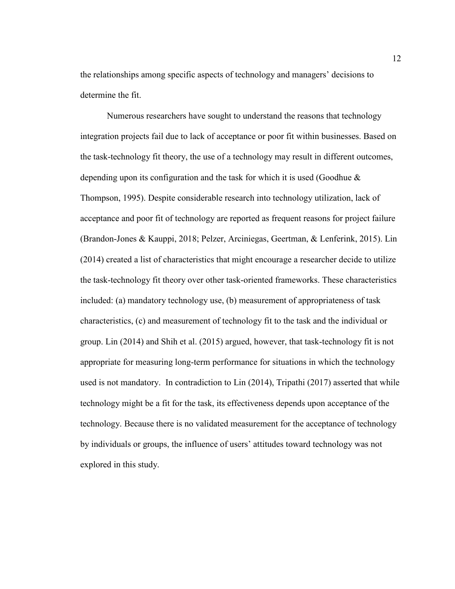the relationships among specific aspects of technology and managers' decisions to determine the fit.

 Numerous researchers have sought to understand the reasons that technology integration projects fail due to lack of acceptance or poor fit within businesses. Based on the task-technology fit theory, the use of a technology may result in different outcomes, depending upon its configuration and the task for which it is used (Goodhue & Thompson, 1995). Despite considerable research into technology utilization, lack of acceptance and poor fit of technology are reported as frequent reasons for project failure (Brandon-Jones & Kauppi, 2018; Pelzer, Arciniegas, Geertman, & Lenferink, 2015). Lin (2014) created a list of characteristics that might encourage a researcher decide to utilize the task-technology fit theory over other task-oriented frameworks. These characteristics included: (a) mandatory technology use, (b) measurement of appropriateness of task characteristics, (c) and measurement of technology fit to the task and the individual or group. Lin (2014) and Shih et al. (2015) argued, however, that task-technology fit is not appropriate for measuring long-term performance for situations in which the technology used is not mandatory. In contradiction to Lin (2014), Tripathi (2017) asserted that while technology might be a fit for the task, its effectiveness depends upon acceptance of the technology. Because there is no validated measurement for the acceptance of technology by individuals or groups, the influence of users' attitudes toward technology was not explored in this study.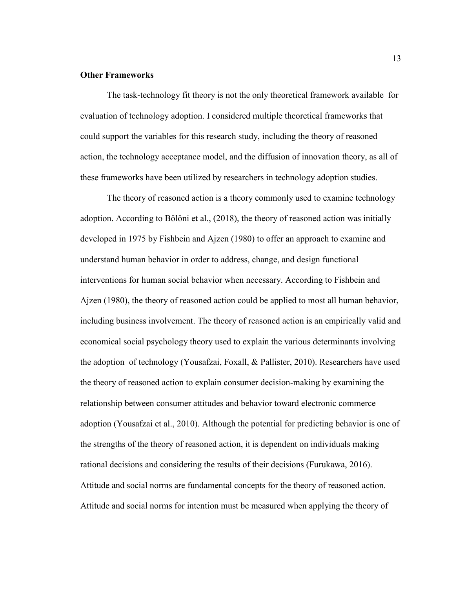#### **Other Frameworks**

 The task-technology fit theory is not the only theoretical framework available for evaluation of technology adoption. I considered multiple theoretical frameworks that could support the variables for this research study, including the theory of reasoned action, the technology acceptance model, and the diffusion of innovation theory, as all of these frameworks have been utilized by researchers in technology adoption studies.

The theory of reasoned action is a theory commonly used to examine technology adoption. According to Bölöni et al., (2018), the theory of reasoned action was initially developed in 1975 by Fishbein and Ajzen (1980) to offer an approach to examine and understand human behavior in order to address, change, and design functional interventions for human social behavior when necessary. According to Fishbein and Ajzen (1980), the theory of reasoned action could be applied to most all human behavior, including business involvement. The theory of reasoned action is an empirically valid and economical social psychology theory used to explain the various determinants involving the adoption of technology (Yousafzai, Foxall, & Pallister, 2010). Researchers have used the theory of reasoned action to explain consumer decision-making by examining the relationship between consumer attitudes and behavior toward electronic commerce adoption (Yousafzai et al., 2010). Although the potential for predicting behavior is one of the strengths of the theory of reasoned action, it is dependent on individuals making rational decisions and considering the results of their decisions (Furukawa, 2016). Attitude and social norms are fundamental concepts for the theory of reasoned action. Attitude and social norms for intention must be measured when applying the theory of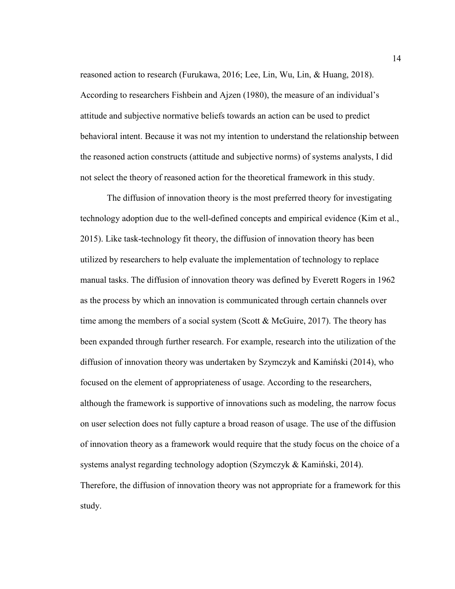reasoned action to research (Furukawa, 2016; Lee, Lin, Wu, Lin, & Huang, 2018). According to researchers Fishbein and Ajzen (1980), the measure of an individual's attitude and subjective normative beliefs towards an action can be used to predict behavioral intent. Because it was not my intention to understand the relationship between the reasoned action constructs (attitude and subjective norms) of systems analysts, I did not select the theory of reasoned action for the theoretical framework in this study.

 The diffusion of innovation theory is the most preferred theory for investigating technology adoption due to the well-defined concepts and empirical evidence (Kim et al., 2015). Like task-technology fit theory, the diffusion of innovation theory has been utilized by researchers to help evaluate the implementation of technology to replace manual tasks. The diffusion of innovation theory was defined by Everett Rogers in 1962 as the process by which an innovation is communicated through certain channels over time among the members of a social system (Scott  $&$  McGuire, 2017). The theory has been expanded through further research. For example, research into the utilization of the diffusion of innovation theory was undertaken by Szymczyk and Kamiński (2014), who focused on the element of appropriateness of usage. According to the researchers, although the framework is supportive of innovations such as modeling, the narrow focus on user selection does not fully capture a broad reason of usage. The use of the diffusion of innovation theory as a framework would require that the study focus on the choice of a systems analyst regarding technology adoption (Szymczyk & Kamiński, 2014). Therefore, the diffusion of innovation theory was not appropriate for a framework for this study.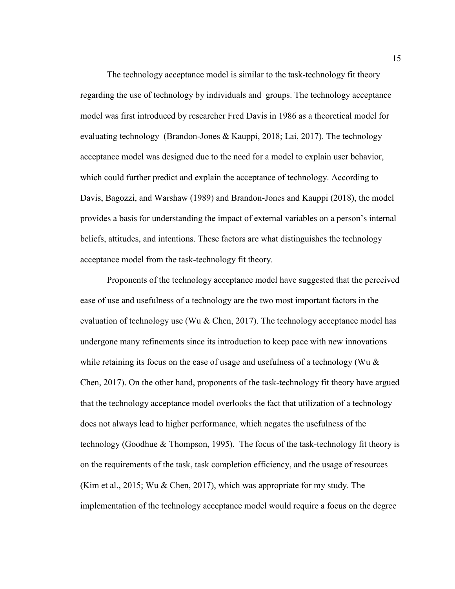The technology acceptance model is similar to the task-technology fit theory regarding the use of technology by individuals and groups. The technology acceptance model was first introduced by researcher Fred Davis in 1986 as a theoretical model for evaluating technology (Brandon-Jones & Kauppi, 2018; Lai, 2017). The technology acceptance model was designed due to the need for a model to explain user behavior, which could further predict and explain the acceptance of technology. According to Davis, Bagozzi, and Warshaw (1989) and Brandon-Jones and Kauppi (2018), the model provides a basis for understanding the impact of external variables on a person's internal beliefs, attitudes, and intentions. These factors are what distinguishes the technology acceptance model from the task-technology fit theory.

 Proponents of the technology acceptance model have suggested that the perceived ease of use and usefulness of a technology are the two most important factors in the evaluation of technology use (Wu  $&$  Chen, 2017). The technology acceptance model has undergone many refinements since its introduction to keep pace with new innovations while retaining its focus on the ease of usage and usefulness of a technology (Wu  $\&$ Chen, 2017). On the other hand, proponents of the task-technology fit theory have argued that the technology acceptance model overlooks the fact that utilization of a technology does not always lead to higher performance, which negates the usefulness of the technology (Goodhue & Thompson, 1995). The focus of the task-technology fit theory is on the requirements of the task, task completion efficiency, and the usage of resources (Kim et al., 2015; Wu & Chen, 2017), which was appropriate for my study. The implementation of the technology acceptance model would require a focus on the degree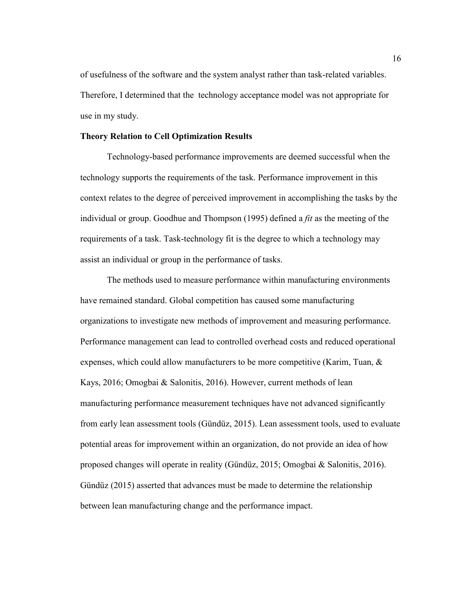of usefulness of the software and the system analyst rather than task-related variables. Therefore, I determined that the technology acceptance model was not appropriate for use in my study.

#### **Theory Relation to Cell Optimization Results**

Technology-based performance improvements are deemed successful when the technology supports the requirements of the task. Performance improvement in this context relates to the degree of perceived improvement in accomplishing the tasks by the individual or group. Goodhue and Thompson (1995) defined a *fit* as the meeting of the requirements of a task. Task-technology fit is the degree to which a technology may assist an individual or group in the performance of tasks.

The methods used to measure performance within manufacturing environments have remained standard. Global competition has caused some manufacturing organizations to investigate new methods of improvement and measuring performance. Performance management can lead to controlled overhead costs and reduced operational expenses, which could allow manufacturers to be more competitive (Karim, Tuan, & Kays, 2016; Omogbai & Salonitis, 2016). However, current methods of lean manufacturing performance measurement techniques have not advanced significantly from early lean assessment tools (Gündüz, 2015). Lean assessment tools, used to evaluate potential areas for improvement within an organization, do not provide an idea of how proposed changes will operate in reality (Gündüz, 2015; Omogbai & Salonitis, 2016). Gündüz (2015) asserted that advances must be made to determine the relationship between lean manufacturing change and the performance impact.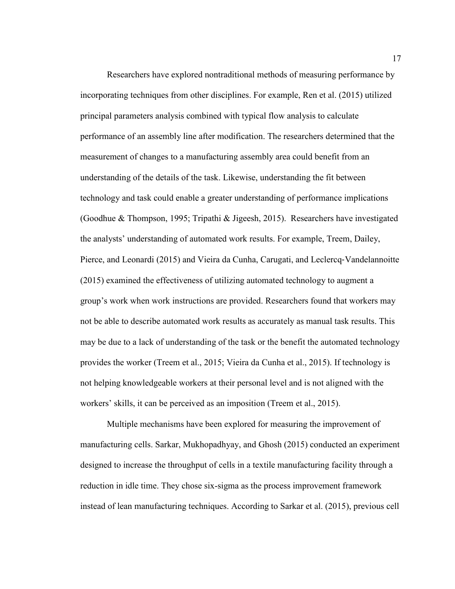Researchers have explored nontraditional methods of measuring performance by incorporating techniques from other disciplines. For example, Ren et al. (2015) utilized principal parameters analysis combined with typical flow analysis to calculate performance of an assembly line after modification. The researchers determined that the measurement of changes to a manufacturing assembly area could benefit from an understanding of the details of the task. Likewise, understanding the fit between technology and task could enable a greater understanding of performance implications (Goodhue & Thompson, 1995; Tripathi & Jigeesh, 2015). Researchers have investigated the analysts' understanding of automated work results. For example, Treem, Dailey, Pierce, and Leonardi (2015) and Vieira da Cunha, Carugati, and Leclercq‐Vandelannoitte (2015) examined the effectiveness of utilizing automated technology to augment a group's work when work instructions are provided. Researchers found that workers may not be able to describe automated work results as accurately as manual task results. This may be due to a lack of understanding of the task or the benefit the automated technology provides the worker (Treem et al., 2015; Vieira da Cunha et al., 2015). If technology is not helping knowledgeable workers at their personal level and is not aligned with the workers' skills, it can be perceived as an imposition (Treem et al., 2015).

Multiple mechanisms have been explored for measuring the improvement of manufacturing cells. Sarkar, Mukhopadhyay, and Ghosh (2015) conducted an experiment designed to increase the throughput of cells in a textile manufacturing facility through a reduction in idle time. They chose six-sigma as the process improvement framework instead of lean manufacturing techniques. According to Sarkar et al. (2015), previous cell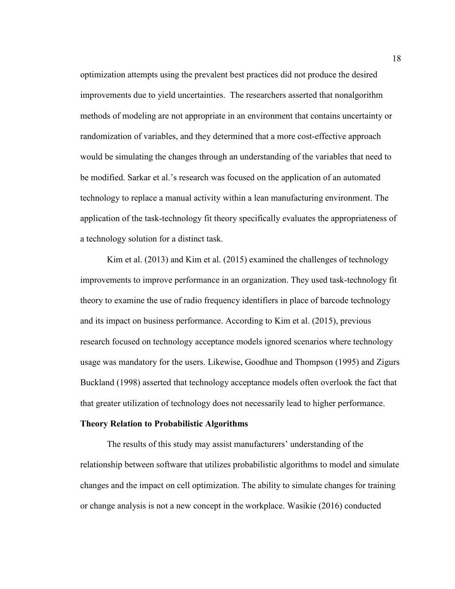optimization attempts using the prevalent best practices did not produce the desired improvements due to yield uncertainties. The researchers asserted that nonalgorithm methods of modeling are not appropriate in an environment that contains uncertainty or randomization of variables, and they determined that a more cost-effective approach would be simulating the changes through an understanding of the variables that need to be modified. Sarkar et al.'s research was focused on the application of an automated technology to replace a manual activity within a lean manufacturing environment. The application of the task-technology fit theory specifically evaluates the appropriateness of a technology solution for a distinct task.

Kim et al. (2013) and Kim et al. (2015) examined the challenges of technology improvements to improve performance in an organization. They used task-technology fit theory to examine the use of radio frequency identifiers in place of barcode technology and its impact on business performance. According to Kim et al. (2015), previous research focused on technology acceptance models ignored scenarios where technology usage was mandatory for the users. Likewise, Goodhue and Thompson (1995) and Zigurs Buckland (1998) asserted that technology acceptance models often overlook the fact that that greater utilization of technology does not necessarily lead to higher performance.

#### **Theory Relation to Probabilistic Algorithms**

The results of this study may assist manufacturers' understanding of the relationship between software that utilizes probabilistic algorithms to model and simulate changes and the impact on cell optimization. The ability to simulate changes for training or change analysis is not a new concept in the workplace. Wasikie (2016) conducted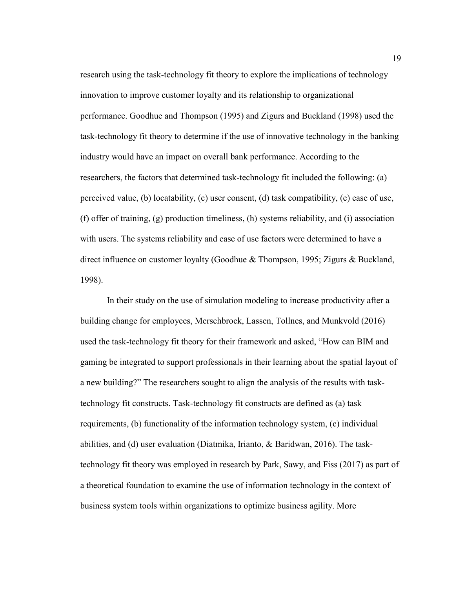research using the task-technology fit theory to explore the implications of technology innovation to improve customer loyalty and its relationship to organizational performance. Goodhue and Thompson (1995) and Zigurs and Buckland (1998) used the task-technology fit theory to determine if the use of innovative technology in the banking industry would have an impact on overall bank performance. According to the researchers, the factors that determined task-technology fit included the following: (a) perceived value, (b) locatability, (c) user consent, (d) task compatibility, (e) ease of use, (f) offer of training, (g) production timeliness, (h) systems reliability, and (i) association with users. The systems reliability and ease of use factors were determined to have a direct influence on customer loyalty (Goodhue & Thompson, 1995; Zigurs & Buckland, 1998).

In their study on the use of simulation modeling to increase productivity after a building change for employees, Merschbrock, Lassen, Tollnes, and Munkvold (2016) used the task-technology fit theory for their framework and asked, "How can BIM and gaming be integrated to support professionals in their learning about the spatial layout of a new building?" The researchers sought to align the analysis of the results with tasktechnology fit constructs. Task-technology fit constructs are defined as (a) task requirements, (b) functionality of the information technology system, (c) individual abilities, and (d) user evaluation (Diatmika, Irianto, & Baridwan, 2016). The tasktechnology fit theory was employed in research by Park, Sawy, and Fiss (2017) as part of a theoretical foundation to examine the use of information technology in the context of business system tools within organizations to optimize business agility. More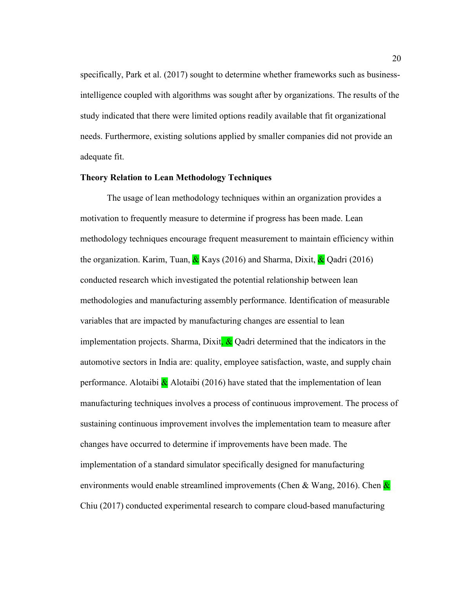specifically, Park et al. (2017) sought to determine whether frameworks such as businessintelligence coupled with algorithms was sought after by organizations. The results of the study indicated that there were limited options readily available that fit organizational needs. Furthermore, existing solutions applied by smaller companies did not provide an adequate fit.

#### **Theory Relation to Lean Methodology Techniques**

The usage of lean methodology techniques within an organization provides a motivation to frequently measure to determine if progress has been made. Lean methodology techniques encourage frequent measurement to maintain efficiency within the organization. Karim, Tuan,  $\&$  Kays (2016) and Sharma, Dixit,  $\&$  Qadri (2016) conducted research which investigated the potential relationship between lean methodologies and manufacturing assembly performance. Identification of measurable variables that are impacted by manufacturing changes are essential to lean implementation projects. Sharma, Dixit,  $\&$  Qadri determined that the indicators in the automotive sectors in India are: quality, employee satisfaction, waste, and supply chain performance. Alotaibi  $\&$  Alotaibi (2016) have stated that the implementation of lean manufacturing techniques involves a process of continuous improvement. The process of sustaining continuous improvement involves the implementation team to measure after changes have occurred to determine if improvements have been made. The implementation of a standard simulator specifically designed for manufacturing environments would enable streamlined improvements (Chen & Wang, 2016). Chen  $\&$ Chiu (2017) conducted experimental research to compare cloud-based manufacturing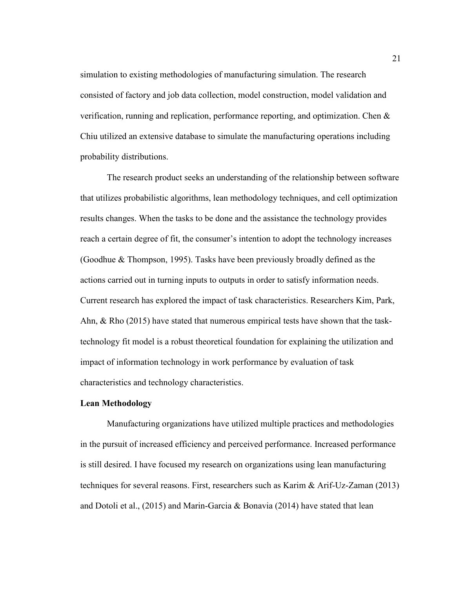simulation to existing methodologies of manufacturing simulation. The research consisted of factory and job data collection, model construction, model validation and verification, running and replication, performance reporting, and optimization. Chen & Chiu utilized an extensive database to simulate the manufacturing operations including probability distributions.

The research product seeks an understanding of the relationship between software that utilizes probabilistic algorithms, lean methodology techniques, and cell optimization results changes. When the tasks to be done and the assistance the technology provides reach a certain degree of fit, the consumer's intention to adopt the technology increases (Goodhue & Thompson, 1995). Tasks have been previously broadly defined as the actions carried out in turning inputs to outputs in order to satisfy information needs. Current research has explored the impact of task characteristics. Researchers Kim, Park, Ahn, & Rho (2015) have stated that numerous empirical tests have shown that the tasktechnology fit model is a robust theoretical foundation for explaining the utilization and impact of information technology in work performance by evaluation of task characteristics and technology characteristics.

#### **Lean Methodology**

 Manufacturing organizations have utilized multiple practices and methodologies in the pursuit of increased efficiency and perceived performance. Increased performance is still desired. I have focused my research on organizations using lean manufacturing techniques for several reasons. First, researchers such as Karim & Arif-Uz-Zaman (2013) and Dotoli et al., (2015) and Marin-Garcia & Bonavia (2014) have stated that lean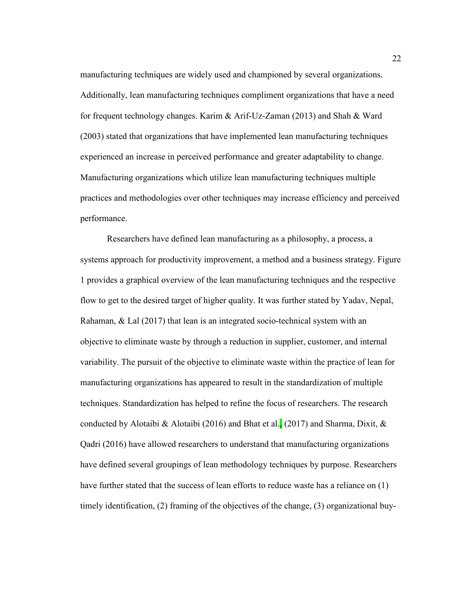manufacturing techniques are widely used and championed by several organizations. Additionally, lean manufacturing techniques compliment organizations that have a need for frequent technology changes. Karim & Arif-Uz-Zaman (2013) and Shah & Ward (2003) stated that organizations that have implemented lean manufacturing techniques experienced an increase in perceived performance and greater adaptability to change. Manufacturing organizations which utilize lean manufacturing techniques multiple practices and methodologies over other techniques may increase efficiency and perceived performance.

Researchers have defined lean manufacturing as a philosophy, a process, a systems approach for productivity improvement, a method and a business strategy. Figure 1 provides a graphical overview of the lean manufacturing techniques and the respective flow to get to the desired target of higher quality. It was further stated by Yadav, Nepal, Rahaman, & Lal (2017) that lean is an integrated socio-technical system with an objective to eliminate waste by through a reduction in supplier, customer, and internal variability. The pursuit of the objective to eliminate waste within the practice of lean for manufacturing organizations has appeared to result in the standardization of multiple techniques. Standardization has helped to refine the focus of researchers. The research conducted by Alotaibi & Alotaibi (2016) and Bhat et al. (2017) and Sharma, Dixit,  $\&$ Qadri (2016) have allowed researchers to understand that manufacturing organizations have defined several groupings of lean methodology techniques by purpose. Researchers have further stated that the success of lean efforts to reduce waste has a reliance on (1) timely identification, (2) framing of the objectives of the change, (3) organizational buy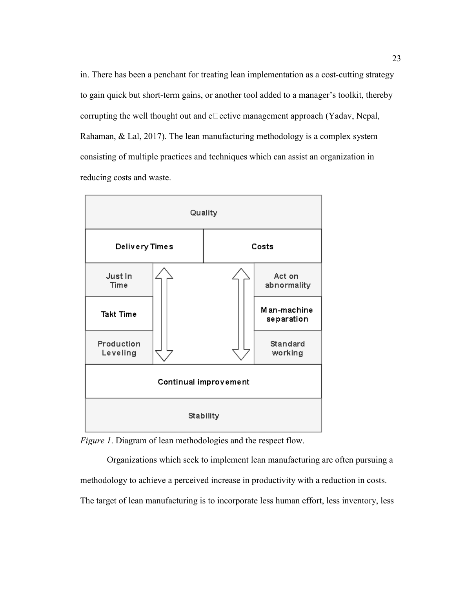in. There has been a penchant for treating lean implementation as a cost-cutting strategy to gain quick but short-term gains, or another tool added to a manager's toolkit, thereby corrupting the well thought out and  $e\Box$  ective management approach (Yadav, Nepal, Rahaman, & Lal, 2017). The lean manufacturing methodology is a complex system consisting of multiple practices and techniques which can assist an organization in reducing costs and waste.



*Figure 1*. Diagram of lean methodologies and the respect flow.

 Organizations which seek to implement lean manufacturing are often pursuing a methodology to achieve a perceived increase in productivity with a reduction in costs. The target of lean manufacturing is to incorporate less human effort, less inventory, less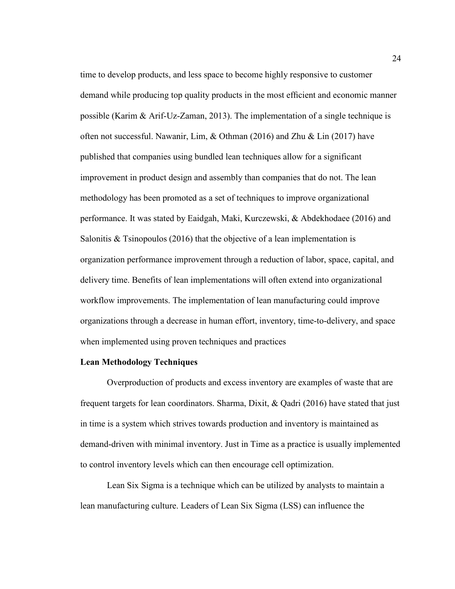time to develop products, and less space to become highly responsive to customer demand while producing top quality products in the most efficient and economic manner possible (Karim & Arif-Uz-Zaman, 2013). The implementation of a single technique is often not successful. Nawanir, Lim, & Othman (2016) and Zhu & Lin (2017) have published that companies using bundled lean techniques allow for a significant improvement in product design and assembly than companies that do not. The lean methodology has been promoted as a set of techniques to improve organizational performance. It was stated by Eaidgah, Maki, Kurczewski, & Abdekhodaee (2016) and Salonitis  $&$  Tsinopoulos (2016) that the objective of a lean implementation is organization performance improvement through a reduction of labor, space, capital, and delivery time. Benefits of lean implementations will often extend into organizational workflow improvements. The implementation of lean manufacturing could improve organizations through a decrease in human effort, inventory, time-to-delivery, and space when implemented using proven techniques and practices

#### **Lean Methodology Techniques**

 Overproduction of products and excess inventory are examples of waste that are frequent targets for lean coordinators. Sharma, Dixit, & Qadri (2016) have stated that just in time is a system which strives towards production and inventory is maintained as demand-driven with minimal inventory. Just in Time as a practice is usually implemented to control inventory levels which can then encourage cell optimization.

 Lean Six Sigma is a technique which can be utilized by analysts to maintain a lean manufacturing culture. Leaders of Lean Six Sigma (LSS) can influence the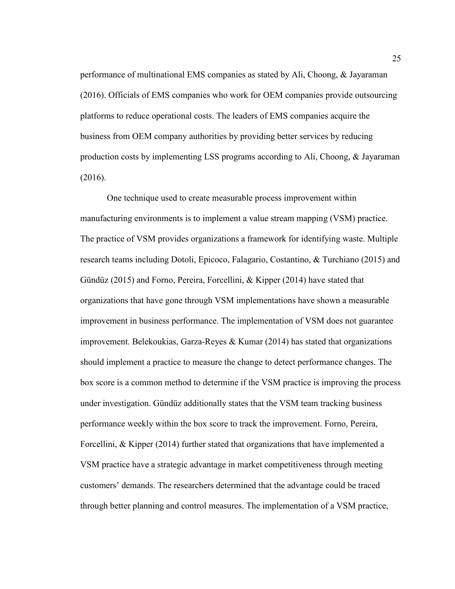performance of multinational EMS companies as stated by Ali, Choong, & Jayaraman (2016). Officials of EMS companies who work for OEM companies provide outsourcing platforms to reduce operational costs. The leaders of EMS companies acquire the business from OEM company authorities by providing better services by reducing production costs by implementing LSS programs according to Ali, Choong, & Jayaraman (2016).

One technique used to create measurable process improvement within manufacturing environments is to implement a value stream mapping (VSM) practice. The practice of VSM provides organizations a framework for identifying waste. Multiple research teams including Dotoli, Epicoco, Falagario, Costantino, & Turchiano (2015) and Gündüz (2015) and Forno, Pereira, Forcellini, & Kipper (2014) have stated that organizations that have gone through VSM implementations have shown a measurable improvement in business performance. The implementation of VSM does not guarantee improvement. Belekoukias, Garza-Reyes & Kumar (2014) has stated that organizations should implement a practice to measure the change to detect performance changes. The box score is a common method to determine if the VSM practice is improving the process under investigation. Gündüz additionally states that the VSM team tracking business performance weekly within the box score to track the improvement. Forno, Pereira, Forcellini, & Kipper (2014) further stated that organizations that have implemented a VSM practice have a strategic advantage in market competitiveness through meeting customers' demands. The researchers determined that the advantage could be traced through better planning and control measures. The implementation of a VSM practice,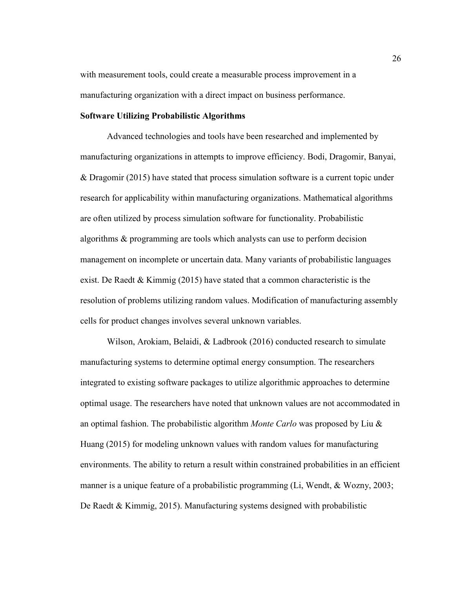with measurement tools, could create a measurable process improvement in a manufacturing organization with a direct impact on business performance.

## **Software Utilizing Probabilistic Algorithms**

 Advanced technologies and tools have been researched and implemented by manufacturing organizations in attempts to improve efficiency. Bodi, Dragomir, Banyai, & Dragomir (2015) have stated that process simulation software is a current topic under research for applicability within manufacturing organizations. Mathematical algorithms are often utilized by process simulation software for functionality. Probabilistic algorithms & programming are tools which analysts can use to perform decision management on incomplete or uncertain data. Many variants of probabilistic languages exist. De Raedt & Kimmig (2015) have stated that a common characteristic is the resolution of problems utilizing random values. Modification of manufacturing assembly cells for product changes involves several unknown variables.

 Wilson, Arokiam, Belaidi, & Ladbrook (2016) conducted research to simulate manufacturing systems to determine optimal energy consumption. The researchers integrated to existing software packages to utilize algorithmic approaches to determine optimal usage. The researchers have noted that unknown values are not accommodated in an optimal fashion. The probabilistic algorithm *Monte Carlo* was proposed by Liu & Huang (2015) for modeling unknown values with random values for manufacturing environments. The ability to return a result within constrained probabilities in an efficient manner is a unique feature of a probabilistic programming (Li, Wendt, & Wozny, 2003; De Raedt & Kimmig, 2015). Manufacturing systems designed with probabilistic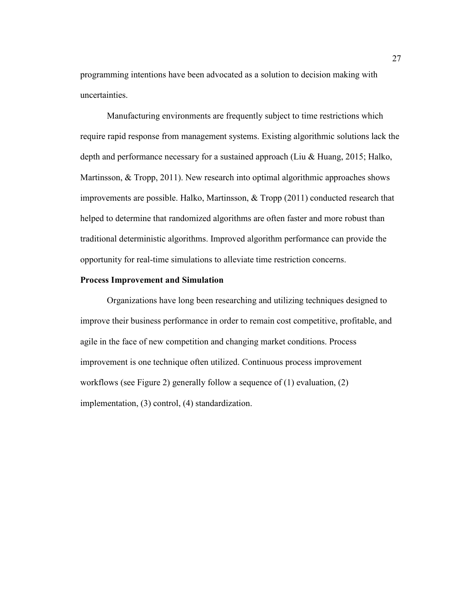programming intentions have been advocated as a solution to decision making with uncertainties.

 Manufacturing environments are frequently subject to time restrictions which require rapid response from management systems. Existing algorithmic solutions lack the depth and performance necessary for a sustained approach (Liu & Huang, 2015; Halko, Martinsson, & Tropp, 2011). New research into optimal algorithmic approaches shows improvements are possible. Halko, Martinsson,  $\&$  Tropp (2011) conducted research that helped to determine that randomized algorithms are often faster and more robust than traditional deterministic algorithms. Improved algorithm performance can provide the opportunity for real-time simulations to alleviate time restriction concerns.

## **Process Improvement and Simulation**

Organizations have long been researching and utilizing techniques designed to improve their business performance in order to remain cost competitive, profitable, and agile in the face of new competition and changing market conditions. Process improvement is one technique often utilized. Continuous process improvement workflows (see Figure 2) generally follow a sequence of (1) evaluation, (2) implementation, (3) control, (4) standardization.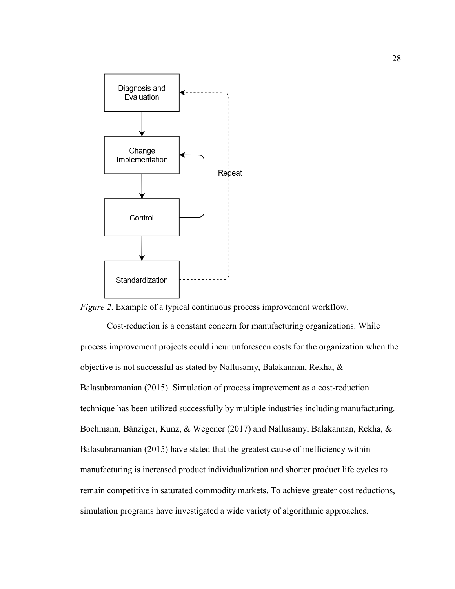

*Figure 2*. Example of a typical continuous process improvement workflow.

Cost-reduction is a constant concern for manufacturing organizations. While process improvement projects could incur unforeseen costs for the organization when the objective is not successful as stated by Nallusamy, Balakannan, Rekha, & Balasubramanian (2015). Simulation of process improvement as a cost-reduction technique has been utilized successfully by multiple industries including manufacturing. Bochmann, Bänziger, Kunz, & Wegener (2017) and Nallusamy, Balakannan, Rekha, & Balasubramanian (2015) have stated that the greatest cause of inefficiency within manufacturing is increased product individualization and shorter product life cycles to remain competitive in saturated commodity markets. To achieve greater cost reductions, simulation programs have investigated a wide variety of algorithmic approaches.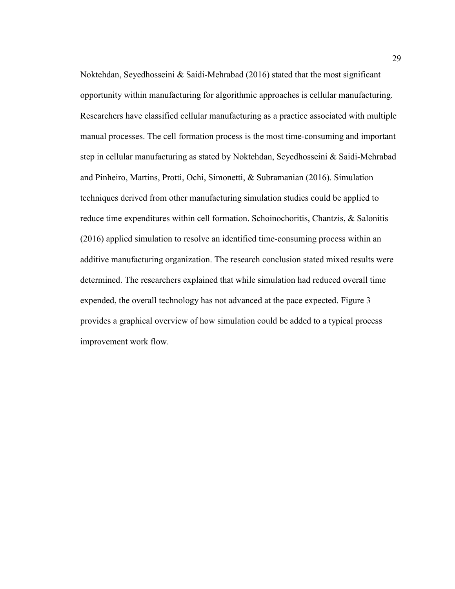Noktehdan, Seyedhosseini & Saidi-Mehrabad (2016) stated that the most significant opportunity within manufacturing for algorithmic approaches is cellular manufacturing. Researchers have classified cellular manufacturing as a practice associated with multiple manual processes. The cell formation process is the most time-consuming and important step in cellular manufacturing as stated by Noktehdan, Seyedhosseini & Saidi-Mehrabad and Pinheiro, Martins, Protti, Ochi, Simonetti, & Subramanian (2016). Simulation techniques derived from other manufacturing simulation studies could be applied to reduce time expenditures within cell formation. Schoinochoritis, Chantzis, & Salonitis (2016) applied simulation to resolve an identified time-consuming process within an additive manufacturing organization. The research conclusion stated mixed results were determined. The researchers explained that while simulation had reduced overall time expended, the overall technology has not advanced at the pace expected. Figure 3 provides a graphical overview of how simulation could be added to a typical process improvement work flow.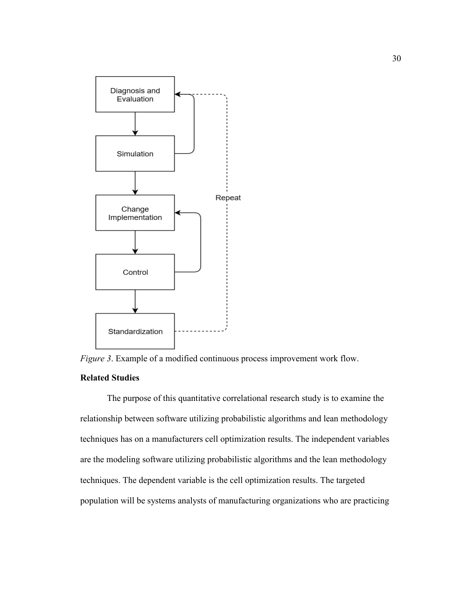

*Figure 3*. Example of a modified continuous process improvement work flow.

# **Related Studies**

The purpose of this quantitative correlational research study is to examine the relationship between software utilizing probabilistic algorithms and lean methodology techniques has on a manufacturers cell optimization results. The independent variables are the modeling software utilizing probabilistic algorithms and the lean methodology techniques. The dependent variable is the cell optimization results. The targeted population will be systems analysts of manufacturing organizations who are practicing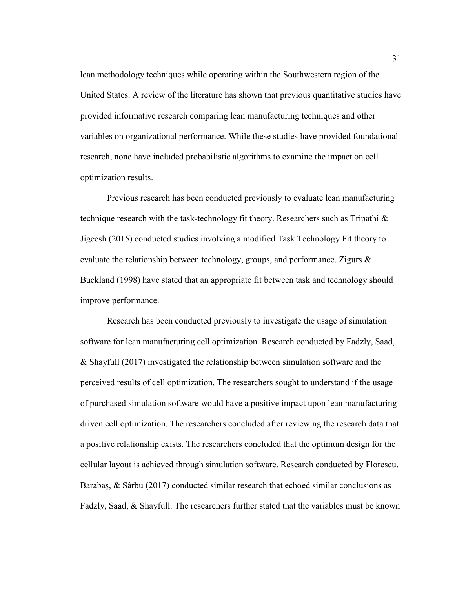lean methodology techniques while operating within the Southwestern region of the United States. A review of the literature has shown that previous quantitative studies have provided informative research comparing lean manufacturing techniques and other variables on organizational performance. While these studies have provided foundational research, none have included probabilistic algorithms to examine the impact on cell optimization results.

Previous research has been conducted previously to evaluate lean manufacturing technique research with the task-technology fit theory. Researchers such as Tripathi & Jigeesh (2015) conducted studies involving a modified Task Technology Fit theory to evaluate the relationship between technology, groups, and performance. Zigurs & Buckland (1998) have stated that an appropriate fit between task and technology should improve performance.

Research has been conducted previously to investigate the usage of simulation software for lean manufacturing cell optimization. Research conducted by Fadzly, Saad, & Shayfull (2017) investigated the relationship between simulation software and the perceived results of cell optimization. The researchers sought to understand if the usage of purchased simulation software would have a positive impact upon lean manufacturing driven cell optimization. The researchers concluded after reviewing the research data that a positive relationship exists. The researchers concluded that the optimum design for the cellular layout is achieved through simulation software. Research conducted by Florescu, Barabaş, & Sârbu (2017) conducted similar research that echoed similar conclusions as Fadzly, Saad, & Shayfull. The researchers further stated that the variables must be known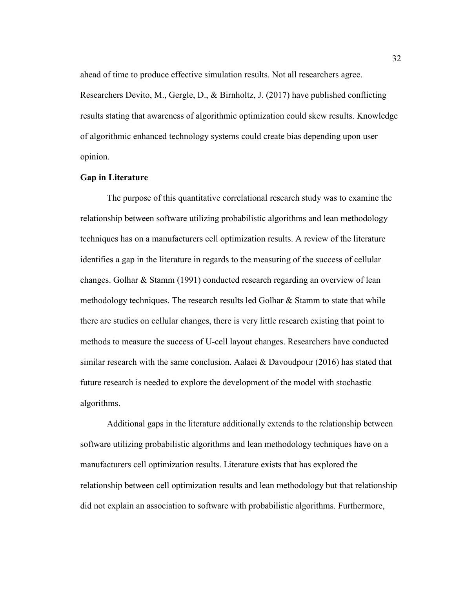ahead of time to produce effective simulation results. Not all researchers agree.

Researchers Devito, M., Gergle, D., & Birnholtz, J. (2017) have published conflicting results stating that awareness of algorithmic optimization could skew results. Knowledge of algorithmic enhanced technology systems could create bias depending upon user opinion.

# **Gap in Literature**

 The purpose of this quantitative correlational research study was to examine the relationship between software utilizing probabilistic algorithms and lean methodology techniques has on a manufacturers cell optimization results. A review of the literature identifies a gap in the literature in regards to the measuring of the success of cellular changes. Golhar & Stamm (1991) conducted research regarding an overview of lean methodology techniques. The research results led Golhar  $\&$  Stamm to state that while there are studies on cellular changes, there is very little research existing that point to methods to measure the success of U-cell layout changes. Researchers have conducted similar research with the same conclusion. Aalaei  $&$  Davoudpour (2016) has stated that future research is needed to explore the development of the model with stochastic algorithms.

 Additional gaps in the literature additionally extends to the relationship between software utilizing probabilistic algorithms and lean methodology techniques have on a manufacturers cell optimization results. Literature exists that has explored the relationship between cell optimization results and lean methodology but that relationship did not explain an association to software with probabilistic algorithms. Furthermore,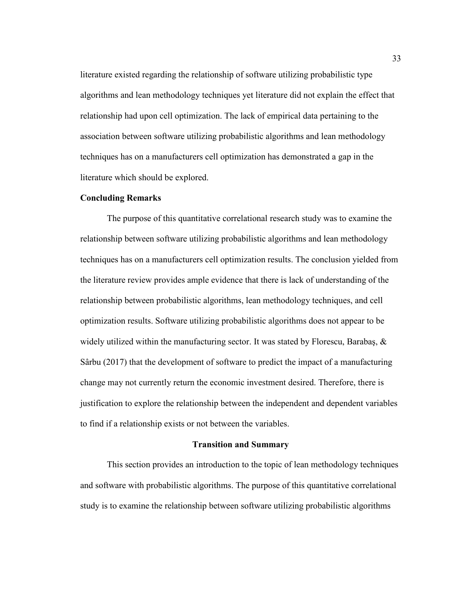literature existed regarding the relationship of software utilizing probabilistic type algorithms and lean methodology techniques yet literature did not explain the effect that relationship had upon cell optimization. The lack of empirical data pertaining to the association between software utilizing probabilistic algorithms and lean methodology techniques has on a manufacturers cell optimization has demonstrated a gap in the literature which should be explored.

# **Concluding Remarks**

 The purpose of this quantitative correlational research study was to examine the relationship between software utilizing probabilistic algorithms and lean methodology techniques has on a manufacturers cell optimization results. The conclusion yielded from the literature review provides ample evidence that there is lack of understanding of the relationship between probabilistic algorithms, lean methodology techniques, and cell optimization results. Software utilizing probabilistic algorithms does not appear to be widely utilized within the manufacturing sector. It was stated by Florescu, Barabaş,  $\&$ Sârbu (2017) that the development of software to predict the impact of a manufacturing change may not currently return the economic investment desired. Therefore, there is justification to explore the relationship between the independent and dependent variables to find if a relationship exists or not between the variables.

## **Transition and Summary**

This section provides an introduction to the topic of lean methodology techniques and software with probabilistic algorithms. The purpose of this quantitative correlational study is to examine the relationship between software utilizing probabilistic algorithms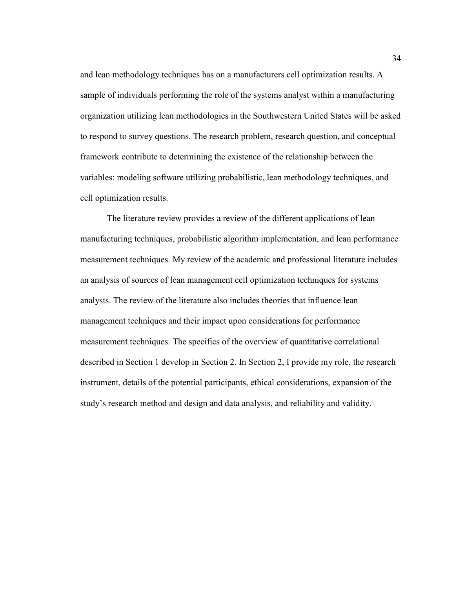and lean methodology techniques has on a manufacturers cell optimization results. A sample of individuals performing the role of the systems analyst within a manufacturing organization utilizing lean methodologies in the Southwestern United States will be asked to respond to survey questions. The research problem, research question, and conceptual framework contribute to determining the existence of the relationship between the variables: modeling software utilizing probabilistic, lean methodology techniques, and cell optimization results.

The literature review provides a review of the different applications of lean manufacturing techniques, probabilistic algorithm implementation, and lean performance measurement techniques. My review of the academic and professional literature includes an analysis of sources of lean management cell optimization techniques for systems analysts. The review of the literature also includes theories that influence lean management techniques and their impact upon considerations for performance measurement techniques. The specifics of the overview of quantitative correlational described in Section 1 develop in Section 2. In Section 2, I provide my role, the research instrument, details of the potential participants, ethical considerations, expansion of the study's research method and design and data analysis, and reliability and validity.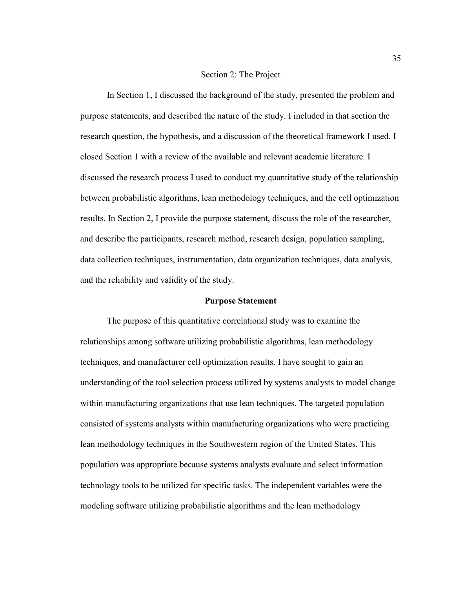### Section 2: The Project

In Section 1, I discussed the background of the study, presented the problem and purpose statements, and described the nature of the study. I included in that section the research question, the hypothesis, and a discussion of the theoretical framework I used. I closed Section 1 with a review of the available and relevant academic literature. I discussed the research process I used to conduct my quantitative study of the relationship between probabilistic algorithms, lean methodology techniques, and the cell optimization results. In Section 2, I provide the purpose statement, discuss the role of the researcher, and describe the participants, research method, research design, population sampling, data collection techniques, instrumentation, data organization techniques, data analysis, and the reliability and validity of the study.

## **Purpose Statement**

 The purpose of this quantitative correlational study was to examine the relationships among software utilizing probabilistic algorithms, lean methodology techniques, and manufacturer cell optimization results. I have sought to gain an understanding of the tool selection process utilized by systems analysts to model change within manufacturing organizations that use lean techniques. The targeted population consisted of systems analysts within manufacturing organizations who were practicing lean methodology techniques in the Southwestern region of the United States. This population was appropriate because systems analysts evaluate and select information technology tools to be utilized for specific tasks. The independent variables were the modeling software utilizing probabilistic algorithms and the lean methodology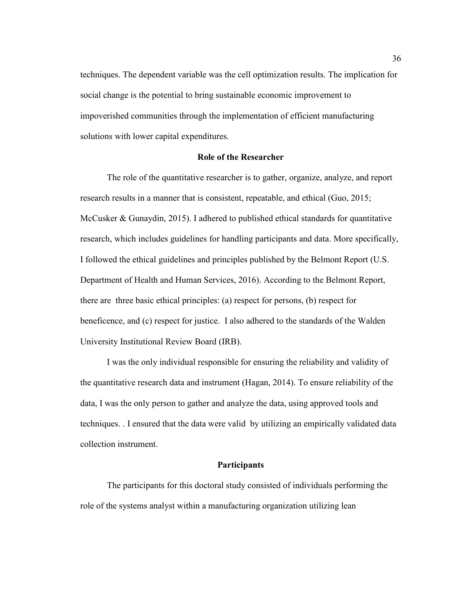techniques. The dependent variable was the cell optimization results. The implication for social change is the potential to bring sustainable economic improvement to impoverished communities through the implementation of efficient manufacturing solutions with lower capital expenditures.

## **Role of the Researcher**

The role of the quantitative researcher is to gather, organize, analyze, and report research results in a manner that is consistent, repeatable, and ethical (Guo, 2015; McCusker & Gunaydin, 2015). I adhered to published ethical standards for quantitative research, which includes guidelines for handling participants and data. More specifically, I followed the ethical guidelines and principles published by the Belmont Report (U.S. Department of Health and Human Services, 2016). According to the Belmont Report, there are three basic ethical principles: (a) respect for persons, (b) respect for beneficence, and (c) respect for justice. I also adhered to the standards of the Walden University Institutional Review Board (IRB).

I was the only individual responsible for ensuring the reliability and validity of the quantitative research data and instrument (Hagan, 2014). To ensure reliability of the data, I was the only person to gather and analyze the data, using approved tools and techniques. . I ensured that the data were valid by utilizing an empirically validated data collection instrument.

# **Participants**

The participants for this doctoral study consisted of individuals performing the role of the systems analyst within a manufacturing organization utilizing lean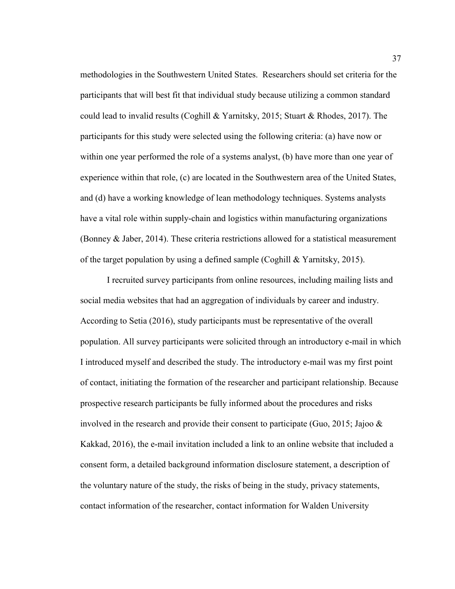methodologies in the Southwestern United States. Researchers should set criteria for the participants that will best fit that individual study because utilizing a common standard could lead to invalid results (Coghill & Yarnitsky, 2015; Stuart & Rhodes, 2017). The participants for this study were selected using the following criteria: (a) have now or within one year performed the role of a systems analyst, (b) have more than one year of experience within that role, (c) are located in the Southwestern area of the United States, and (d) have a working knowledge of lean methodology techniques. Systems analysts have a vital role within supply-chain and logistics within manufacturing organizations (Bonney & Jaber, 2014). These criteria restrictions allowed for a statistical measurement of the target population by using a defined sample (Coghill & Yarnitsky, 2015).

I recruited survey participants from online resources, including mailing lists and social media websites that had an aggregation of individuals by career and industry. According to Setia (2016), study participants must be representative of the overall population. All survey participants were solicited through an introductory e-mail in which I introduced myself and described the study. The introductory e-mail was my first point of contact, initiating the formation of the researcher and participant relationship. Because prospective research participants be fully informed about the procedures and risks involved in the research and provide their consent to participate (Guo, 2015; Jajoo  $\&$ Kakkad, 2016), the e-mail invitation included a link to an online website that included a consent form, a detailed background information disclosure statement, a description of the voluntary nature of the study, the risks of being in the study, privacy statements, contact information of the researcher, contact information for Walden University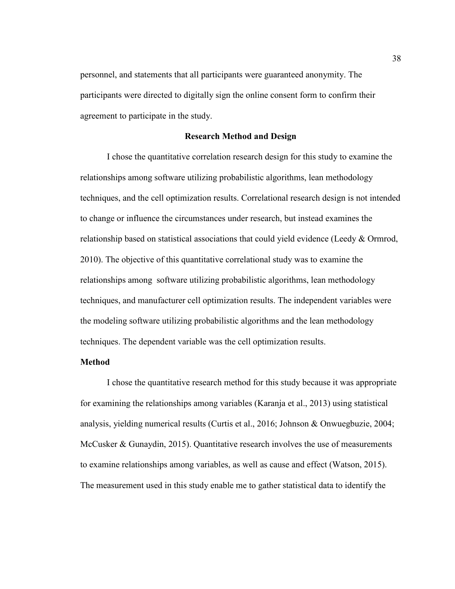personnel, and statements that all participants were guaranteed anonymity. The participants were directed to digitally sign the online consent form to confirm their agreement to participate in the study.

# **Research Method and Design**

I chose the quantitative correlation research design for this study to examine the relationships among software utilizing probabilistic algorithms, lean methodology techniques, and the cell optimization results. Correlational research design is not intended to change or influence the circumstances under research, but instead examines the relationship based on statistical associations that could yield evidence (Leedy & Ormrod, 2010). The objective of this quantitative correlational study was to examine the relationships among software utilizing probabilistic algorithms, lean methodology techniques, and manufacturer cell optimization results. The independent variables were the modeling software utilizing probabilistic algorithms and the lean methodology techniques. The dependent variable was the cell optimization results.

# **Method**

I chose the quantitative research method for this study because it was appropriate for examining the relationships among variables (Karanja et al., 2013) using statistical analysis, yielding numerical results (Curtis et al., 2016; Johnson & Onwuegbuzie, 2004; McCusker & Gunaydin, 2015). Quantitative research involves the use of measurements to examine relationships among variables, as well as cause and effect (Watson, 2015). The measurement used in this study enable me to gather statistical data to identify the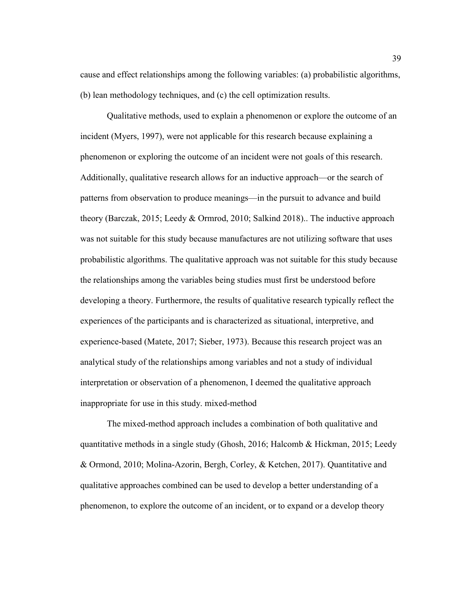cause and effect relationships among the following variables: (a) probabilistic algorithms, (b) lean methodology techniques, and (c) the cell optimization results.

Qualitative methods, used to explain a phenomenon or explore the outcome of an incident (Myers, 1997), were not applicable for this research because explaining a phenomenon or exploring the outcome of an incident were not goals of this research. Additionally, qualitative research allows for an inductive approach—or the search of patterns from observation to produce meanings—in the pursuit to advance and build theory (Barczak, 2015; Leedy & Ormrod, 2010; Salkind 2018).. The inductive approach was not suitable for this study because manufactures are not utilizing software that uses probabilistic algorithms. The qualitative approach was not suitable for this study because the relationships among the variables being studies must first be understood before developing a theory. Furthermore, the results of qualitative research typically reflect the experiences of the participants and is characterized as situational, interpretive, and experience-based (Matete, 2017; Sieber, 1973). Because this research project was an analytical study of the relationships among variables and not a study of individual interpretation or observation of a phenomenon, I deemed the qualitative approach inappropriate for use in this study. mixed-method

The mixed-method approach includes a combination of both qualitative and quantitative methods in a single study (Ghosh, 2016; Halcomb & Hickman, 2015; Leedy & Ormond, 2010; Molina-Azorin, Bergh, Corley, & Ketchen, 2017). Quantitative and qualitative approaches combined can be used to develop a better understanding of a phenomenon, to explore the outcome of an incident, or to expand or a develop theory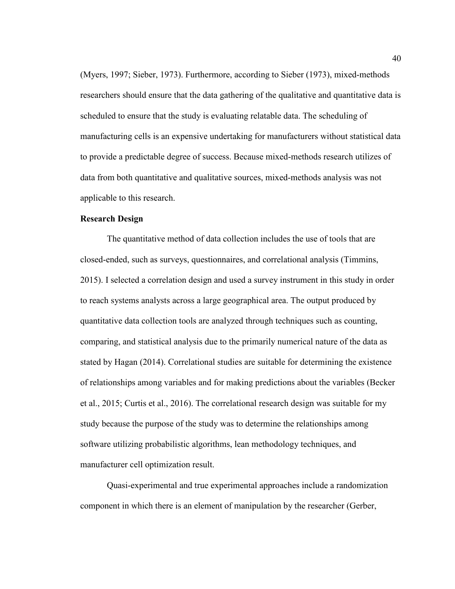(Myers, 1997; Sieber, 1973). Furthermore, according to Sieber (1973), mixed-methods researchers should ensure that the data gathering of the qualitative and quantitative data is scheduled to ensure that the study is evaluating relatable data. The scheduling of manufacturing cells is an expensive undertaking for manufacturers without statistical data to provide a predictable degree of success. Because mixed-methods research utilizes of data from both quantitative and qualitative sources, mixed-methods analysis was not applicable to this research.

## **Research Design**

The quantitative method of data collection includes the use of tools that are closed-ended, such as surveys, questionnaires, and correlational analysis (Timmins, 2015). I selected a correlation design and used a survey instrument in this study in order to reach systems analysts across a large geographical area. The output produced by quantitative data collection tools are analyzed through techniques such as counting, comparing, and statistical analysis due to the primarily numerical nature of the data as stated by Hagan (2014). Correlational studies are suitable for determining the existence of relationships among variables and for making predictions about the variables (Becker et al., 2015; Curtis et al., 2016). The correlational research design was suitable for my study because the purpose of the study was to determine the relationships among software utilizing probabilistic algorithms, lean methodology techniques, and manufacturer cell optimization result.

Quasi-experimental and true experimental approaches include a randomization component in which there is an element of manipulation by the researcher (Gerber,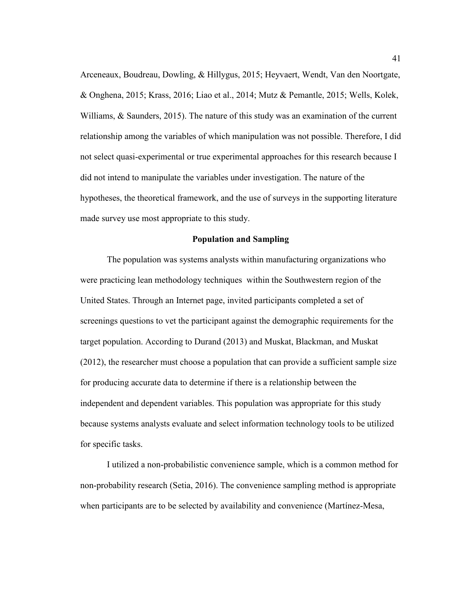Arceneaux, Boudreau, Dowling, & Hillygus, 2015; Heyvaert, Wendt, Van den Noortgate, & Onghena, 2015; Krass, 2016; Liao et al., 2014; Mutz & Pemantle, 2015; Wells, Kolek, Williams, & Saunders, 2015). The nature of this study was an examination of the current relationship among the variables of which manipulation was not possible. Therefore, I did not select quasi-experimental or true experimental approaches for this research because I did not intend to manipulate the variables under investigation. The nature of the hypotheses, the theoretical framework, and the use of surveys in the supporting literature made survey use most appropriate to this study.

### **Population and Sampling**

The population was systems analysts within manufacturing organizations who were practicing lean methodology techniques within the Southwestern region of the United States. Through an Internet page, invited participants completed a set of screenings questions to vet the participant against the demographic requirements for the target population. According to Durand (2013) and Muskat, Blackman, and Muskat (2012), the researcher must choose a population that can provide a sufficient sample size for producing accurate data to determine if there is a relationship between the independent and dependent variables. This population was appropriate for this study because systems analysts evaluate and select information technology tools to be utilized for specific tasks.

I utilized a non-probabilistic convenience sample, which is a common method for non-probability research (Setia, 2016). The convenience sampling method is appropriate when participants are to be selected by availability and convenience (Martínez-Mesa,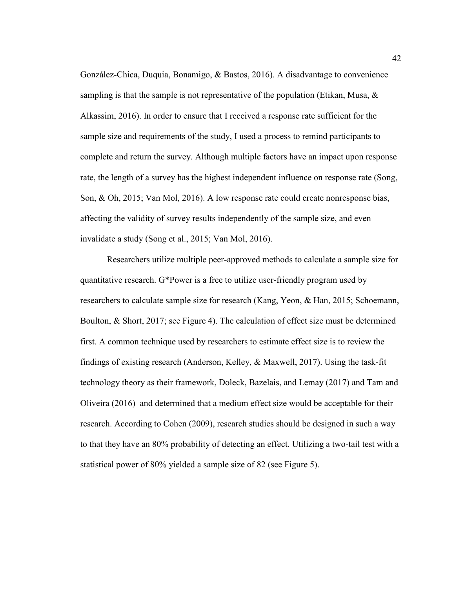González-Chica, Duquia, Bonamigo, & Bastos, 2016). A disadvantage to convenience sampling is that the sample is not representative of the population (Etikan, Musa,  $\&$ Alkassim, 2016). In order to ensure that I received a response rate sufficient for the sample size and requirements of the study, I used a process to remind participants to complete and return the survey. Although multiple factors have an impact upon response rate, the length of a survey has the highest independent influence on response rate (Song, Son, & Oh, 2015; Van Mol, 2016). A low response rate could create nonresponse bias, affecting the validity of survey results independently of the sample size, and even invalidate a study (Song et al., 2015; Van Mol, 2016).

Researchers utilize multiple peer-approved methods to calculate a sample size for quantitative research. G\*Power is a free to utilize user-friendly program used by researchers to calculate sample size for research (Kang, Yeon, & Han, 2015; Schoemann, Boulton, & Short, 2017; see Figure 4). The calculation of effect size must be determined first. A common technique used by researchers to estimate effect size is to review the findings of existing research (Anderson, Kelley, & Maxwell, 2017). Using the task-fit technology theory as their framework, Doleck, Bazelais, and Lemay (2017) and Tam and Oliveira (2016) and determined that a medium effect size would be acceptable for their research. According to Cohen (2009), research studies should be designed in such a way to that they have an 80% probability of detecting an effect. Utilizing a two-tail test with a statistical power of 80% yielded a sample size of 82 (see Figure 5).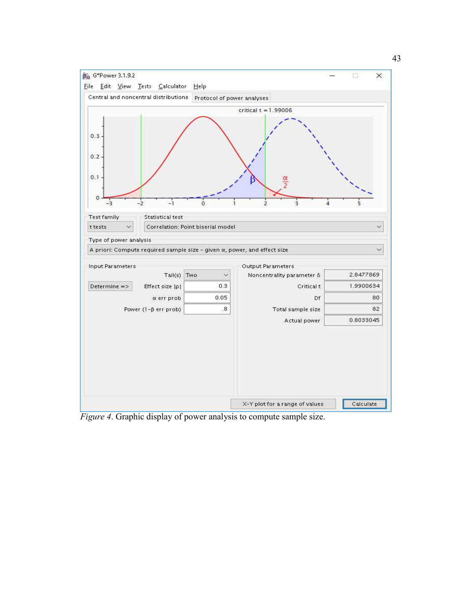

*Figure 4*. Graphic display of power analysis to compute sample size.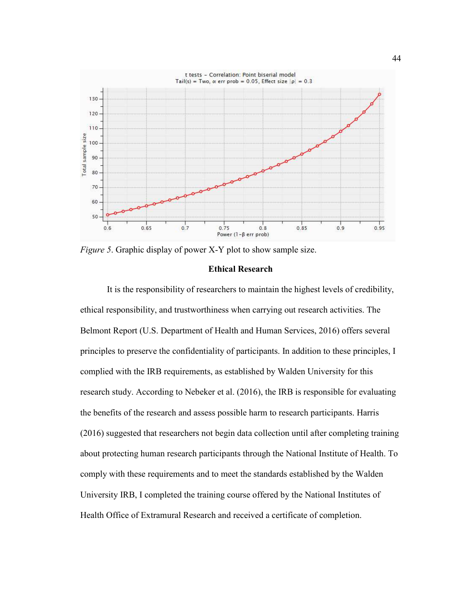

*Figure 5*. Graphic display of power X-Y plot to show sample size.

## **Ethical Research**

It is the responsibility of researchers to maintain the highest levels of credibility, ethical responsibility, and trustworthiness when carrying out research activities. The Belmont Report (U.S. Department of Health and Human Services, 2016) offers several principles to preserve the confidentiality of participants. In addition to these principles, I complied with the IRB requirements, as established by Walden University for this research study. According to Nebeker et al. (2016), the IRB is responsible for evaluating the benefits of the research and assess possible harm to research participants. Harris (2016) suggested that researchers not begin data collection until after completing training about protecting human research participants through the National Institute of Health. To comply with these requirements and to meet the standards established by the Walden University IRB, I completed the training course offered by the National Institutes of Health Office of Extramural Research and received a certificate of completion.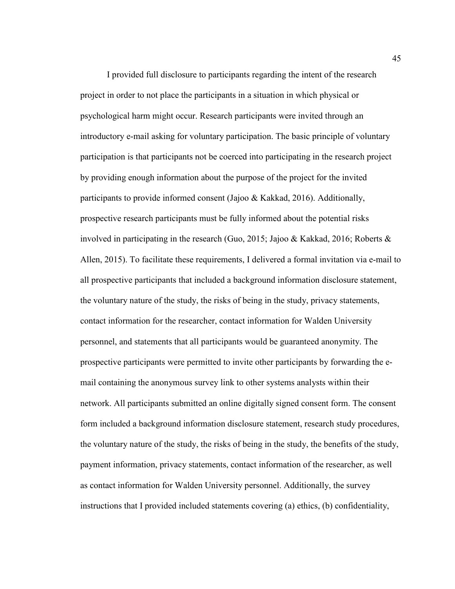I provided full disclosure to participants regarding the intent of the research project in order to not place the participants in a situation in which physical or psychological harm might occur. Research participants were invited through an introductory e-mail asking for voluntary participation. The basic principle of voluntary participation is that participants not be coerced into participating in the research project by providing enough information about the purpose of the project for the invited participants to provide informed consent (Jajoo & Kakkad, 2016). Additionally, prospective research participants must be fully informed about the potential risks involved in participating in the research (Guo, 2015; Jajoo & Kakkad, 2016; Roberts & Allen, 2015). To facilitate these requirements, I delivered a formal invitation via e-mail to all prospective participants that included a background information disclosure statement, the voluntary nature of the study, the risks of being in the study, privacy statements, contact information for the researcher, contact information for Walden University personnel, and statements that all participants would be guaranteed anonymity. The prospective participants were permitted to invite other participants by forwarding the email containing the anonymous survey link to other systems analysts within their network. All participants submitted an online digitally signed consent form. The consent form included a background information disclosure statement, research study procedures, the voluntary nature of the study, the risks of being in the study, the benefits of the study, payment information, privacy statements, contact information of the researcher, as well as contact information for Walden University personnel. Additionally, the survey instructions that I provided included statements covering (a) ethics, (b) confidentiality,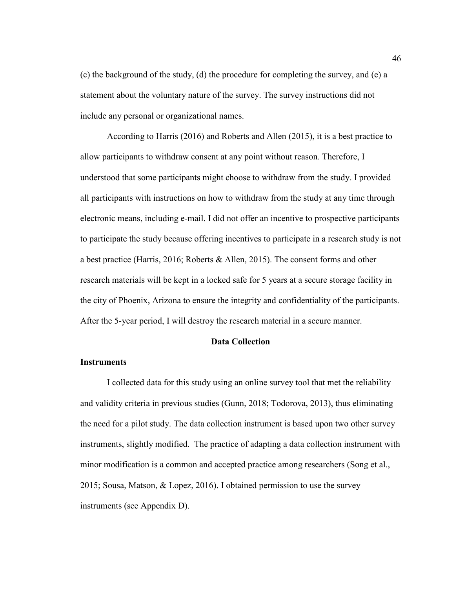(c) the background of the study, (d) the procedure for completing the survey, and (e) a statement about the voluntary nature of the survey. The survey instructions did not include any personal or organizational names.

According to Harris (2016) and Roberts and Allen (2015), it is a best practice to allow participants to withdraw consent at any point without reason. Therefore, I understood that some participants might choose to withdraw from the study. I provided all participants with instructions on how to withdraw from the study at any time through electronic means, including e-mail. I did not offer an incentive to prospective participants to participate the study because offering incentives to participate in a research study is not a best practice (Harris, 2016; Roberts & Allen, 2015). The consent forms and other research materials will be kept in a locked safe for 5 years at a secure storage facility in the city of Phoenix, Arizona to ensure the integrity and confidentiality of the participants. After the 5-year period, I will destroy the research material in a secure manner.

## **Data Collection**

# **Instruments**

I collected data for this study using an online survey tool that met the reliability and validity criteria in previous studies (Gunn, 2018; Todorova, 2013), thus eliminating the need for a pilot study. The data collection instrument is based upon two other survey instruments, slightly modified. The practice of adapting a data collection instrument with minor modification is a common and accepted practice among researchers (Song et al., 2015; Sousa, Matson, & Lopez, 2016). I obtained permission to use the survey instruments (see Appendix D).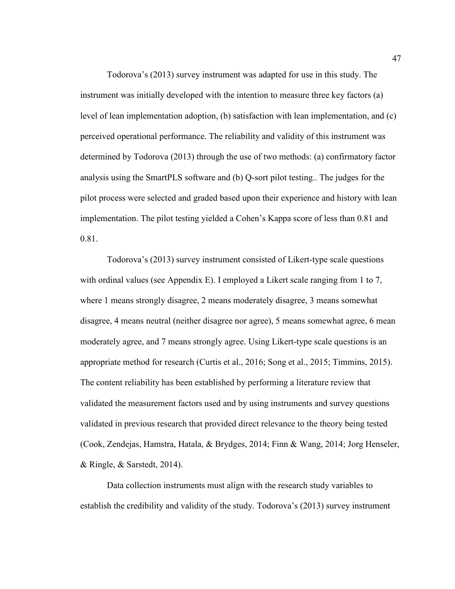Todorova's (2013) survey instrument was adapted for use in this study. The instrument was initially developed with the intention to measure three key factors (a) level of lean implementation adoption, (b) satisfaction with lean implementation, and (c) perceived operational performance. The reliability and validity of this instrument was determined by Todorova (2013) through the use of two methods: (a) confirmatory factor analysis using the SmartPLS software and (b) Q-sort pilot testing.. The judges for the pilot process were selected and graded based upon their experience and history with lean implementation. The pilot testing yielded a Cohen's Kappa score of less than 0.81 and 0.81.

Todorova's (2013) survey instrument consisted of Likert-type scale questions with ordinal values (see Appendix E). I employed a Likert scale ranging from 1 to 7, where 1 means strongly disagree, 2 means moderately disagree, 3 means somewhat disagree, 4 means neutral (neither disagree nor agree), 5 means somewhat agree, 6 mean moderately agree, and 7 means strongly agree. Using Likert-type scale questions is an appropriate method for research (Curtis et al., 2016; Song et al., 2015; Timmins, 2015). The content reliability has been established by performing a literature review that validated the measurement factors used and by using instruments and survey questions validated in previous research that provided direct relevance to the theory being tested (Cook, Zendejas, Hamstra, Hatala, & Brydges, 2014; Finn & Wang, 2014; Jorg Henseler, & Ringle, & Sarstedt, 2014).

Data collection instruments must align with the research study variables to establish the credibility and validity of the study. Todorova's (2013) survey instrument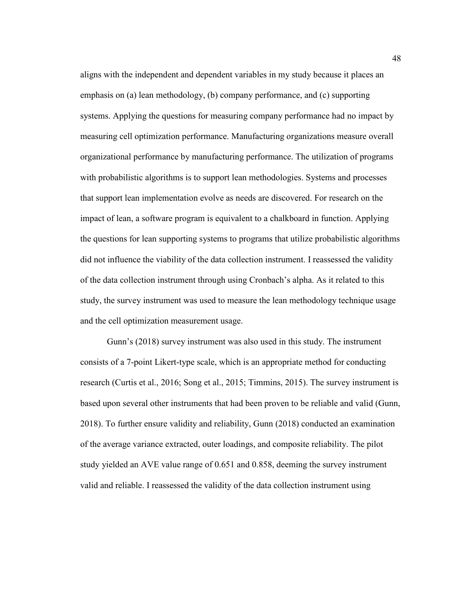aligns with the independent and dependent variables in my study because it places an emphasis on (a) lean methodology, (b) company performance, and (c) supporting systems. Applying the questions for measuring company performance had no impact by measuring cell optimization performance. Manufacturing organizations measure overall organizational performance by manufacturing performance. The utilization of programs with probabilistic algorithms is to support lean methodologies. Systems and processes that support lean implementation evolve as needs are discovered. For research on the impact of lean, a software program is equivalent to a chalkboard in function. Applying the questions for lean supporting systems to programs that utilize probabilistic algorithms did not influence the viability of the data collection instrument. I reassessed the validity of the data collection instrument through using Cronbach's alpha. As it related to this study, the survey instrument was used to measure the lean methodology technique usage and the cell optimization measurement usage.

Gunn's (2018) survey instrument was also used in this study. The instrument consists of a 7-point Likert-type scale, which is an appropriate method for conducting research (Curtis et al., 2016; Song et al., 2015; Timmins, 2015). The survey instrument is based upon several other instruments that had been proven to be reliable and valid (Gunn, 2018). To further ensure validity and reliability, Gunn (2018) conducted an examination of the average variance extracted, outer loadings, and composite reliability. The pilot study yielded an AVE value range of 0.651 and 0.858, deeming the survey instrument valid and reliable. I reassessed the validity of the data collection instrument using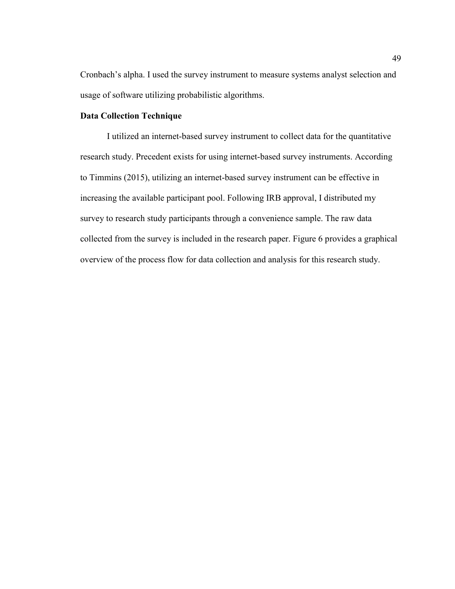Cronbach's alpha. I used the survey instrument to measure systems analyst selection and usage of software utilizing probabilistic algorithms.

# **Data Collection Technique**

I utilized an internet-based survey instrument to collect data for the quantitative research study. Precedent exists for using internet-based survey instruments. According to Timmins (2015), utilizing an internet-based survey instrument can be effective in increasing the available participant pool. Following IRB approval, I distributed my survey to research study participants through a convenience sample. The raw data collected from the survey is included in the research paper. Figure 6 provides a graphical overview of the process flow for data collection and analysis for this research study.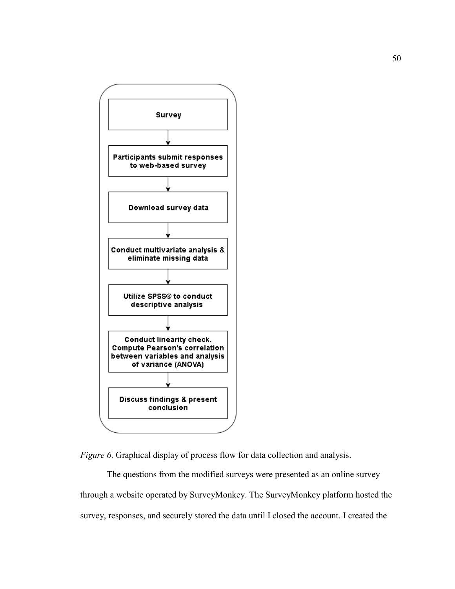

*Figure 6.* Graphical display of process flow for data collection and analysis.

The questions from the modified surveys were presented as an online survey through a website operated by SurveyMonkey. The SurveyMonkey platform hosted the survey, responses, and securely stored the data until I closed the account. I created the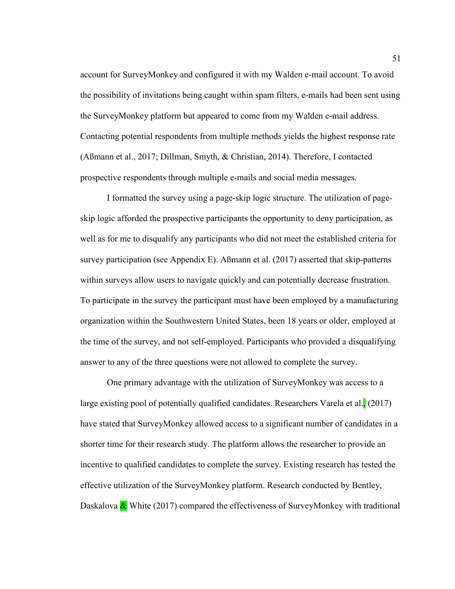account for SurveyMonkey and configured it with my Walden e-mail account. To avoid the possibility of invitations being caught within spam filters, e-mails had been sent using the SurveyMonkey platform but appeared to come from my Walden e-mail address. Contacting potential respondents from multiple methods yields the highest response rate (Aßmann et al., 2017; Dillman, Smyth, & Christian, 2014). Therefore, I contacted prospective respondents through multiple e-mails and social media messages.

I formatted the survey using a page-skip logic structure. The utilization of pageskip logic afforded the prospective participants the opportunity to deny participation, as well as for me to disqualify any participants who did not meet the established criteria for survey participation (see Appendix E). Aßmann et al. (2017) asserted that skip-patterns within surveys allow users to navigate quickly and can potentially decrease frustration. To participate in the survey the participant must have been employed by a manufacturing organization within the Southwestern United States, been 18 years or older, employed at the time of the survey, and not self-employed. Participants who provided a disqualifying answer to any of the three questions were not allowed to complete the survey.

One primary advantage with the utilization of SurveyMonkey was access to a large existing pool of potentially qualified candidates. Researchers Varela et al. (2017) have stated that SurveyMonkey allowed access to a significant number of candidates in a shorter time for their research study. The platform allows the researcher to provide an incentive to qualified candidates to complete the survey. Existing research has tested the effective utilization of the SurveyMonkey platform. Research conducted by Bentley, Daskalova  $\&$  White (2017) compared the effectiveness of SurveyMonkey with traditional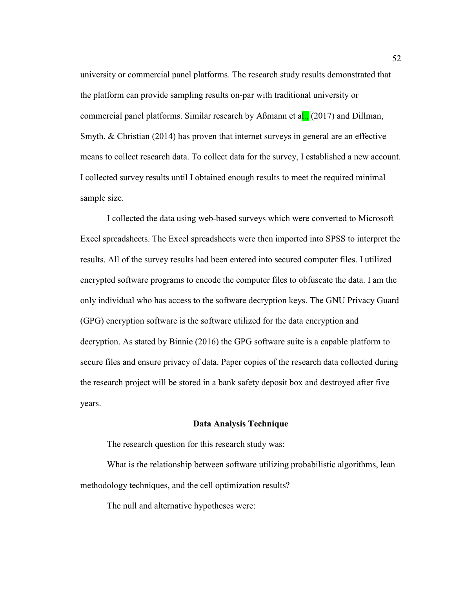university or commercial panel platforms. The research study results demonstrated that the platform can provide sampling results on-par with traditional university or commercial panel platforms. Similar research by Aßmann et al., (2017) and Dillman, Smyth, & Christian (2014) has proven that internet surveys in general are an effective means to collect research data. To collect data for the survey, I established a new account. I collected survey results until I obtained enough results to meet the required minimal sample size.

I collected the data using web-based surveys which were converted to Microsoft Excel spreadsheets. The Excel spreadsheets were then imported into SPSS to interpret the results. All of the survey results had been entered into secured computer files. I utilized encrypted software programs to encode the computer files to obfuscate the data. I am the only individual who has access to the software decryption keys. The GNU Privacy Guard (GPG) encryption software is the software utilized for the data encryption and decryption. As stated by Binnie (2016) the GPG software suite is a capable platform to secure files and ensure privacy of data. Paper copies of the research data collected during the research project will be stored in a bank safety deposit box and destroyed after five years.

#### **Data Analysis Technique**

The research question for this research study was:

What is the relationship between software utilizing probabilistic algorithms, lean methodology techniques, and the cell optimization results?

The null and alternative hypotheses were: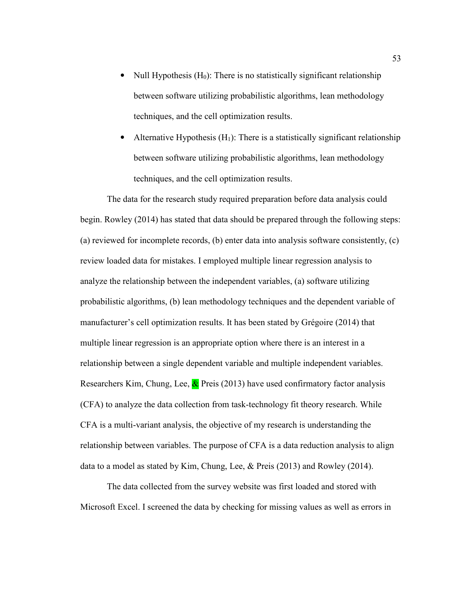- Null Hypothesis  $(H_0)$ : There is no statistically significant relationship between software utilizing probabilistic algorithms, lean methodology techniques, and the cell optimization results.
- Alternative Hypothesis  $(H_1)$ : There is a statistically significant relationship between software utilizing probabilistic algorithms, lean methodology techniques, and the cell optimization results.

The data for the research study required preparation before data analysis could begin. Rowley (2014) has stated that data should be prepared through the following steps: (a) reviewed for incomplete records, (b) enter data into analysis software consistently, (c) review loaded data for mistakes. I employed multiple linear regression analysis to analyze the relationship between the independent variables, (a) software utilizing probabilistic algorithms, (b) lean methodology techniques and the dependent variable of manufacturer's cell optimization results. It has been stated by Grégoire (2014) that multiple linear regression is an appropriate option where there is an interest in a relationship between a single dependent variable and multiple independent variables. Researchers Kim, Chung, Lee,  $\&$  Preis (2013) have used confirmatory factor analysis (CFA) to analyze the data collection from task-technology fit theory research. While CFA is a multi-variant analysis, the objective of my research is understanding the relationship between variables. The purpose of CFA is a data reduction analysis to align data to a model as stated by Kim, Chung, Lee, & Preis (2013) and Rowley (2014).

The data collected from the survey website was first loaded and stored with Microsoft Excel. I screened the data by checking for missing values as well as errors in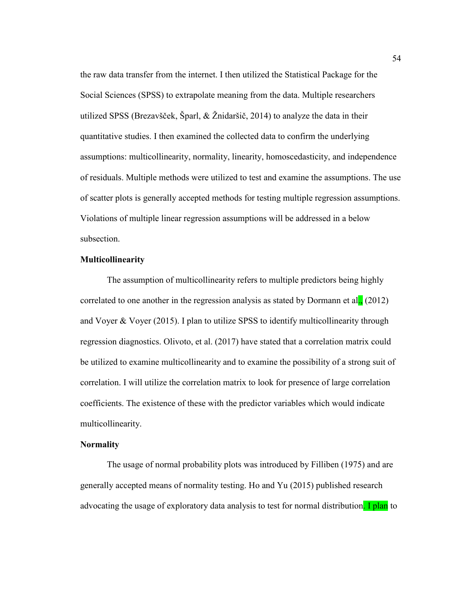the raw data transfer from the internet. I then utilized the Statistical Package for the Social Sciences (SPSS) to extrapolate meaning from the data. Multiple researchers utilized SPSS (Brezavšček, Šparl, & Žnidaršič, 2014) to analyze the data in their quantitative studies. I then examined the collected data to confirm the underlying assumptions: multicollinearity, normality, linearity, homoscedasticity, and independence of residuals. Multiple methods were utilized to test and examine the assumptions. The use of scatter plots is generally accepted methods for testing multiple regression assumptions. Violations of multiple linear regression assumptions will be addressed in a below subsection.

# **Multicollinearity**

The assumption of multicollinearity refers to multiple predictors being highly correlated to one another in the regression analysis as stated by Dormann et al.,  $(2012)$ and Voyer & Voyer (2015). I plan to utilize SPSS to identify multicollinearity through regression diagnostics. Olivoto, et al. (2017) have stated that a correlation matrix could be utilized to examine multicollinearity and to examine the possibility of a strong suit of correlation. I will utilize the correlation matrix to look for presence of large correlation coefficients. The existence of these with the predictor variables which would indicate multicollinearity.

# **Normality**

The usage of normal probability plots was introduced by Filliben (1975) and are generally accepted means of normality testing. Ho and Yu (2015) published research advocating the usage of exploratory data analysis to test for normal distribution. **I plan** to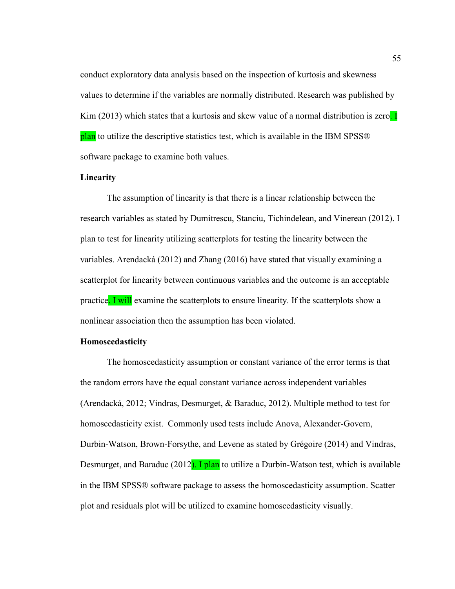conduct exploratory data analysis based on the inspection of kurtosis and skewness values to determine if the variables are normally distributed. Research was published by Kim (2013) which states that a kurtosis and skew value of a normal distribution is zero. I plan to utilize the descriptive statistics test, which is available in the IBM SPSS® software package to examine both values.

# **Linearity**

The assumption of linearity is that there is a linear relationship between the research variables as stated by Dumitrescu, Stanciu, Tichindelean, and Vinerean (2012). I plan to test for linearity utilizing scatterplots for testing the linearity between the variables. Arendacká (2012) and Zhang (2016) have stated that visually examining a scatterplot for linearity between continuous variables and the outcome is an acceptable practice. I will examine the scatterplots to ensure linearity. If the scatterplots show a nonlinear association then the assumption has been violated.

## **Homoscedasticity**

The homoscedasticity assumption or constant variance of the error terms is that the random errors have the equal constant variance across independent variables (Arendacká, 2012; Vindras, Desmurget, & Baraduc, 2012). Multiple method to test for homoscedasticity exist. Commonly used tests include Anova, Alexander-Govern, Durbin-Watson, Brown-Forsythe, and Levene as stated by Grégoire (2014) and Vindras, Desmurget, and Baraduc (2012). I plan to utilize a Durbin-Watson test, which is available in the IBM SPSS® software package to assess the homoscedasticity assumption. Scatter plot and residuals plot will be utilized to examine homoscedasticity visually.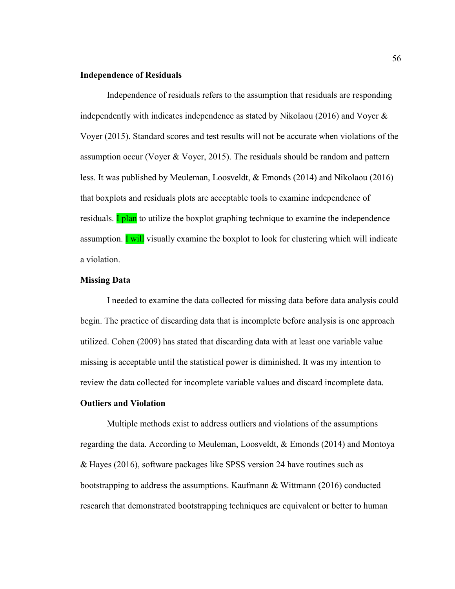## **Independence of Residuals**

Independence of residuals refers to the assumption that residuals are responding independently with indicates independence as stated by Nikolaou (2016) and Voyer  $\&$ Voyer (2015). Standard scores and test results will not be accurate when violations of the assumption occur (Voyer & Voyer, 2015). The residuals should be random and pattern less. It was published by Meuleman, Loosveldt, & Emonds (2014) and Nikolaou (2016) that boxplots and residuals plots are acceptable tools to examine independence of residuals. **I plan** to utilize the boxplot graphing technique to examine the independence assumption. **I** will visually examine the boxplot to look for clustering which will indicate a violation.

### **Missing Data**

 I needed to examine the data collected for missing data before data analysis could begin. The practice of discarding data that is incomplete before analysis is one approach utilized. Cohen (2009) has stated that discarding data with at least one variable value missing is acceptable until the statistical power is diminished. It was my intention to review the data collected for incomplete variable values and discard incomplete data.

### **Outliers and Violation**

Multiple methods exist to address outliers and violations of the assumptions regarding the data. According to Meuleman, Loosveldt, & Emonds (2014) and Montoya & Hayes (2016), software packages like SPSS version 24 have routines such as bootstrapping to address the assumptions. Kaufmann & Wittmann (2016) conducted research that demonstrated bootstrapping techniques are equivalent or better to human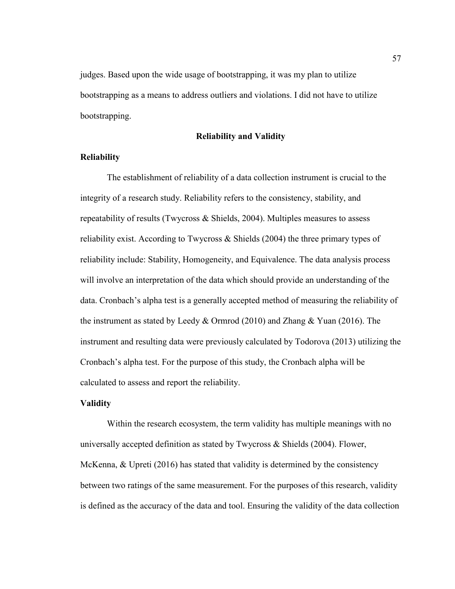judges. Based upon the wide usage of bootstrapping, it was my plan to utilize bootstrapping as a means to address outliers and violations. I did not have to utilize bootstrapping.

## **Reliability and Validity**

## **Reliability**

The establishment of reliability of a data collection instrument is crucial to the integrity of a research study. Reliability refers to the consistency, stability, and repeatability of results (Twycross & Shields, 2004). Multiples measures to assess reliability exist. According to Twycross & Shields (2004) the three primary types of reliability include: Stability, Homogeneity, and Equivalence. The data analysis process will involve an interpretation of the data which should provide an understanding of the data. Cronbach's alpha test is a generally accepted method of measuring the reliability of the instrument as stated by Leedy & Ormrod (2010) and Zhang & Yuan (2016). The instrument and resulting data were previously calculated by Todorova (2013) utilizing the Cronbach's alpha test. For the purpose of this study, the Cronbach alpha will be calculated to assess and report the reliability.

## **Validity**

Within the research ecosystem, the term validity has multiple meanings with no universally accepted definition as stated by Twycross  $\&$  Shields (2004). Flower, McKenna, & Upreti (2016) has stated that validity is determined by the consistency between two ratings of the same measurement. For the purposes of this research, validity is defined as the accuracy of the data and tool. Ensuring the validity of the data collection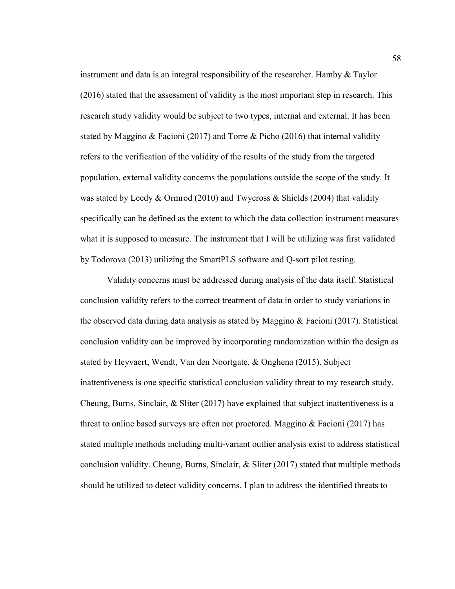instrument and data is an integral responsibility of the researcher. Hamby & Taylor (2016) stated that the assessment of validity is the most important step in research. This research study validity would be subject to two types, internal and external. It has been stated by Maggino & Facioni (2017) and Torre & Picho (2016) that internal validity refers to the verification of the validity of the results of the study from the targeted population, external validity concerns the populations outside the scope of the study. It was stated by Leedy & Ormrod (2010) and Twycross & Shields (2004) that validity specifically can be defined as the extent to which the data collection instrument measures what it is supposed to measure. The instrument that I will be utilizing was first validated by Todorova (2013) utilizing the SmartPLS software and Q-sort pilot testing.

Validity concerns must be addressed during analysis of the data itself. Statistical conclusion validity refers to the correct treatment of data in order to study variations in the observed data during data analysis as stated by Maggino & Facioni (2017). Statistical conclusion validity can be improved by incorporating randomization within the design as stated by Heyvaert, Wendt, Van den Noortgate, & Onghena (2015). Subject inattentiveness is one specific statistical conclusion validity threat to my research study. Cheung, Burns, Sinclair, & Sliter (2017) have explained that subject inattentiveness is a threat to online based surveys are often not proctored. Maggino  $\&$  Facioni (2017) has stated multiple methods including multi-variant outlier analysis exist to address statistical conclusion validity. Cheung, Burns, Sinclair, & Sliter (2017) stated that multiple methods should be utilized to detect validity concerns. I plan to address the identified threats to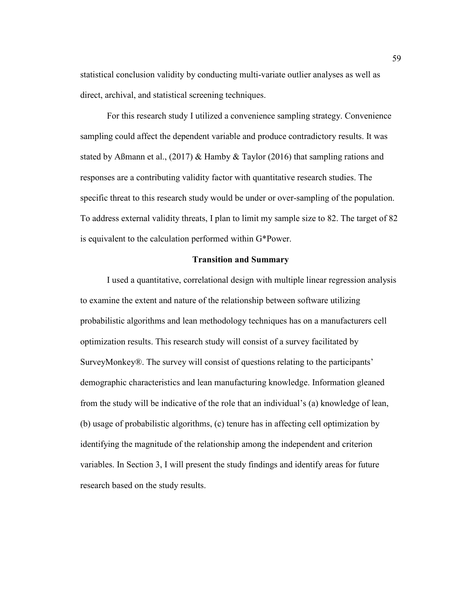statistical conclusion validity by conducting multi-variate outlier analyses as well as direct, archival, and statistical screening techniques.

For this research study I utilized a convenience sampling strategy. Convenience sampling could affect the dependent variable and produce contradictory results. It was stated by Aßmann et al., (2017) & Hamby & Taylor (2016) that sampling rations and responses are a contributing validity factor with quantitative research studies. The specific threat to this research study would be under or over-sampling of the population. To address external validity threats, I plan to limit my sample size to 82. The target of 82 is equivalent to the calculation performed within G\*Power.

## **Transition and Summary**

I used a quantitative, correlational design with multiple linear regression analysis to examine the extent and nature of the relationship between software utilizing probabilistic algorithms and lean methodology techniques has on a manufacturers cell optimization results. This research study will consist of a survey facilitated by SurveyMonkey®. The survey will consist of questions relating to the participants' demographic characteristics and lean manufacturing knowledge. Information gleaned from the study will be indicative of the role that an individual's (a) knowledge of lean, (b) usage of probabilistic algorithms, (c) tenure has in affecting cell optimization by identifying the magnitude of the relationship among the independent and criterion variables. In Section 3, I will present the study findings and identify areas for future research based on the study results.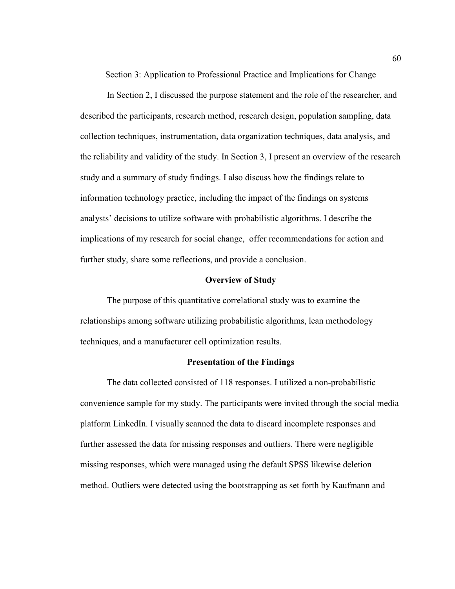Section 3: Application to Professional Practice and Implications for Change

In Section 2, I discussed the purpose statement and the role of the researcher, and described the participants, research method, research design, population sampling, data collection techniques, instrumentation, data organization techniques, data analysis, and the reliability and validity of the study. In Section 3, I present an overview of the research study and a summary of study findings. I also discuss how the findings relate to information technology practice, including the impact of the findings on systems analysts' decisions to utilize software with probabilistic algorithms. I describe the implications of my research for social change, offer recommendations for action and further study, share some reflections, and provide a conclusion.

## **Overview of Study**

The purpose of this quantitative correlational study was to examine the relationships among software utilizing probabilistic algorithms, lean methodology techniques, and a manufacturer cell optimization results.

# **Presentation of the Findings**

The data collected consisted of 118 responses. I utilized a non-probabilistic convenience sample for my study. The participants were invited through the social media platform LinkedIn. I visually scanned the data to discard incomplete responses and further assessed the data for missing responses and outliers. There were negligible missing responses, which were managed using the default SPSS likewise deletion method. Outliers were detected using the bootstrapping as set forth by Kaufmann and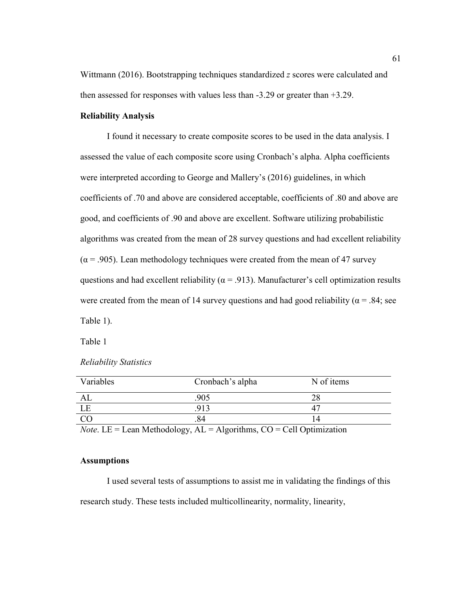Wittmann (2016). Bootstrapping techniques standardized *z* scores were calculated and then assessed for responses with values less than -3.29 or greater than +3.29.

### **Reliability Analysis**

I found it necessary to create composite scores to be used in the data analysis. I assessed the value of each composite score using Cronbach's alpha. Alpha coefficients were interpreted according to George and Mallery's (2016) guidelines, in which coefficients of .70 and above are considered acceptable, coefficients of .80 and above are good, and coefficients of .90 and above are excellent. Software utilizing probabilistic algorithms was created from the mean of 28 survey questions and had excellent reliability  $(\alpha = .905)$ . Lean methodology techniques were created from the mean of 47 survey questions and had excellent reliability ( $\alpha$  = .913). Manufacturer's cell optimization results were created from the mean of 14 survey questions and had good reliability ( $\alpha$  = .84; see Table 1).

Table 1

| Variables | Cronbach's alpha | N of items |
|-----------|------------------|------------|
|           | 905              |            |
|           |                  |            |
|           |                  |            |

### *Reliability Statistics*

*Note*. LE = Lean Methodology,  $AL =$  Algorithms,  $CO =$  Cell Optimization

## **Assumptions**

I used several tests of assumptions to assist me in validating the findings of this research study. These tests included multicollinearity, normality, linearity,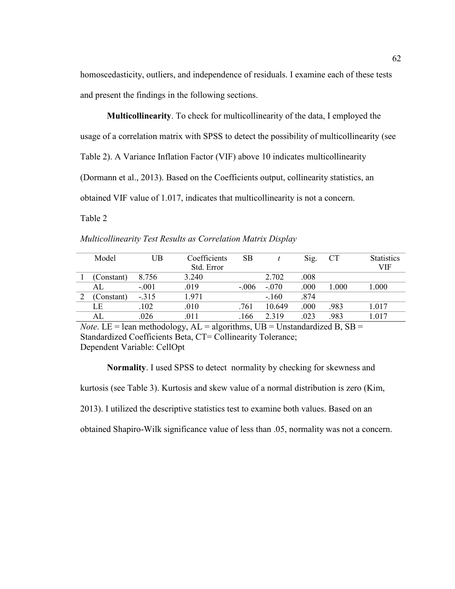homoscedasticity, outliers, and independence of residuals. I examine each of these tests and present the findings in the following sections.

**Multicollinearity**. To check for multicollinearity of the data, I employed the usage of a correlation matrix with SPSS to detect the possibility of multicollinearity (see Table 2). A Variance Inflation Factor (VIF) above 10 indicates multicollinearity (Dormann et al., 2013). Based on the Coefficients output, collinearity statistics, an obtained VIF value of 1.017, indicates that multicollinearity is not a concern.

Table 2

| Multicollinearity Test Results as Correlation Matrix Display |
|--------------------------------------------------------------|
|--------------------------------------------------------------|

| Model      | UB      | Coefficients | SВ      |         | Sig. | <b>CT</b> | <b>Statistics</b> |
|------------|---------|--------------|---------|---------|------|-----------|-------------------|
|            |         | Std. Error   |         |         |      |           | VIF               |
| Constant)  | 8.756   | 3.240        |         | 2.702   | .008 |           |                   |
| AL.        | $-.001$ | .019         | $-.006$ | $-070$  | .000 | .000      | 1.000             |
| (Constant) | $-.315$ | 1.971        |         | $-.160$ | .874 |           |                   |
| LE         | .102    | .010         | .761    | 10.649  | .000 | .983      | 1.017             |
|            | 026     | .011         | 166     | 2319    | .023 | 983       | 1.017             |

*Note*. LE = lean methodology,  $AL =$  algorithms,  $UB =$  Unstandardized B,  $SB =$ Standardized Coefficients Beta, CT= Collinearity Tolerance; Dependent Variable: CellOpt

**Normality**. I used SPSS to detect normality by checking for skewness and

kurtosis (see Table 3). Kurtosis and skew value of a normal distribution is zero (Kim,

2013). I utilized the descriptive statistics test to examine both values. Based on an

obtained Shapiro-Wilk significance value of less than .05, normality was not a concern.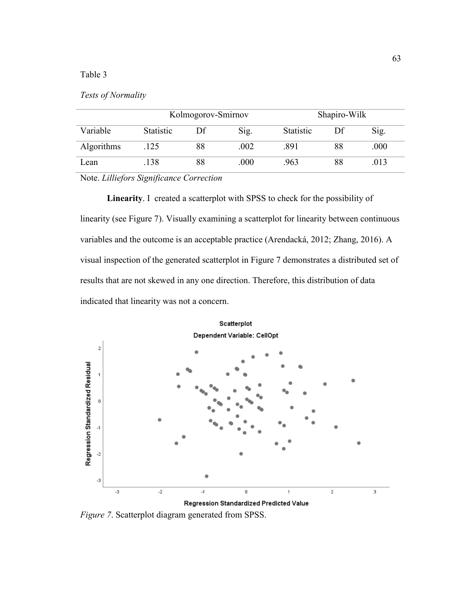# Table 3

## *Tests of Normality*

|            | Kolmogorov-Smirnov |    |      | Shapiro-Wilk |    |      |
|------------|--------------------|----|------|--------------|----|------|
| Variable   | Statistic          | Df | Sig. | Statistic    | Df | Sig. |
| Algorithms | .125               | 88 | .002 | .891         | 88 | .000 |
| Lean       | .138               | 88 | .000 | .963         | 88 | .013 |

Note. *Lilliefors Significance Correction*

**Linearity**. I created a scatterplot with SPSS to check for the possibility of linearity (see Figure 7). Visually examining a scatterplot for linearity between continuous variables and the outcome is an acceptable practice (Arendacká, 2012; Zhang, 2016). A visual inspection of the generated scatterplot in Figure 7 demonstrates a distributed set of results that are not skewed in any one direction. Therefore, this distribution of data indicated that linearity was not a concern.



*Figure 7*. Scatterplot diagram generated from SPSS.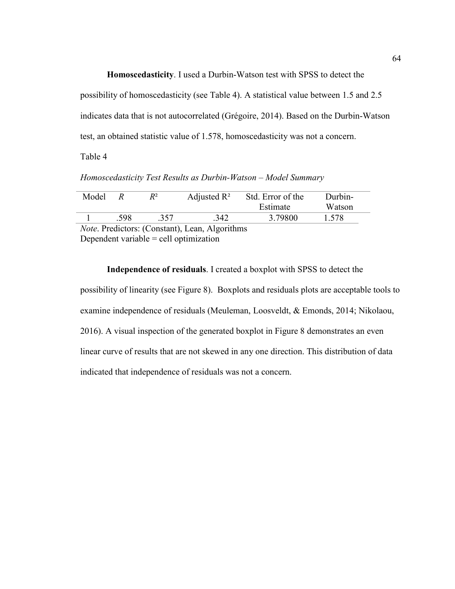**Homoscedasticity**. I used a Durbin-Watson test with SPSS to detect the

possibility of homoscedasticity (see Table 4). A statistical value between 1.5 and 2.5 indicates data that is not autocorrelated (Grégoire, 2014). Based on the Durbin-Watson test, an obtained statistic value of 1.578, homoscedasticity was not a concern.

Table 4

*Homoscedasticity Test Results as Durbin-Watson – Model Summary*

| Model |      | R2  | Adjusted $\mathbb{R}^2$ | Std. Error of the | Durbin- |
|-------|------|-----|-------------------------|-------------------|---------|
|       |      |     |                         | Estimate          | Watson  |
|       | .598 | 357 | .342                    | 3.79800           | 1.578   |

*Note*. Predictors: (Constant), Lean, Algorithms Dependent variable = cell optimization

**Independence of residuals**. I created a boxplot with SPSS to detect the possibility of linearity (see Figure 8). Boxplots and residuals plots are acceptable tools to examine independence of residuals (Meuleman, Loosveldt, & Emonds, 2014; Nikolaou, 2016). A visual inspection of the generated boxplot in Figure 8 demonstrates an even linear curve of results that are not skewed in any one direction. This distribution of data indicated that independence of residuals was not a concern.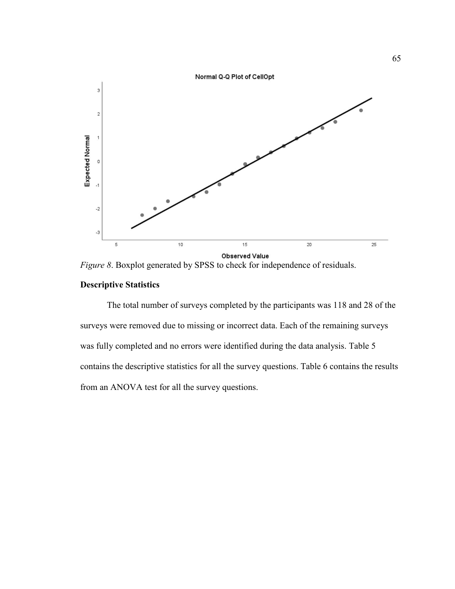

*Figure 8.* Boxplot generated by SPSS to check for independence of residuals.

# **Descriptive Statistics**

The total number of surveys completed by the participants was 118 and 28 of the surveys were removed due to missing or incorrect data. Each of the remaining surveys was fully completed and no errors were identified during the data analysis. Table 5 contains the descriptive statistics for all the survey questions. Table 6 contains the results from an ANOVA test for all the survey questions.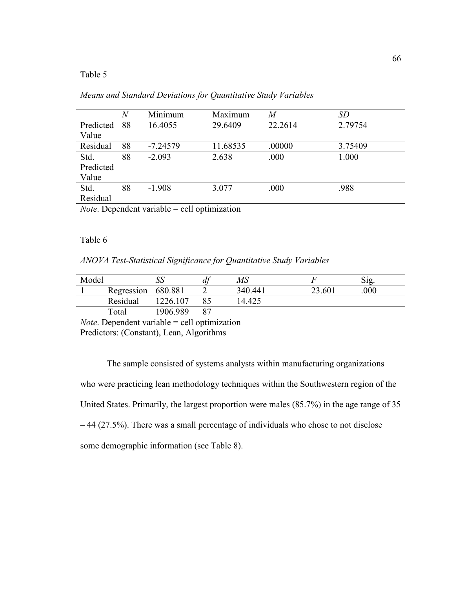# Table 5

|           | $\,N$ | Minimum    | Maximum  | M       | <i>SD</i> |
|-----------|-------|------------|----------|---------|-----------|
| Predicted | 88    | 16.4055    | 29.6409  | 22.2614 | 2.79754   |
| Value     |       |            |          |         |           |
| Residual  | 88    | $-7.24579$ | 11.68535 | .00000  | 3.75409   |
| Std.      | 88    | $-2.093$   | 2.638    | .000    | 1.000     |
| Predicted |       |            |          |         |           |
| Value     |       |            |          |         |           |
| Std.      | 88    | $-1.908$   | 3.077    | .000    | .988      |
| Residual  |       |            |          |         |           |
|           |       | .          |          |         |           |

| Means and Standard Deviations for Quantitative Study Variables |  |
|----------------------------------------------------------------|--|
|----------------------------------------------------------------|--|

*Note*. Dependent variable = cell optimization

### Table 6

# *ANOVA Test-Statistical Significance for Quantitative Study Variables*

| Model |            | ΩO       | $\boldsymbol{\mathcal{U}}$ | $\mathit{MS}$ |        |     |
|-------|------------|----------|----------------------------|---------------|--------|-----|
|       | Regression | 680.881  |                            | 340.441       | 23.601 | 000 |
|       | Residual   | 1226.107 |                            | 14.425        |        |     |
|       | Total      | 1906 989 |                            |               |        |     |

*Note*. Dependent variable = cell optimization Predictors: (Constant), Lean, Algorithms

The sample consisted of systems analysts within manufacturing organizations who were practicing lean methodology techniques within the Southwestern region of the United States. Primarily, the largest proportion were males (85.7%) in the age range of 35 – 44 (27.5%). There was a small percentage of individuals who chose to not disclose some demographic information (see Table 8).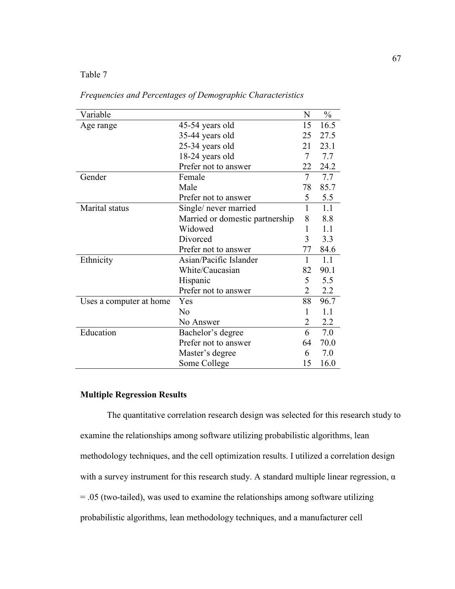Table 7

| Variable                |                                 | N              | $\frac{0}{0}$ |
|-------------------------|---------------------------------|----------------|---------------|
| Age range               | 45-54 years old                 | 15             | 16.5          |
|                         | 35-44 years old                 | 25             | 27.5          |
|                         | 25-34 years old                 | 21             | 23.1          |
|                         | 18-24 years old                 | 7              | 7.7           |
|                         | Prefer not to answer            | 22             | 24.2          |
| Gender                  | Female                          | $\overline{7}$ | 7.7           |
|                         | Male                            | 78             | 85.7          |
|                         | Prefer not to answer            | 5              | 5.5           |
| Marital status          | Single/ never married           | 1              | 1.1           |
|                         | Married or domestic partnership | 8              | 8.8           |
|                         | Widowed                         | 1              | 1.1           |
|                         | Divorced                        | 3              | 3.3           |
|                         | Prefer not to answer            | 77             | 84.6          |
| Ethnicity               | Asian/Pacific Islander          | 1              | 1.1           |
|                         | White/Caucasian                 | 82             | 90.1          |
|                         | Hispanic                        | 5              | 5.5           |
|                         | Prefer not to answer            | 2              | 2.2           |
| Uses a computer at home | Yes                             | 88             | 96.7          |
|                         | N <sub>0</sub>                  | 1              | 1.1           |
|                         | No Answer                       | 2              | 2.2           |
| Education               | Bachelor's degree               | 6              | 7.0           |
|                         | Prefer not to answer            | 64             | 70.0          |
|                         | Master's degree                 | 6              | 7.0           |
|                         | Some College                    | 15             | 16.0          |

*Frequencies and Percentages of Demographic Characteristics*

## **Multiple Regression Results**

The quantitative correlation research design was selected for this research study to examine the relationships among software utilizing probabilistic algorithms, lean methodology techniques, and the cell optimization results. I utilized a correlation design with a survey instrument for this research study. A standard multiple linear regression,  $\alpha$ = .05 (two-tailed), was used to examine the relationships among software utilizing probabilistic algorithms, lean methodology techniques, and a manufacturer cell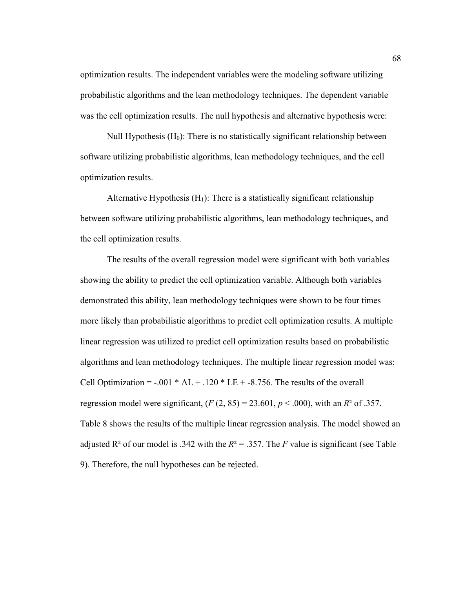optimization results. The independent variables were the modeling software utilizing probabilistic algorithms and the lean methodology techniques. The dependent variable was the cell optimization results. The null hypothesis and alternative hypothesis were:

Null Hypothesis  $(H<sub>0</sub>)$ : There is no statistically significant relationship between software utilizing probabilistic algorithms, lean methodology techniques, and the cell optimization results.

Alternative Hypothesis  $(H_1)$ : There is a statistically significant relationship between software utilizing probabilistic algorithms, lean methodology techniques, and the cell optimization results.

The results of the overall regression model were significant with both variables showing the ability to predict the cell optimization variable. Although both variables demonstrated this ability, lean methodology techniques were shown to be four times more likely than probabilistic algorithms to predict cell optimization results. A multiple linear regression was utilized to predict cell optimization results based on probabilistic algorithms and lean methodology techniques. The multiple linear regression model was: Cell Optimization =  $-.001 * AL + .120 * LE + .8.756$ . The results of the overall regression model were significant,  $(F(2, 85) = 23.601, p < .000)$ , with an  $R^2$  of .357. Table 8 shows the results of the multiple linear regression analysis. The model showed an adjusted  $\mathbb{R}^2$  of our model is .342 with the  $\mathbb{R}^2 = 0.357$ . The *F* value is significant (see Table 9). Therefore, the null hypotheses can be rejected.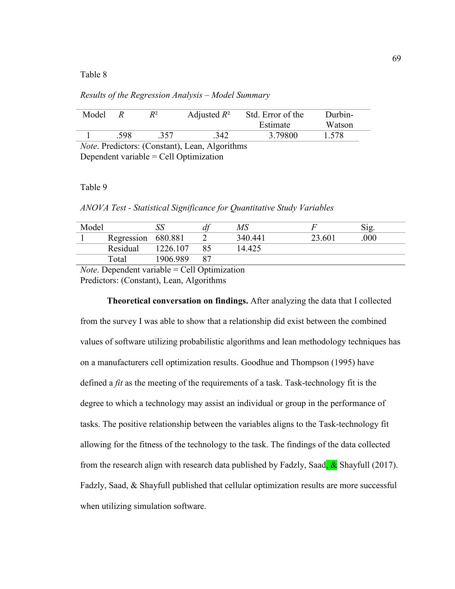#### Table 8

*Results of the Regression Analysis – Model Summary*

| Model |     | P2  | Adjusted $R^2$ | Std. Error of the | Durbin- |  |
|-------|-----|-----|----------------|-------------------|---------|--|
|       |     |     |                | Estimate          | Watson  |  |
|       | 598 | 357 | .342           | 3.79800           | 1.578   |  |

*Note*. Predictors: (Constant), Lean, Algorithms Dependent variable = Cell Optimization

#### Table 9

*ANOVA Test - Statistical Significance for Quantitative Study Variables* 

| Model |                    |          | $\mu$ | MS      |        | Sig |
|-------|--------------------|----------|-------|---------|--------|-----|
|       | Regression 680.881 |          |       | 340.441 | 23.601 | 000 |
|       | Residual           | 1226.107 |       | 14.425  |        |     |
|       | Total              | 1906.989 |       |         |        |     |
| $ -$  |                    | .        | _____ |         |        |     |

*Note*. Dependent variable = Cell Optimization Predictors: (Constant), Lean, Algorithms

**Theoretical conversation on findings.** After analyzing the data that I collected from the survey I was able to show that a relationship did exist between the combined values of software utilizing probabilistic algorithms and lean methodology techniques has on a manufacturers cell optimization results. Goodhue and Thompson (1995) have defined a *fit* as the meeting of the requirements of a task. Task-technology fit is the degree to which a technology may assist an individual or group in the performance of tasks. The positive relationship between the variables aligns to the Task-technology fit allowing for the fitness of the technology to the task. The findings of the data collected from the research align with research data published by Fadzly, Saad,  $\&$  Shayfull (2017). Fadzly, Saad, & Shayfull published that cellular optimization results are more successful when utilizing simulation software.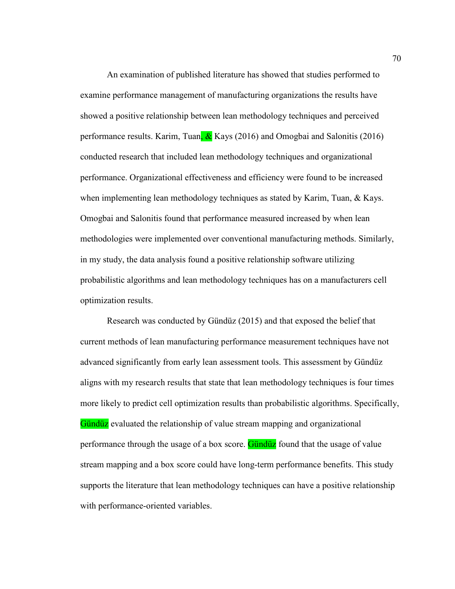An examination of published literature has showed that studies performed to examine performance management of manufacturing organizations the results have showed a positive relationship between lean methodology techniques and perceived performance results. Karim, Tuan,  $\&$  Kays (2016) and Omogbai and Salonitis (2016) conducted research that included lean methodology techniques and organizational performance. Organizational effectiveness and efficiency were found to be increased when implementing lean methodology techniques as stated by Karim, Tuan, & Kays. Omogbai and Salonitis found that performance measured increased by when lean methodologies were implemented over conventional manufacturing methods. Similarly, in my study, the data analysis found a positive relationship software utilizing probabilistic algorithms and lean methodology techniques has on a manufacturers cell optimization results.

Research was conducted by Gündüz (2015) and that exposed the belief that current methods of lean manufacturing performance measurement techniques have not advanced significantly from early lean assessment tools. This assessment by Gündüz aligns with my research results that state that lean methodology techniques is four times more likely to predict cell optimization results than probabilistic algorithms. Specifically, Gündüz evaluated the relationship of value stream mapping and organizational performance through the usage of a box score. Gündüz found that the usage of value stream mapping and a box score could have long-term performance benefits. This study supports the literature that lean methodology techniques can have a positive relationship with performance-oriented variables.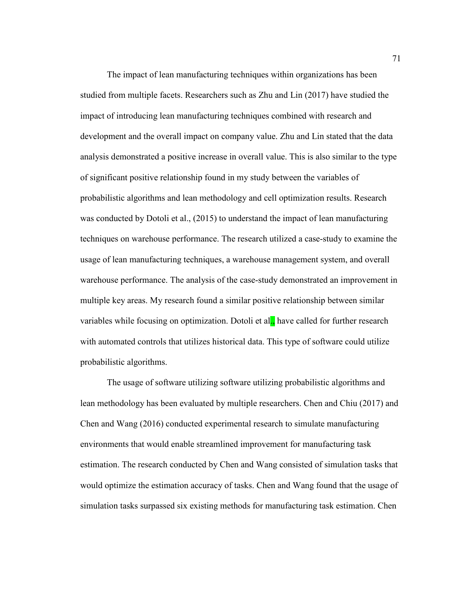The impact of lean manufacturing techniques within organizations has been studied from multiple facets. Researchers such as Zhu and Lin (2017) have studied the impact of introducing lean manufacturing techniques combined with research and development and the overall impact on company value. Zhu and Lin stated that the data analysis demonstrated a positive increase in overall value. This is also similar to the type of significant positive relationship found in my study between the variables of probabilistic algorithms and lean methodology and cell optimization results. Research was conducted by Dotoli et al., (2015) to understand the impact of lean manufacturing techniques on warehouse performance. The research utilized a case-study to examine the usage of lean manufacturing techniques, a warehouse management system, and overall warehouse performance. The analysis of the case-study demonstrated an improvement in multiple key areas. My research found a similar positive relationship between similar variables while focusing on optimization. Dotoli et al., have called for further research with automated controls that utilizes historical data. This type of software could utilize probabilistic algorithms.

The usage of software utilizing software utilizing probabilistic algorithms and lean methodology has been evaluated by multiple researchers. Chen and Chiu (2017) and Chen and Wang (2016) conducted experimental research to simulate manufacturing environments that would enable streamlined improvement for manufacturing task estimation. The research conducted by Chen and Wang consisted of simulation tasks that would optimize the estimation accuracy of tasks. Chen and Wang found that the usage of simulation tasks surpassed six existing methods for manufacturing task estimation. Chen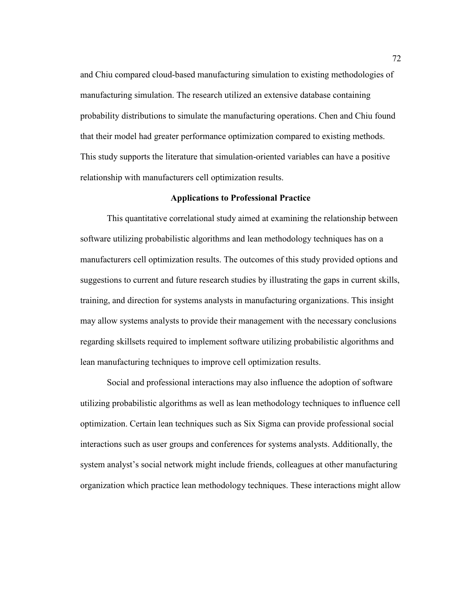and Chiu compared cloud-based manufacturing simulation to existing methodologies of manufacturing simulation. The research utilized an extensive database containing probability distributions to simulate the manufacturing operations. Chen and Chiu found that their model had greater performance optimization compared to existing methods. This study supports the literature that simulation-oriented variables can have a positive relationship with manufacturers cell optimization results.

### **Applications to Professional Practice**

This quantitative correlational study aimed at examining the relationship between software utilizing probabilistic algorithms and lean methodology techniques has on a manufacturers cell optimization results. The outcomes of this study provided options and suggestions to current and future research studies by illustrating the gaps in current skills, training, and direction for systems analysts in manufacturing organizations. This insight may allow systems analysts to provide their management with the necessary conclusions regarding skillsets required to implement software utilizing probabilistic algorithms and lean manufacturing techniques to improve cell optimization results.

Social and professional interactions may also influence the adoption of software utilizing probabilistic algorithms as well as lean methodology techniques to influence cell optimization. Certain lean techniques such as Six Sigma can provide professional social interactions such as user groups and conferences for systems analysts. Additionally, the system analyst's social network might include friends, colleagues at other manufacturing organization which practice lean methodology techniques. These interactions might allow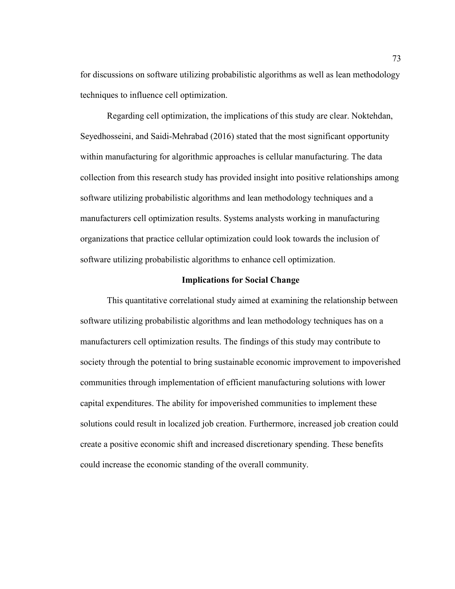for discussions on software utilizing probabilistic algorithms as well as lean methodology techniques to influence cell optimization.

Regarding cell optimization, the implications of this study are clear. Noktehdan, Seyedhosseini, and Saidi-Mehrabad (2016) stated that the most significant opportunity within manufacturing for algorithmic approaches is cellular manufacturing. The data collection from this research study has provided insight into positive relationships among software utilizing probabilistic algorithms and lean methodology techniques and a manufacturers cell optimization results. Systems analysts working in manufacturing organizations that practice cellular optimization could look towards the inclusion of software utilizing probabilistic algorithms to enhance cell optimization.

### **Implications for Social Change**

This quantitative correlational study aimed at examining the relationship between software utilizing probabilistic algorithms and lean methodology techniques has on a manufacturers cell optimization results. The findings of this study may contribute to society through the potential to bring sustainable economic improvement to impoverished communities through implementation of efficient manufacturing solutions with lower capital expenditures. The ability for impoverished communities to implement these solutions could result in localized job creation. Furthermore, increased job creation could create a positive economic shift and increased discretionary spending. These benefits could increase the economic standing of the overall community.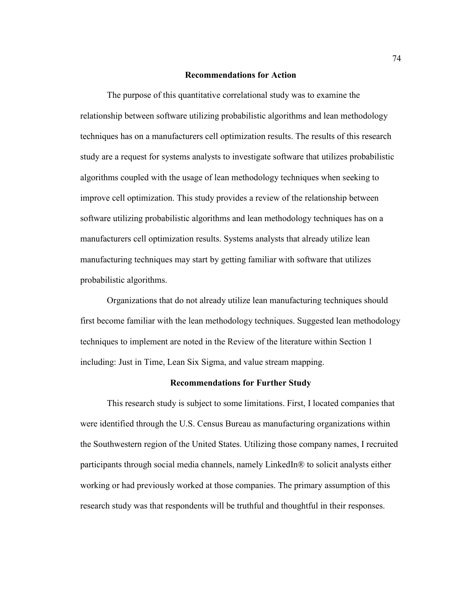#### **Recommendations for Action**

The purpose of this quantitative correlational study was to examine the relationship between software utilizing probabilistic algorithms and lean methodology techniques has on a manufacturers cell optimization results. The results of this research study are a request for systems analysts to investigate software that utilizes probabilistic algorithms coupled with the usage of lean methodology techniques when seeking to improve cell optimization. This study provides a review of the relationship between software utilizing probabilistic algorithms and lean methodology techniques has on a manufacturers cell optimization results. Systems analysts that already utilize lean manufacturing techniques may start by getting familiar with software that utilizes probabilistic algorithms.

Organizations that do not already utilize lean manufacturing techniques should first become familiar with the lean methodology techniques. Suggested lean methodology techniques to implement are noted in the Review of the literature within Section 1 including: Just in Time, Lean Six Sigma, and value stream mapping.

#### **Recommendations for Further Study**

This research study is subject to some limitations. First, I located companies that were identified through the U.S. Census Bureau as manufacturing organizations within the Southwestern region of the United States. Utilizing those company names, I recruited participants through social media channels, namely LinkedIn® to solicit analysts either working or had previously worked at those companies. The primary assumption of this research study was that respondents will be truthful and thoughtful in their responses.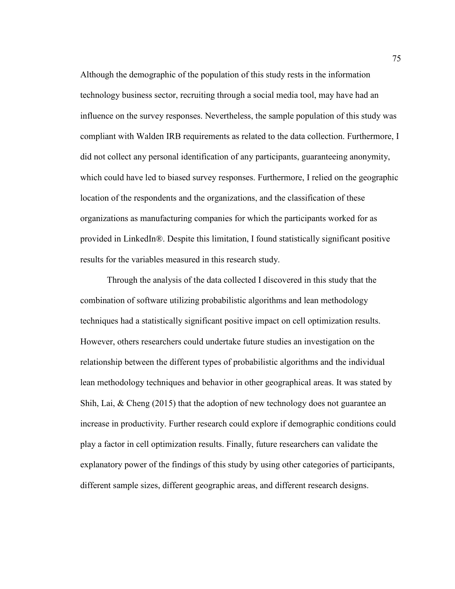Although the demographic of the population of this study rests in the information technology business sector, recruiting through a social media tool, may have had an influence on the survey responses. Nevertheless, the sample population of this study was compliant with Walden IRB requirements as related to the data collection. Furthermore, I did not collect any personal identification of any participants, guaranteeing anonymity, which could have led to biased survey responses. Furthermore, I relied on the geographic location of the respondents and the organizations, and the classification of these organizations as manufacturing companies for which the participants worked for as provided in LinkedIn®. Despite this limitation, I found statistically significant positive results for the variables measured in this research study.

Through the analysis of the data collected I discovered in this study that the combination of software utilizing probabilistic algorithms and lean methodology techniques had a statistically significant positive impact on cell optimization results. However, others researchers could undertake future studies an investigation on the relationship between the different types of probabilistic algorithms and the individual lean methodology techniques and behavior in other geographical areas. It was stated by Shih, Lai, & Cheng (2015) that the adoption of new technology does not guarantee an increase in productivity. Further research could explore if demographic conditions could play a factor in cell optimization results. Finally, future researchers can validate the explanatory power of the findings of this study by using other categories of participants, different sample sizes, different geographic areas, and different research designs.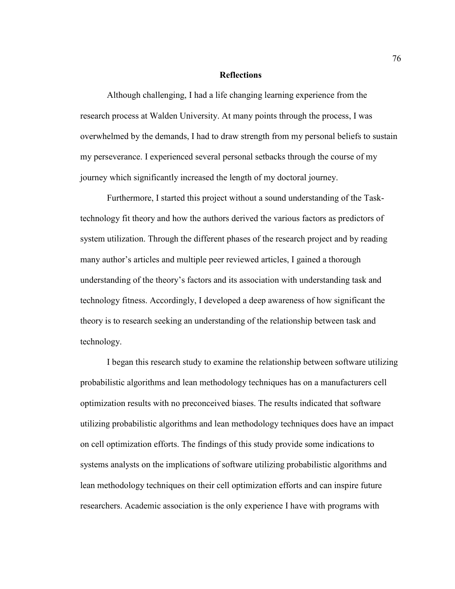### **Reflections**

Although challenging, I had a life changing learning experience from the research process at Walden University. At many points through the process, I was overwhelmed by the demands, I had to draw strength from my personal beliefs to sustain my perseverance. I experienced several personal setbacks through the course of my journey which significantly increased the length of my doctoral journey.

Furthermore, I started this project without a sound understanding of the Tasktechnology fit theory and how the authors derived the various factors as predictors of system utilization. Through the different phases of the research project and by reading many author's articles and multiple peer reviewed articles, I gained a thorough understanding of the theory's factors and its association with understanding task and technology fitness. Accordingly, I developed a deep awareness of how significant the theory is to research seeking an understanding of the relationship between task and technology.

I began this research study to examine the relationship between software utilizing probabilistic algorithms and lean methodology techniques has on a manufacturers cell optimization results with no preconceived biases. The results indicated that software utilizing probabilistic algorithms and lean methodology techniques does have an impact on cell optimization efforts. The findings of this study provide some indications to systems analysts on the implications of software utilizing probabilistic algorithms and lean methodology techniques on their cell optimization efforts and can inspire future researchers. Academic association is the only experience I have with programs with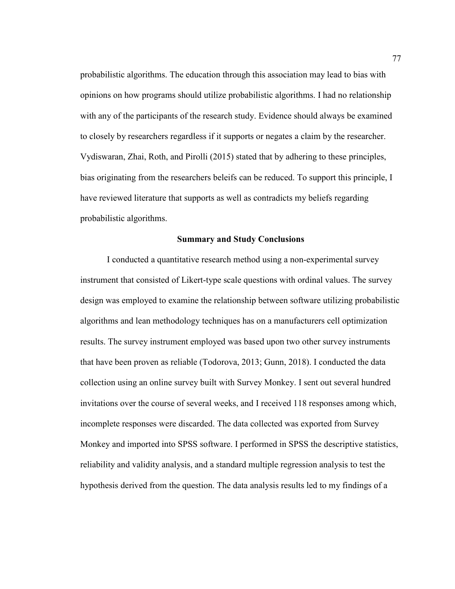probabilistic algorithms. The education through this association may lead to bias with opinions on how programs should utilize probabilistic algorithms. I had no relationship with any of the participants of the research study. Evidence should always be examined to closely by researchers regardless if it supports or negates a claim by the researcher. Vydiswaran, Zhai, Roth, and Pirolli (2015) stated that by adhering to these principles, bias originating from the researchers beleifs can be reduced. To support this principle, I have reviewed literature that supports as well as contradicts my beliefs regarding probabilistic algorithms.

#### **Summary and Study Conclusions**

I conducted a quantitative research method using a non-experimental survey instrument that consisted of Likert-type scale questions with ordinal values. The survey design was employed to examine the relationship between software utilizing probabilistic algorithms and lean methodology techniques has on a manufacturers cell optimization results. The survey instrument employed was based upon two other survey instruments that have been proven as reliable (Todorova, 2013; Gunn, 2018). I conducted the data collection using an online survey built with Survey Monkey. I sent out several hundred invitations over the course of several weeks, and I received 118 responses among which, incomplete responses were discarded. The data collected was exported from Survey Monkey and imported into SPSS software. I performed in SPSS the descriptive statistics, reliability and validity analysis, and a standard multiple regression analysis to test the hypothesis derived from the question. The data analysis results led to my findings of a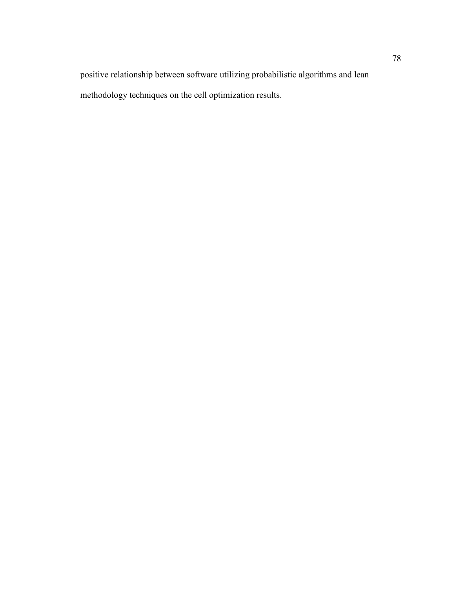positive relationship between software utilizing probabilistic algorithms and lean methodology techniques on the cell optimization results.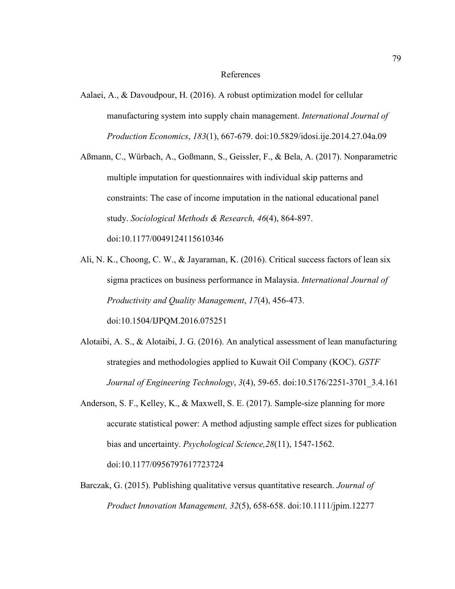#### References

- Aalaei, A., & Davoudpour, H. (2016). A robust optimization model for cellular manufacturing system into supply chain management. *International Journal of Production Economics*, *183*(1), 667-679. doi:10.5829/idosi.ije.2014.27.04a.09
- Aßmann, C., Würbach, A., Goßmann, S., Geissler, F., & Bela, A. (2017). Nonparametric multiple imputation for questionnaires with individual skip patterns and constraints: The case of income imputation in the national educational panel study. *Sociological Methods & Research, 46*(4), 864-897. doi:10.1177/0049124115610346
- Ali, N. K., Choong, C. W., & Jayaraman, K. (2016). Critical success factors of lean six sigma practices on business performance in Malaysia. *International Journal of Productivity and Quality Management*, *17*(4), 456-473. doi:10.1504/IJPQM.2016.075251
- Alotaibi, A. S., & Alotaibi, J. G. (2016). An analytical assessment of lean manufacturing strategies and methodologies applied to Kuwait Oil Company (KOC). *GSTF Journal of Engineering Technology*, *3*(4), 59-65. doi:10.5176/2251-3701\_3.4.161
- Anderson, S. F., Kelley, K., & Maxwell, S. E. (2017). Sample-size planning for more accurate statistical power: A method adjusting sample effect sizes for publication bias and uncertainty. *Psychological Science,28*(11), 1547-1562. doi:10.1177/0956797617723724
- Barczak, G. (2015). Publishing qualitative versus quantitative research. *Journal of Product Innovation Management, 32*(5), 658-658. doi:10.1111/jpim.12277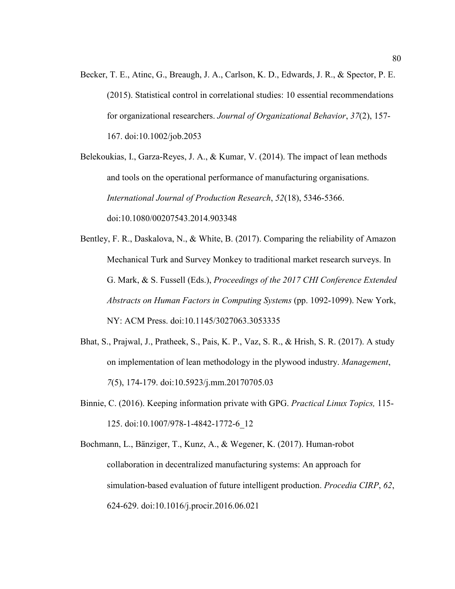Becker, T. E., Atinc, G., Breaugh, J. A., Carlson, K. D., Edwards, J. R., & Spector, P. E. (2015). Statistical control in correlational studies: 10 essential recommendations for organizational researchers. *Journal of Organizational Behavior*, *37*(2), 157- 167. doi:10.1002/job.2053

Belekoukias, I., Garza-Reyes, J. A., & Kumar, V. (2014). The impact of lean methods and tools on the operational performance of manufacturing organisations. *International Journal of Production Research*, *52*(18), 5346-5366. doi:10.1080/00207543.2014.903348

- Bentley, F. R., Daskalova, N., & White, B. (2017). Comparing the reliability of Amazon Mechanical Turk and Survey Monkey to traditional market research surveys. In G. Mark, & S. Fussell (Eds.), *Proceedings of the 2017 CHI Conference Extended Abstracts on Human Factors in Computing Systems* (pp. 1092-1099). New York, NY: ACM Press. doi:10.1145/3027063.3053335
- Bhat, S., Prajwal, J., Pratheek, S., Pais, K. P., Vaz, S. R., & Hrish, S. R. (2017). A study on implementation of lean methodology in the plywood industry. *Management*, *7*(5), 174-179. doi:10.5923/j.mm.20170705.03
- Binnie, C. (2016). Keeping information private with GPG. *Practical Linux Topics,* 115- 125. doi:10.1007/978-1-4842-1772-6\_12
- Bochmann, L., Bänziger, T., Kunz, A., & Wegener, K. (2017). Human-robot collaboration in decentralized manufacturing systems: An approach for simulation-based evaluation of future intelligent production. *Procedia CIRP*, *62*, 624-629. doi:10.1016/j.procir.2016.06.021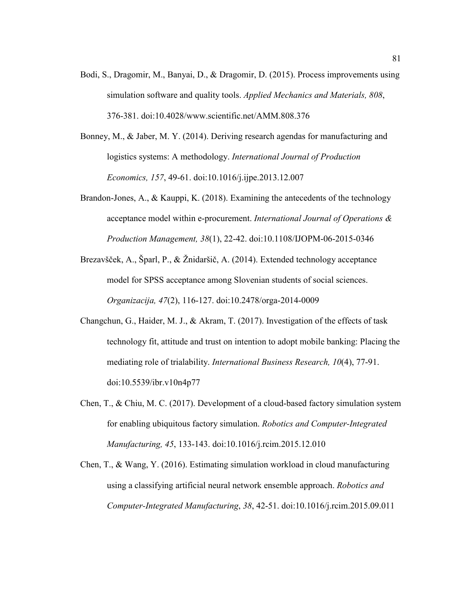- Bodi, S., Dragomir, M., Banyai, D., & Dragomir, D. (2015). Process improvements using simulation software and quality tools. *Applied Mechanics and Materials, 808*, 376-381. doi:10.4028/www.scientific.net/AMM.808.376
- Bonney, M., & Jaber, M. Y. (2014). Deriving research agendas for manufacturing and logistics systems: A methodology. *International Journal of Production Economics, 157*, 49-61. doi:10.1016/j.ijpe.2013.12.007
- Brandon-Jones, A., & Kauppi, K. (2018). Examining the antecedents of the technology acceptance model within e-procurement. *International Journal of Operations & Production Management, 38*(1), 22-42. doi:10.1108/IJOPM-06-2015-0346
- Brezavšček, A., Šparl, P., & Žnidaršič, A. (2014). Extended technology acceptance model for SPSS acceptance among Slovenian students of social sciences. *Organizacija, 47*(2), 116-127. doi:10.2478/orga-2014-0009
- Changchun, G., Haider, M. J., & Akram, T. (2017). Investigation of the effects of task technology fit, attitude and trust on intention to adopt mobile banking: Placing the mediating role of trialability. *International Business Research, 10*(4), 77-91. doi:10.5539/ibr.v10n4p77
- Chen, T., & Chiu, M. C. (2017). Development of a cloud-based factory simulation system for enabling ubiquitous factory simulation. *Robotics and Computer-Integrated Manufacturing, 45*, 133-143. doi:10.1016/j.rcim.2015.12.010
- Chen, T., & Wang, Y. (2016). Estimating simulation workload in cloud manufacturing using a classifying artificial neural network ensemble approach. *Robotics and Computer-Integrated Manufacturing*, *38*, 42-51. doi:10.1016/j.rcim.2015.09.011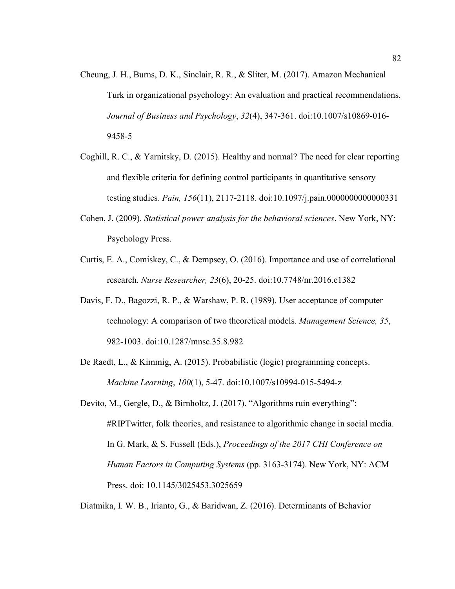- Cheung, J. H., Burns, D. K., Sinclair, R. R., & Sliter, M. (2017). Amazon Mechanical Turk in organizational psychology: An evaluation and practical recommendations. *Journal of Business and Psychology*, *32*(4), 347-361. doi:10.1007/s10869-016- 9458-5
- Coghill, R. C., & Yarnitsky, D. (2015). Healthy and normal? The need for clear reporting and flexible criteria for defining control participants in quantitative sensory testing studies. *Pain, 156*(11), 2117-2118. doi:10.1097/j.pain.0000000000000331
- Cohen, J. (2009). *Statistical power analysis for the behavioral sciences*. New York, NY: Psychology Press.
- Curtis, E. A., Comiskey, C., & Dempsey, O. (2016). Importance and use of correlational research. *Nurse Researcher, 23*(6), 20-25. doi:10.7748/nr.2016.e1382
- Davis, F. D., Bagozzi, R. P., & Warshaw, P. R. (1989). User acceptance of computer technology: A comparison of two theoretical models. *Management Science, 35*, 982-1003. doi:10.1287/mnsc.35.8.982
- De Raedt, L., & Kimmig, A. (2015). Probabilistic (logic) programming concepts. *Machine Learning*, *100*(1), 5-47. doi:10.1007/s10994-015-5494-z
- Devito, M., Gergle, D., & Birnholtz, J. (2017). "Algorithms ruin everything": #RIPTwitter, folk theories, and resistance to algorithmic change in social media. In G. Mark, & S. Fussell (Eds.), *Proceedings of the 2017 CHI Conference on Human Factors in Computing Systems* (pp. 3163-3174). New York, NY: ACM Press. doi: 10.1145/3025453.3025659

Diatmika, I. W. B., Irianto, G., & Baridwan, Z. (2016). Determinants of Behavior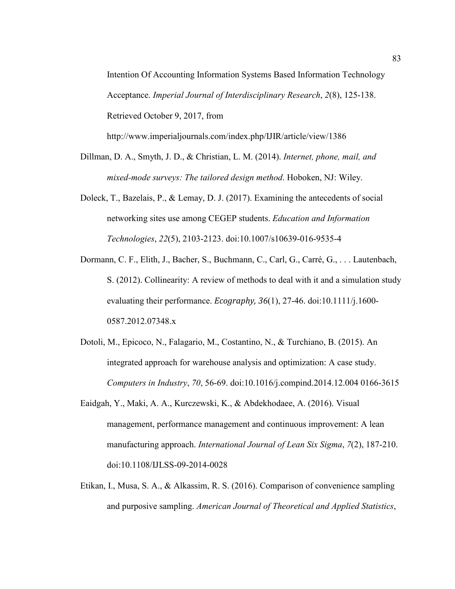Intention Of Accounting Information Systems Based Information Technology Acceptance. *Imperial Journal of Interdisciplinary Research*, *2*(8), 125-138. Retrieved October 9, 2017, from

http://www.imperialjournals.com/index.php/IJIR/article/view/1386

- Dillman, D. A., Smyth, J. D., & Christian, L. M. (2014). *Internet, phone, mail, and mixed-mode surveys: The tailored design method*. Hoboken, NJ: Wiley.
- Doleck, T., Bazelais, P., & Lemay, D. J. (2017). Examining the antecedents of social networking sites use among CEGEP students. *Education and Information Technologies*, *22*(5), 2103-2123. doi:10.1007/s10639-016-9535-4
- Dormann, C. F., Elith, J., Bacher, S., Buchmann, C., Carl, G., Carré, G., . . . Lautenbach, S. (2012). Collinearity: A review of methods to deal with it and a simulation study evaluating their performance. *Ecography, 36*(1), 27-46. doi:10.1111/j.1600- 0587.2012.07348.x
- Dotoli, M., Epicoco, N., Falagario, M., Costantino, N., & Turchiano, B. (2015). An integrated approach for warehouse analysis and optimization: A case study. *Computers in Industry*, *70*, 56-69. doi:10.1016/j.compind.2014.12.004 0166-3615
- Eaidgah, Y., Maki, A. A., Kurczewski, K., & Abdekhodaee, A. (2016). Visual management, performance management and continuous improvement: A lean manufacturing approach. *International Journal of Lean Six Sigma*, *7*(2), 187-210. doi:10.1108/IJLSS-09-2014-0028
- Etikan, I., Musa, S. A., & Alkassim, R. S. (2016). Comparison of convenience sampling and purposive sampling. *American Journal of Theoretical and Applied Statistics*,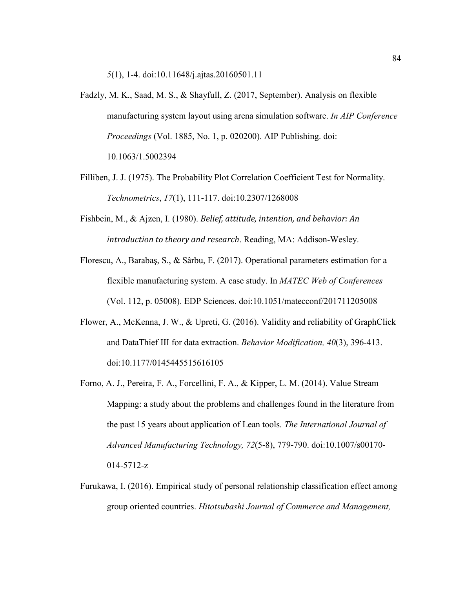*5*(1), 1-4. doi:10.11648/j.ajtas.20160501.11

- Fadzly, M. K., Saad, M. S., & Shayfull, Z. (2017, September). Analysis on flexible manufacturing system layout using arena simulation software. *In AIP Conference Proceedings* (Vol. 1885, No. 1, p. 020200). AIP Publishing. doi: 10.1063/1.5002394
- Filliben, J. J. (1975). The Probability Plot Correlation Coefficient Test for Normality. *Technometrics*, *17*(1), 111-117. doi:10.2307/1268008
- Fishbein, M., & Ajzen, I. (1980). *Belief, attitude, intention, and behavior: An introduction to theory and research*. Reading, MA: Addison-Wesley.
- Florescu, A., Barabaş, S., & Sârbu, F. (2017). Operational parameters estimation for a flexible manufacturing system. A case study. In *MATEC Web of Conferences* (Vol. 112, p. 05008). EDP Sciences. doi:10.1051/matecconf/201711205008
- Flower, A., McKenna, J. W., & Upreti, G. (2016). Validity and reliability of GraphClick and DataThief III for data extraction. *Behavior Modification, 40*(3), 396-413. doi:10.1177/0145445515616105
- Forno, A. J., Pereira, F. A., Forcellini, F. A., & Kipper, L. M. (2014). Value Stream Mapping: a study about the problems and challenges found in the literature from the past 15 years about application of Lean tools. *The International Journal of Advanced Manufacturing Technology, 72*(5-8), 779-790. doi:10.1007/s00170- 014-5712-z
- Furukawa, I. (2016). Empirical study of personal relationship classification effect among group oriented countries. *Hitotsubashi Journal of Commerce and Management,*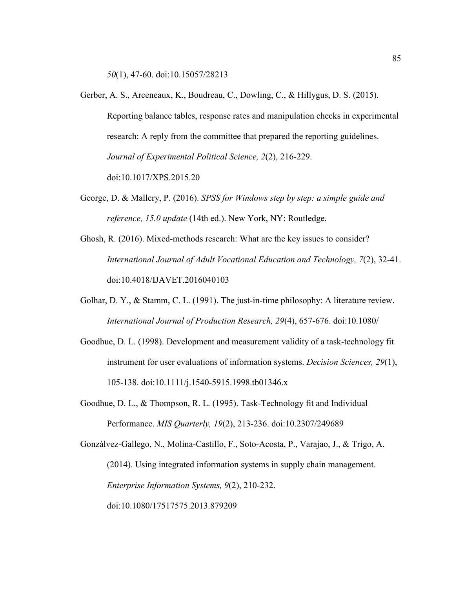*50*(1), 47-60. doi:10.15057/28213

- Gerber, A. S., Arceneaux, K., Boudreau, C., Dowling, C., & Hillygus, D. S. (2015). Reporting balance tables, response rates and manipulation checks in experimental research: A reply from the committee that prepared the reporting guidelines. *Journal of Experimental Political Science, 2*(2), 216-229. doi:10.1017/XPS.2015.20
- George, D. & Mallery, P. (2016). *SPSS for Windows step by step: a simple guide and reference, 15.0 update* (14th ed.). New York, NY: Routledge.
- Ghosh, R. (2016). Mixed-methods research: What are the key issues to consider? *International Journal of Adult Vocational Education and Technology, 7*(2), 32-41. doi:10.4018/IJAVET.2016040103
- Golhar, D. Y., & Stamm, C. L. (1991). The just-in-time philosophy: A literature review. *International Journal of Production Research, 29*(4), 657-676. doi:10.1080/
- Goodhue, D. L. (1998). Development and measurement validity of a task-technology fit instrument for user evaluations of information systems. *Decision Sciences, 29*(1), 105-138. doi:10.1111/j.1540-5915.1998.tb01346.x
- Goodhue, D. L., & Thompson, R. L. (1995). Task-Technology fit and Individual Performance. *MIS Quarterly, 19*(2), 213-236. doi:10.2307/249689

Gonzálvez-Gallego, N., Molina-Castillo, F., Soto-Acosta, P., Varajao, J., & Trigo, A. (2014). Using integrated information systems in supply chain management. *Enterprise Information Systems, 9*(2), 210-232. doi:10.1080/17517575.2013.879209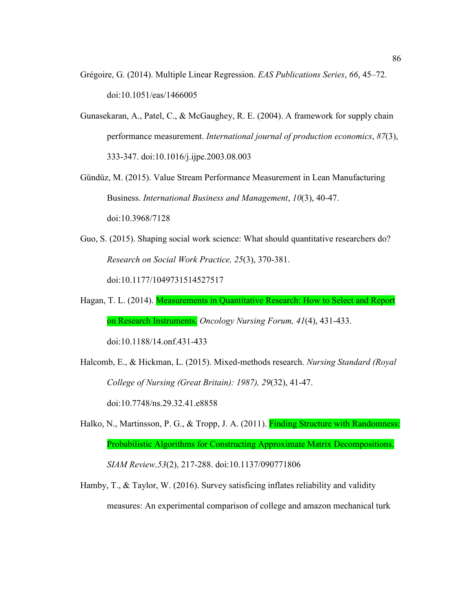- Grégoire, G. (2014). Multiple Linear Regression. *EAS Publications Series*, *66*, 45–72. doi:10.1051/eas/1466005
- Gunasekaran, A., Patel, C., & McGaughey, R. E. (2004). A framework for supply chain performance measurement. *International journal of production economics*, *87*(3), 333-347. doi:10.1016/j.ijpe.2003.08.003
- Gündüz, M. (2015). Value Stream Performance Measurement in Lean Manufacturing Business. *International Business and Management*, *10*(3), 40-47.

doi:10.3968/7128

- Guo, S. (2015). Shaping social work science: What should quantitative researchers do? *Research on Social Work Practice, 25*(3), 370-381. doi:10.1177/1049731514527517
- Hagan, T. L. (2014). Measurements in Quantitative Research: How to Select and Report on Research Instruments. *Oncology Nursing Forum, 41*(4), 431-433.

doi:10.1188/14.onf.431-433

- Halcomb, E., & Hickman, L. (2015). Mixed-methods research. *Nursing Standard (Royal College of Nursing (Great Britain): 1987), 29*(32), 41-47. doi:10.7748/ns.29.32.41.e8858
- Halko, N., Martinsson, P. G., & Tropp, J. A. (2011). **Finding Structure with Randomness:** Probabilistic Algorithms for Constructing Approximate Matrix Decompositions. *SIAM Review,53*(2), 217-288. doi:10.1137/090771806
- Hamby, T., & Taylor, W. (2016). Survey satisficing inflates reliability and validity measures: An experimental comparison of college and amazon mechanical turk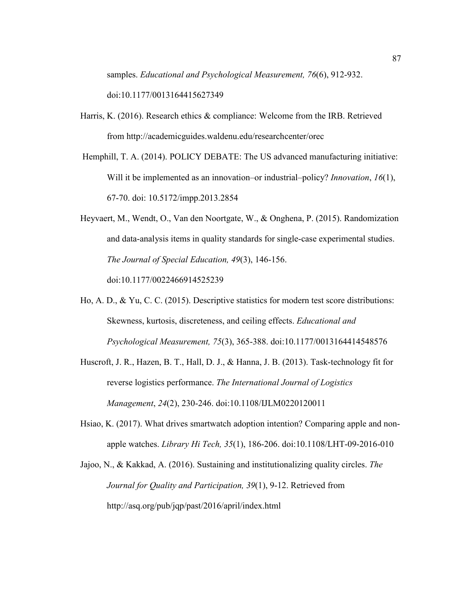samples. *Educational and Psychological Measurement, 76*(6), 912-932. doi:10.1177/0013164415627349

Harris, K. (2016). Research ethics & compliance: Welcome from the IRB. Retrieved

from http://academicguides.waldenu.edu/researchcenter/orec

- Hemphill, T. A. (2014). POLICY DEBATE: The US advanced manufacturing initiative: Will it be implemented as an innovation–or industrial–policy? *Innovation*, *16*(1), 67-70. doi: 10.5172/impp.2013.2854
- Heyvaert, M., Wendt, O., Van den Noortgate, W., & Onghena, P. (2015). Randomization and data-analysis items in quality standards for single-case experimental studies. *The Journal of Special Education, 49*(3), 146-156.

doi:10.1177/0022466914525239

Ho, A. D., & Yu, C. C. (2015). Descriptive statistics for modern test score distributions: Skewness, kurtosis, discreteness, and ceiling effects. *Educational and Psychological Measurement, 75*(3), 365-388. doi:10.1177/0013164414548576

- Huscroft, J. R., Hazen, B. T., Hall, D. J., & Hanna, J. B. (2013). Task-technology fit for reverse logistics performance. *The International Journal of Logistics Management*, *24*(2), 230-246. doi:10.1108/IJLM0220120011
- Hsiao, K. (2017). What drives smartwatch adoption intention? Comparing apple and nonapple watches. *Library Hi Tech, 35*(1), 186-206. doi:10.1108/LHT-09-2016-010
- Jajoo, N., & Kakkad, A. (2016). Sustaining and institutionalizing quality circles. *The Journal for Quality and Participation, 39*(1), 9-12. Retrieved from http://asq.org/pub/jqp/past/2016/april/index.html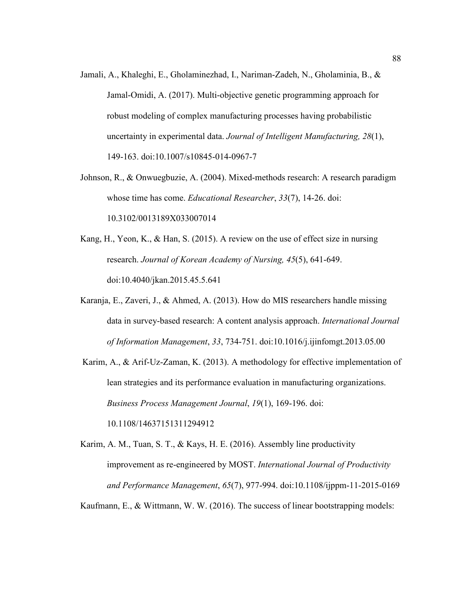- Jamali, A., Khaleghi, E., Gholaminezhad, I., Nariman-Zadeh, N., Gholaminia, B., & Jamal-Omidi, A. (2017). Multi-objective genetic programming approach for robust modeling of complex manufacturing processes having probabilistic uncertainty in experimental data. *Journal of Intelligent Manufacturing, 28*(1), 149-163. doi:10.1007/s10845-014-0967-7
- Johnson, R., & Onwuegbuzie, A. (2004). Mixed-methods research: A research paradigm whose time has come. *Educational Researcher*, *33*(7), 14-26. doi: 10.3102/0013189X033007014
- Kang, H., Yeon, K., & Han, S. (2015). A review on the use of effect size in nursing research. *Journal of Korean Academy of Nursing, 45*(5), 641-649. doi:10.4040/jkan.2015.45.5.641
- Karanja, E., Zaveri, J., & Ahmed, A. (2013). How do MIS researchers handle missing data in survey-based research: A content analysis approach. *International Journal of Information Management*, *33*, 734-751. doi:10.1016/j.ijinfomgt.2013.05.00
- Karim, A., & Arif-Uz-Zaman, K. (2013). A methodology for effective implementation of lean strategies and its performance evaluation in manufacturing organizations. *Business Process Management Journal*, *19*(1), 169-196. doi: 10.1108/14637151311294912
- Karim, A. M., Tuan, S. T., & Kays, H. E. (2016). Assembly line productivity improvement as re-engineered by MOST. *International Journal of Productivity and Performance Management*, *65*(7), 977-994. doi:10.1108/ijppm-11-2015-0169

Kaufmann, E., & Wittmann, W. W. (2016). The success of linear bootstrapping models: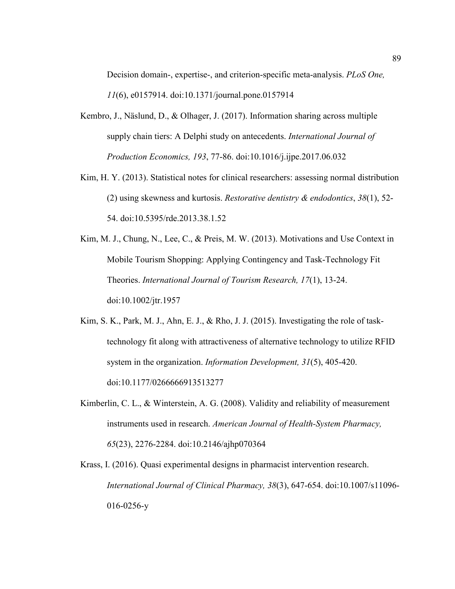Decision domain-, expertise-, and criterion-specific meta-analysis. *PLoS One, 11*(6), e0157914. doi:10.1371/journal.pone.0157914

- Kembro, J., Näslund, D., & Olhager, J. (2017). Information sharing across multiple supply chain tiers: A Delphi study on antecedents. *International Journal of Production Economics, 193*, 77-86. doi:10.1016/j.ijpe.2017.06.032
- Kim, H. Y. (2013). Statistical notes for clinical researchers: assessing normal distribution (2) using skewness and kurtosis. *Restorative dentistry & endodontics*, *38*(1), 52- 54. doi:10.5395/rde.2013.38.1.52
- Kim, M. J., Chung, N., Lee, C., & Preis, M. W. (2013). Motivations and Use Context in Mobile Tourism Shopping: Applying Contingency and Task-Technology Fit Theories. *International Journal of Tourism Research, 17*(1), 13-24. doi:10.1002/jtr.1957
- Kim, S. K., Park, M. J., Ahn, E. J., & Rho, J. J. (2015). Investigating the role of tasktechnology fit along with attractiveness of alternative technology to utilize RFID system in the organization. *Information Development, 31*(5), 405-420. doi:10.1177/0266666913513277
- Kimberlin, C. L., & Winterstein, A. G. (2008). Validity and reliability of measurement instruments used in research. *American Journal of Health-System Pharmacy, 65*(23), 2276-2284. doi:10.2146/ajhp070364
- Krass, I. (2016). Quasi experimental designs in pharmacist intervention research. *International Journal of Clinical Pharmacy, 38*(3), 647-654. doi:10.1007/s11096- 016-0256-y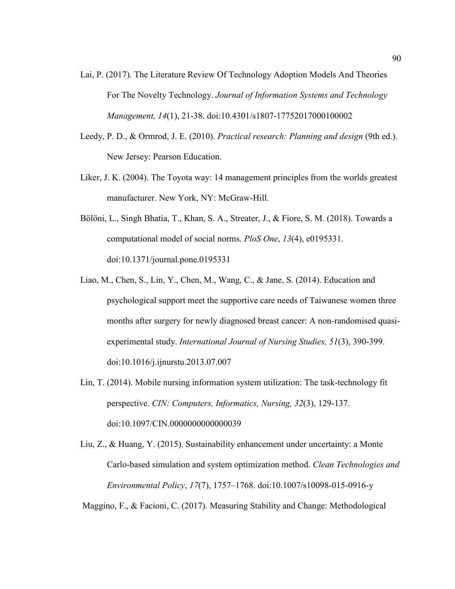- Lai, P. (2017). The Literature Review Of Technology Adoption Models And Theories For The Novelty Technology. *Journal of Information Systems and Technology Management, 14*(1), 21-38. doi:10.4301/s1807-17752017000100002
- Leedy, P. D., & Ormrod, J. E. (2010). *Practical research: Planning and design* (9th ed.). New Jersey: Pearson Education.
- Liker, J. K. (2004). The Toyota way: 14 management principles from the worlds greatest manufacturer. New York, NY: McGraw-Hill.
- Bölöni, L., Singh Bhatia, T., Khan, S. A., Streater, J., & Fiore, S. M. (2018). Towards a computational model of social norms. *PloS One*, *13*(4), e0195331. doi:10.1371/journal.pone.0195331
- Liao, M., Chen, S., Lin, Y., Chen, M., Wang, C., & Jane, S. (2014). Education and psychological support meet the supportive care needs of Taiwanese women three months after surgery for newly diagnosed breast cancer: A non-randomised quasiexperimental study. *International Journal of Nursing Studies, 51*(3), 390-399. doi:10.1016/j.ijnurstu.2013.07.007
- Lin, T. (2014). Mobile nursing information system utilization: The task-technology fit perspective. *CIN: Computers, Informatics, Nursing, 32*(3), 129-137. doi:10.1097/CIN.0000000000000039

Liu, Z., & Huang, Y. (2015). Sustainability enhancement under uncertainty: a Monte Carlo-based simulation and system optimization method. *Clean Technologies and Environmental Policy*, *17*(7), 1757–1768. doi:10.1007/s10098-015-0916-y

Maggino, F., & Facioni, C. (2017). Measuring Stability and Change: Methodological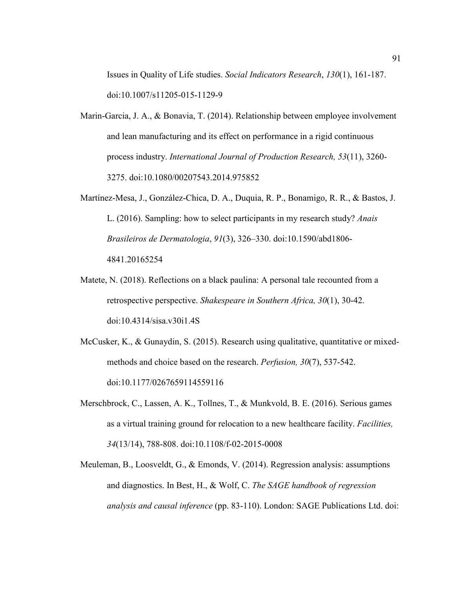Issues in Quality of Life studies. *Social Indicators Research*, *130*(1), 161-187. doi:10.1007/s11205-015-1129-9

- Marin-Garcia, J. A., & Bonavia, T. (2014). Relationship between employee involvement and lean manufacturing and its effect on performance in a rigid continuous process industry. *International Journal of Production Research, 53*(11), 3260- 3275. doi:10.1080/00207543.2014.975852
- Martínez-Mesa, J., González-Chica, D. A., Duquia, R. P., Bonamigo, R. R., & Bastos, J. L. (2016). Sampling: how to select participants in my research study? *Anais Brasileiros de Dermatologia*, *91*(3), 326–330. doi:10.1590/abd1806- 4841.20165254
- Matete, N. (2018). Reflections on a black paulina: A personal tale recounted from a retrospective perspective. *Shakespeare in Southern Africa, 30*(1), 30-42. doi:10.4314/sisa.v30i1.4S
- McCusker, K., & Gunaydin, S. (2015). Research using qualitative, quantitative or mixedmethods and choice based on the research. *Perfusion, 30*(7), 537-542. doi:10.1177/0267659114559116
- Merschbrock, C., Lassen, A. K., Tollnes, T., & Munkvold, B. E. (2016). Serious games as a virtual training ground for relocation to a new healthcare facility. *Facilities, 34*(13/14), 788-808. doi:10.1108/f-02-2015-0008
- Meuleman, B., Loosveldt, G., & Emonds, V. (2014). Regression analysis: assumptions and diagnostics. In Best, H., & Wolf, C. *The SAGE handbook of regression analysis and causal inference* (pp. 83-110). London: SAGE Publications Ltd. doi: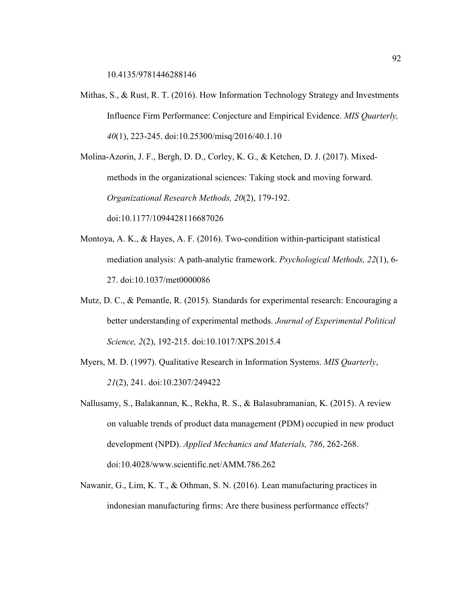10.4135/9781446288146

Mithas, S., & Rust, R. T. (2016). How Information Technology Strategy and Investments Influence Firm Performance: Conjecture and Empirical Evidence. *MIS Quarterly, 40*(1), 223-245. doi:10.25300/misq/2016/40.1.10

Molina-Azorin, J. F., Bergh, D. D., Corley, K. G., & Ketchen, D. J. (2017). Mixedmethods in the organizational sciences: Taking stock and moving forward. *Organizational Research Methods, 20*(2), 179-192.

doi:10.1177/1094428116687026

- Montoya, A. K., & Hayes, A. F. (2016). Two-condition within-participant statistical mediation analysis: A path-analytic framework. *Psychological Methods, 22*(1), 6- 27. doi:10.1037/met0000086
- Mutz, D. C., & Pemantle, R. (2015). Standards for experimental research: Encouraging a better understanding of experimental methods. *Journal of Experimental Political Science, 2*(2), 192-215. doi:10.1017/XPS.2015.4
- Myers, M. D. (1997). Qualitative Research in Information Systems. *MIS Quarterly*, *21*(2), 241. doi:10.2307/249422
- Nallusamy, S., Balakannan, K., Rekha, R. S., & Balasubramanian, K. (2015). A review on valuable trends of product data management (PDM) occupied in new product development (NPD). *Applied Mechanics and Materials, 786*, 262-268. doi:10.4028/www.scientific.net/AMM.786.262
- Nawanir, G., Lim, K. T., & Othman, S. N. (2016). Lean manufacturing practices in indonesian manufacturing firms: Are there business performance effects?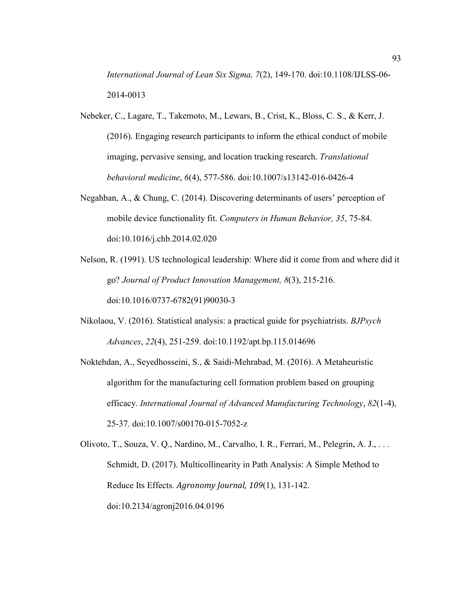*International Journal of Lean Six Sigma, 7*(2), 149-170. doi:10.1108/IJLSS-06- 2014-0013

- Nebeker, C., Lagare, T., Takemoto, M., Lewars, B., Crist, K., Bloss, C. S., & Kerr, J. (2016). Engaging research participants to inform the ethical conduct of mobile imaging, pervasive sensing, and location tracking research. *Translational behavioral medicine*, *6*(4), 577-586. doi:10.1007/s13142-016-0426-4
- Negahban, A., & Chung, C. (2014). Discovering determinants of users' perception of mobile device functionality fit. *Computers in Human Behavior, 35*, 75-84. doi:10.1016/j.chb.2014.02.020
- Nelson, R. (1991). US technological leadership: Where did it come from and where did it go? *Journal of Product Innovation Management, 8*(3), 215-216. doi:10.1016/0737-6782(91)90030-3
- Nikolaou, V. (2016). Statistical analysis: a practical guide for psychiatrists. *BJPsych Advances*, *22*(4), 251-259. doi:10.1192/apt.bp.115.014696
- Noktehdan, A., Seyedhosseini, S., & Saidi-Mehrabad, M. (2016). A Metaheuristic algorithm for the manufacturing cell formation problem based on grouping efficacy. *International Journal of Advanced Manufacturing Technology*, *82*(1-4), 25-37. doi:10.1007/s00170-015-7052-z
- Olivoto, T., Souza, V. Q., Nardino, M., Carvalho, I. R., Ferrari, M., Pelegrin, A. J., . . . Schmidt, D. (2017). Multicollinearity in Path Analysis: A Simple Method to Reduce Its Effects. *Agronomy Journal, 109*(1), 131-142. doi:10.2134/agronj2016.04.0196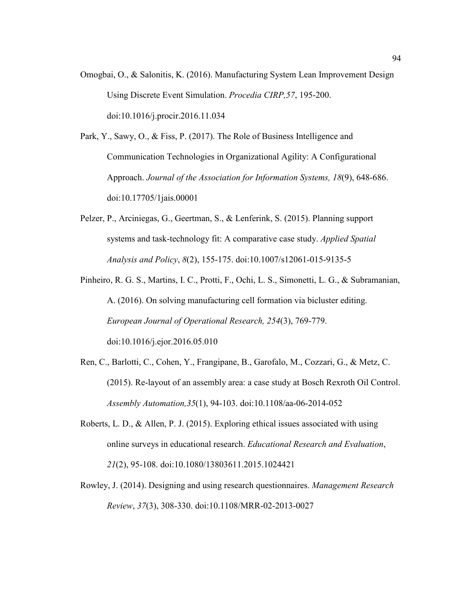Omogbai, O., & Salonitis, K. (2016). Manufacturing System Lean Improvement Design Using Discrete Event Simulation. *Procedia CIRP,57*, 195-200. doi:10.1016/j.procir.2016.11.034

Park, Y., Sawy, O., & Fiss, P. (2017). The Role of Business Intelligence and Communication Technologies in Organizational Agility: A Configurational Approach. *Journal of the Association for Information Systems, 18*(9), 648-686. doi:10.17705/1jais.00001

- Pelzer, P., Arciniegas, G., Geertman, S., & Lenferink, S. (2015). Planning support systems and task-technology fit: A comparative case study. *Applied Spatial Analysis and Policy*, *8*(2), 155-175. doi:10.1007/s12061-015-9135-5
- Pinheiro, R. G. S., Martins, I. C., Protti, F., Ochi, L. S., Simonetti, L. G., & Subramanian, A. (2016). On solving manufacturing cell formation via bicluster editing. *European Journal of Operational Research, 254*(3), 769-779. doi:10.1016/j.ejor.2016.05.010
- Ren, C., Barlotti, C., Cohen, Y., Frangipane, B., Garofalo, M., Cozzari, G., & Metz, C. (2015). Re-layout of an assembly area: a case study at Bosch Rexroth Oil Control. *Assembly Automation,35*(1), 94-103. doi:10.1108/aa-06-2014-052
- Roberts, L. D., & Allen, P. J. (2015). Exploring ethical issues associated with using online surveys in educational research. *Educational Research and Evaluation*, *21*(2), 95-108. doi:10.1080/13803611.2015.1024421
- Rowley, J. (2014). Designing and using research questionnaires. *Management Research Review*, *37*(3), 308-330. doi:10.1108/MRR-02-2013-0027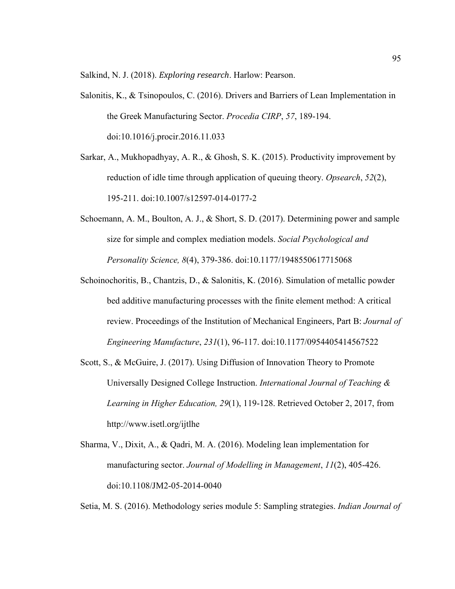Salkind, N. J. (2018). *Exploring research*. Harlow: Pearson.

- Salonitis, K., & Tsinopoulos, C. (2016). Drivers and Barriers of Lean Implementation in the Greek Manufacturing Sector. *Procedia CIRP*, *57*, 189-194. doi:10.1016/j.procir.2016.11.033
- Sarkar, A., Mukhopadhyay, A. R., & Ghosh, S. K. (2015). Productivity improvement by reduction of idle time through application of queuing theory. *Opsearch*, *52*(2), 195-211. doi:10.1007/s12597-014-0177-2
- Schoemann, A. M., Boulton, A. J., & Short, S. D. (2017). Determining power and sample size for simple and complex mediation models. *Social Psychological and Personality Science, 8*(4), 379-386. doi:10.1177/1948550617715068
- Schoinochoritis, B., Chantzis, D., & Salonitis, K. (2016). Simulation of metallic powder bed additive manufacturing processes with the finite element method: A critical review. Proceedings of the Institution of Mechanical Engineers, Part B: *Journal of Engineering Manufacture*, *231*(1), 96-117. doi:10.1177/0954405414567522
- Scott, S., & McGuire, J. (2017). Using Diffusion of Innovation Theory to Promote Universally Designed College Instruction. *International Journal of Teaching & Learning in Higher Education, 29*(1), 119-128. Retrieved October 2, 2017, from http://www.isetl.org/ijtlhe
- Sharma, V., Dixit, A., & Qadri, M. A. (2016). Modeling lean implementation for manufacturing sector. *Journal of Modelling in Management*, *11*(2), 405-426. doi:10.1108/JM2-05-2014-0040

Setia, M. S. (2016). Methodology series module 5: Sampling strategies. *Indian Journal of*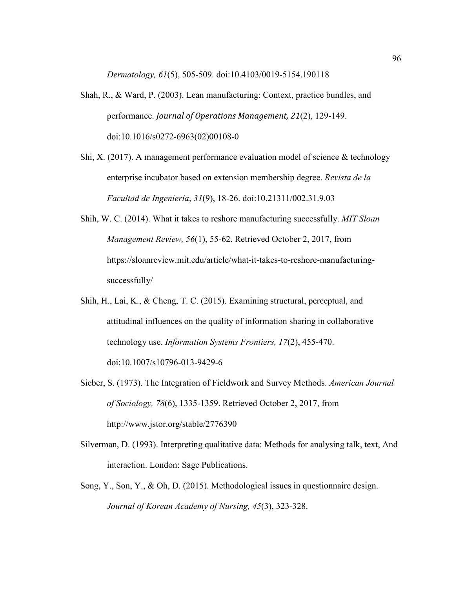*Dermatology, 61*(5), 505-509. doi:10.4103/0019-5154.190118

- Shah, R., & Ward, P. (2003). Lean manufacturing: Context, practice bundles, and performance. *Journal of Operations Management, 21*(2), 129-149. doi:10.1016/s0272-6963(02)00108-0
- Shi, X. (2017). A management performance evaluation model of science  $\&$  technology enterprise incubator based on extension membership degree. *Revista de la Facultad de Ingeniería*, *31*(9), 18-26. doi:10.21311/002.31.9.03
- Shih, W. C. (2014). What it takes to reshore manufacturing successfully. *MIT Sloan Management Review, 56*(1), 55-62. Retrieved October 2, 2017, from https://sloanreview.mit.edu/article/what-it-takes-to-reshore-manufacturingsuccessfully/
- Shih, H., Lai, K., & Cheng, T. C. (2015). Examining structural, perceptual, and attitudinal influences on the quality of information sharing in collaborative technology use. *Information Systems Frontiers, 17*(2), 455-470. doi:10.1007/s10796-013-9429-6
- Sieber, S. (1973). The Integration of Fieldwork and Survey Methods. *American Journal of Sociology, 78*(6), 1335-1359. Retrieved October 2, 2017, from http://www.jstor.org/stable/2776390
- Silverman, D. (1993). Interpreting qualitative data: Methods for analysing talk, text, And interaction. London: Sage Publications.
- Song, Y., Son, Y., & Oh, D. (2015). Methodological issues in questionnaire design. *Journal of Korean Academy of Nursing, 45*(3), 323-328.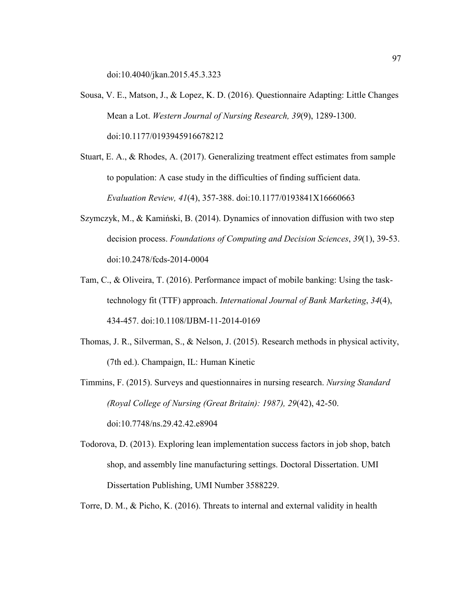doi:10.4040/jkan.2015.45.3.323

- Sousa, V. E., Matson, J., & Lopez, K. D. (2016). Questionnaire Adapting: Little Changes Mean a Lot. *Western Journal of Nursing Research, 39*(9), 1289-1300. doi:10.1177/0193945916678212
- Stuart, E. A., & Rhodes, A. (2017). Generalizing treatment effect estimates from sample to population: A case study in the difficulties of finding sufficient data. *Evaluation Review, 41*(4), 357-388. doi:10.1177/0193841X16660663
- Szymczyk, M., & Kamiński, B. (2014). Dynamics of innovation diffusion with two step decision process. *Foundations of Computing and Decision Sciences*, *39*(1), 39-53. doi:10.2478/fcds-2014-0004
- Tam, C., & Oliveira, T. (2016). Performance impact of mobile banking: Using the tasktechnology fit (TTF) approach. *International Journal of Bank Marketing*, *34*(4), 434-457. doi:10.1108/IJBM-11-2014-0169
- Thomas, J. R., Silverman, S., & Nelson, J. (2015). Research methods in physical activity, (7th ed.). Champaign, IL: Human Kinetic

Timmins, F. (2015). Surveys and questionnaires in nursing research. *Nursing Standard (Royal College of Nursing (Great Britain): 1987), 29*(42), 42-50. doi:10.7748/ns.29.42.42.e8904

Todorova, D. (2013). Exploring lean implementation success factors in job shop, batch shop, and assembly line manufacturing settings. Doctoral Dissertation. UMI Dissertation Publishing, UMI Number 3588229.

Torre, D. M., & Picho, K. (2016). Threats to internal and external validity in health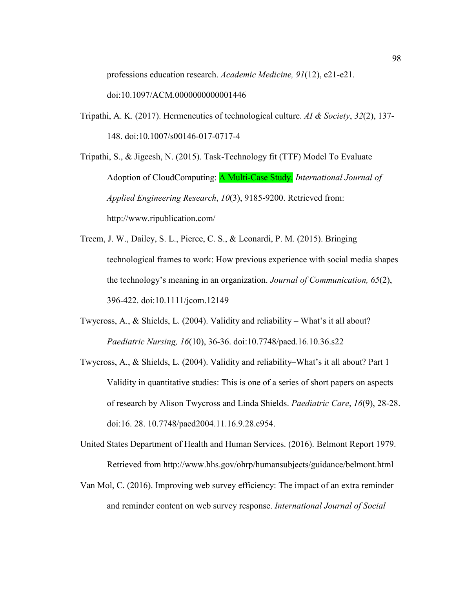professions education research. *Academic Medicine, 91*(12), e21-e21.

doi:10.1097/ACM.0000000000001446

Tripathi, A. K. (2017). Hermeneutics of technological culture. *AI & Society*, *32*(2), 137- 148. doi:10.1007/s00146-017-0717-4

Tripathi, S., & Jigeesh, N. (2015). Task-Technology fit (TTF) Model To Evaluate Adoption of CloudComputing: A Multi-Case Study. *International Journal of Applied Engineering Research*, *10*(3), 9185-9200. Retrieved from: http://www.ripublication.com/

- Treem, J. W., Dailey, S. L., Pierce, C. S., & Leonardi, P. M. (2015). Bringing technological frames to work: How previous experience with social media shapes the technology's meaning in an organization. *Journal of Communication, 65*(2), 396-422. doi:10.1111/jcom.12149
- Twycross, A., & Shields, L. (2004). Validity and reliability What's it all about? *Paediatric Nursing, 16*(10), 36-36. doi:10.7748/paed.16.10.36.s22
- Twycross, A., & Shields, L. (2004). Validity and reliability–What's it all about? Part 1 Validity in quantitative studies: This is one of a series of short papers on aspects of research by Alison Twycross and Linda Shields. *Paediatric Care*, *16*(9), 28-28. doi:16. 28. 10.7748/paed2004.11.16.9.28.c954.
- United States Department of Health and Human Services. (2016). Belmont Report 1979. Retrieved from http://www.hhs.gov/ohrp/humansubjects/guidance/belmont.html
- Van Mol, C. (2016). Improving web survey efficiency: The impact of an extra reminder and reminder content on web survey response. *International Journal of Social*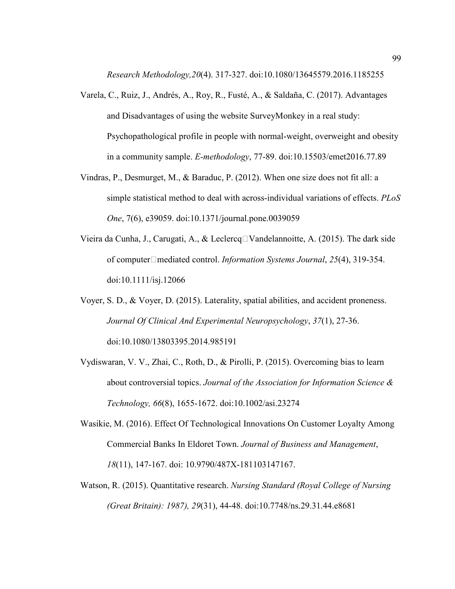*Research Methodology,20*(4). 317-327. doi:10.1080/13645579.2016.1185255

- Varela, C., Ruiz, J., Andrés, A., Roy, R., Fusté, A., & Saldaña, C. (2017). Advantages and Disadvantages of using the website SurveyMonkey in a real study: Psychopathological profile in people with normal-weight, overweight and obesity in a community sample. *E-methodology*, 77-89. doi:10.15503/emet2016.77.89
- Vindras, P., Desmurget, M., & Baraduc, P. (2012). When one size does not fit all: a simple statistical method to deal with across-individual variations of effects. *PLoS One*, 7(6), e39059. doi:10.1371/journal.pone.0039059
- Vieira da Cunha, J., Carugati, A., & Leclercq $\Box$ Vandelannoitte, A. (2015). The dark side of computer□mediated control. *Information Systems Journal*, 25(4), 319-354. doi:10.1111/isj.12066
- Voyer, S. D., & Voyer, D. (2015). Laterality, spatial abilities, and accident proneness. *Journal Of Clinical And Experimental Neuropsychology*, *37*(1), 27-36. doi:10.1080/13803395.2014.985191
- Vydiswaran, V. V., Zhai, C., Roth, D., & Pirolli, P. (2015). Overcoming bias to learn about controversial topics. *Journal of the Association for Information Science & Technology, 66*(8), 1655-1672. doi:10.1002/asi.23274
- Wasikie, M. (2016). Effect Of Technological Innovations On Customer Loyalty Among Commercial Banks In Eldoret Town. *Journal of Business and Management*, *18*(11), 147-167. doi: 10.9790/487X-181103147167.
- Watson, R. (2015). Quantitative research. *Nursing Standard (Royal College of Nursing (Great Britain): 1987), 29*(31), 44-48. doi:10.7748/ns.29.31.44.e8681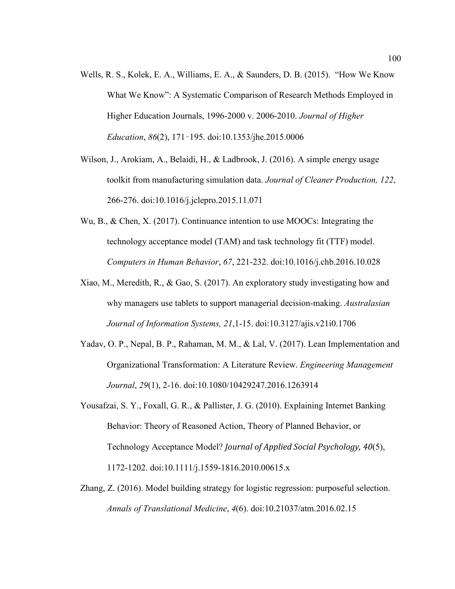- Wells, R. S., Kolek, E. A., Williams, E. A., & Saunders, D. B. (2015). "How We Know What We Know": A Systematic Comparison of Research Methods Employed in Higher Education Journals, 1996-2000 v. 2006-2010. *Journal of Higher Education*, *86*(2), 171–195. doi:10.1353/jhe.2015.0006
- Wilson, J., Arokiam, A., Belaidi, H., & Ladbrook, J. (2016). A simple energy usage toolkit from manufacturing simulation data. *Journal of Cleaner Production, 122*, 266-276. doi:10.1016/j.jclepro.2015.11.071
- Wu, B., & Chen, X. (2017). Continuance intention to use MOOCs: Integrating the technology acceptance model (TAM) and task technology fit (TTF) model. *Computers in Human Behavior*, *67*, 221-232. doi:10.1016/j.chb.2016.10.028
- Xiao, M., Meredith, R., & Gao, S. (2017). An exploratory study investigating how and why managers use tablets to support managerial decision-making. *Australasian Journal of Information Systems, 21*,1-15. doi:10.3127/ajis.v21i0.1706
- Yadav, O. P., Nepal, B. P., Rahaman, M. M., & Lal, V. (2017). Lean Implementation and Organizational Transformation: A Literature Review. *Engineering Management Journal*, *29*(1), 2-16. doi:10.1080/10429247.2016.1263914
- Yousafzai, S. Y., Foxall, G. R., & Pallister, J. G. (2010). Explaining Internet Banking Behavior: Theory of Reasoned Action, Theory of Planned Behavior, or Technology Acceptance Model? *Journal of Applied Social Psychology, 40*(5), 1172-1202. doi:10.1111/j.1559-1816.2010.00615.x
- Zhang, Z. (2016). Model building strategy for logistic regression: purposeful selection. *Annals of Translational Medicine*, *4*(6). doi:10.21037/atm.2016.02.15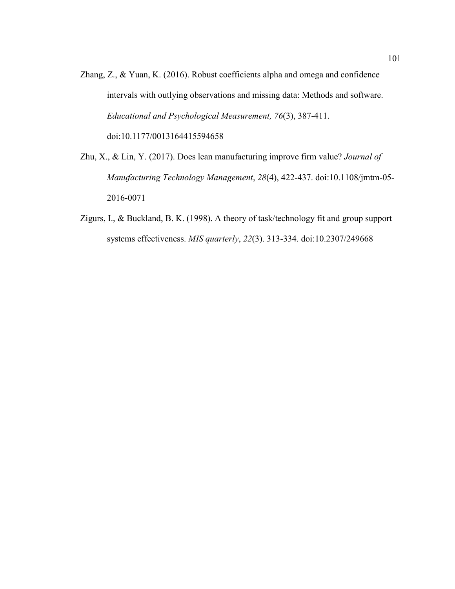- Zhang, Z., & Yuan, K. (2016). Robust coefficients alpha and omega and confidence intervals with outlying observations and missing data: Methods and software. *Educational and Psychological Measurement, 76*(3), 387-411. doi:10.1177/0013164415594658
- Zhu, X., & Lin, Y. (2017). Does lean manufacturing improve firm value? *Journal of Manufacturing Technology Management*, *28*(4), 422-437. doi:10.1108/jmtm-05- 2016-0071
- Zigurs, I., & Buckland, B. K. (1998). A theory of task/technology fit and group support systems effectiveness. *MIS quarterly*, *22*(3). 313-334. doi:10.2307/249668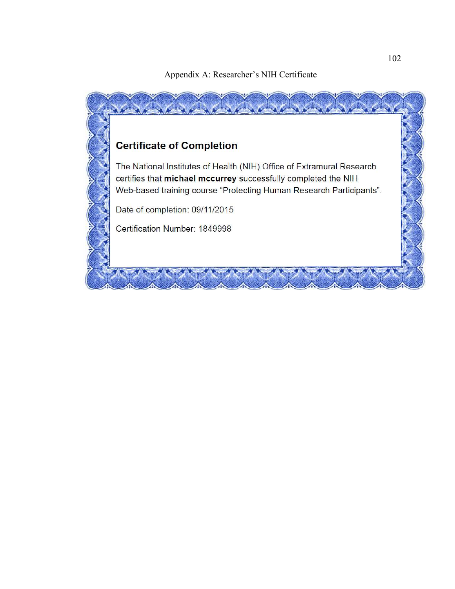Appendix A: Researcher's NIH Certificate

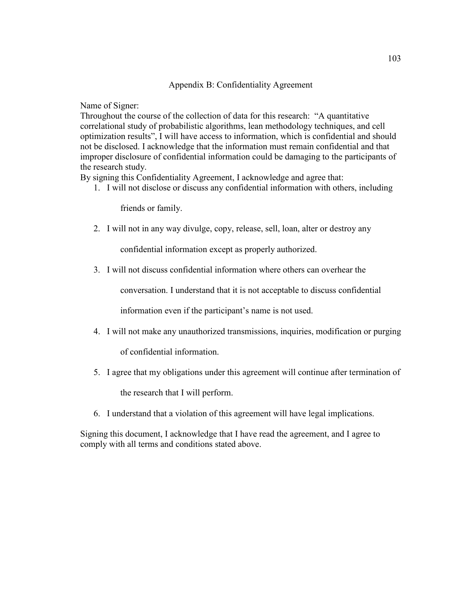## Appendix B: Confidentiality Agreement

Name of Signer:

Throughout the course of the collection of data for this research: "A quantitative correlational study of probabilistic algorithms, lean methodology techniques, and cell optimization results", I will have access to information, which is confidential and should not be disclosed. I acknowledge that the information must remain confidential and that improper disclosure of confidential information could be damaging to the participants of the research study.

By signing this Confidentiality Agreement, I acknowledge and agree that:

1. I will not disclose or discuss any confidential information with others, including

friends or family.

2. I will not in any way divulge, copy, release, sell, loan, alter or destroy any

confidential information except as properly authorized.

3. I will not discuss confidential information where others can overhear the

conversation. I understand that it is not acceptable to discuss confidential

information even if the participant's name is not used.

- 4. I will not make any unauthorized transmissions, inquiries, modification or purging of confidential information.
- 5. I agree that my obligations under this agreement will continue after termination of the research that I will perform.
- 6. I understand that a violation of this agreement will have legal implications.

Signing this document, I acknowledge that I have read the agreement, and I agree to comply with all terms and conditions stated above.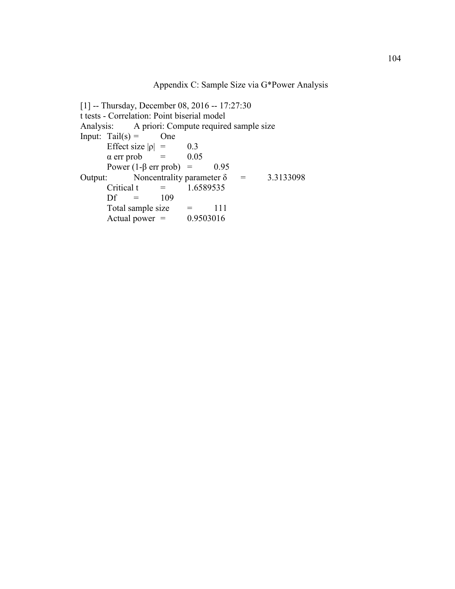Appendix C: Sample Size via G\*Power Analysis

[1] -- Thursday, December 08, 2016 -- 17:27:30 t tests - Correlation: Point biserial model<br>Analysis: A priori: Compute require A priori: Compute required sample size Input: Tail $(s)$  = One Effect size  $|\rho| = 0.3$ <br>  $\alpha$  err prob = 0.05  $\alpha$  err prob  $\alpha$  = Power (1-β err prob) = 0.95<br>Output: Noncentrality parameter  $\delta$ Noncentrality parameter  $\delta$  = 3.3133098 Critical t =  $1.6589535$ <br>Df =  $109$  $=$  109 Total sample size  $=$  111<br>Actual power  $=$  0.9503016 Actual power  $=$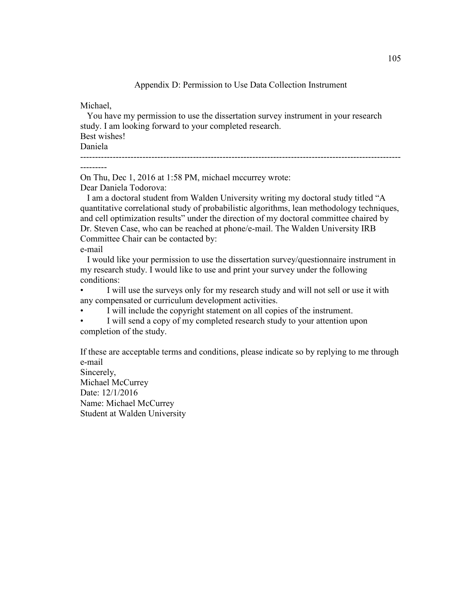Appendix D: Permission to Use Data Collection Instrument

Michael,

 You have my permission to use the dissertation survey instrument in your research study. I am looking forward to your completed research. Best wishes! Daniela ------------------------------------------------------------------------------------------------------------

---------

On Thu, Dec 1, 2016 at 1:58 PM, michael mccurrey wrote:

Dear Daniela Todorova:

 I am a doctoral student from Walden University writing my doctoral study titled "A quantitative correlational study of probabilistic algorithms, lean methodology techniques, and cell optimization results" under the direction of my doctoral committee chaired by Dr. Steven Case, who can be reached at phone/e-mail. The Walden University IRB Committee Chair can be contacted by:

e-mail

 I would like your permission to use the dissertation survey/questionnaire instrument in my research study. I would like to use and print your survey under the following conditions:

I will use the surveys only for my research study and will not sell or use it with any compensated or curriculum development activities.

• I will include the copyright statement on all copies of the instrument.

I will send a copy of my completed research study to your attention upon completion of the study.

If these are acceptable terms and conditions, please indicate so by replying to me through e-mail

Sincerely, Michael McCurrey Date: 12/1/2016 Name: Michael McCurrey Student at Walden University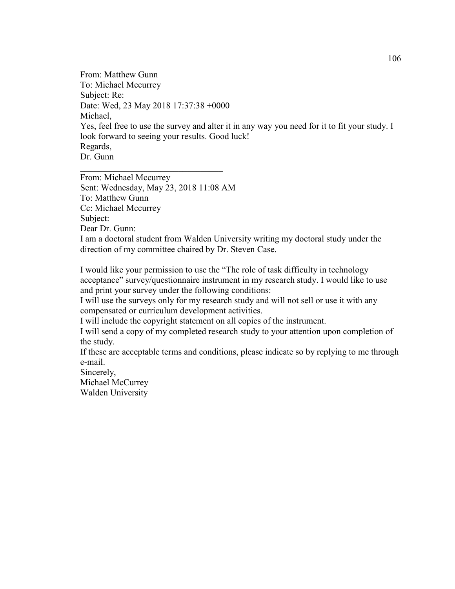From: Matthew Gunn To: Michael Mccurrey Subject: Re: Date: Wed, 23 May 2018 17:37:38 +0000 Michael, Yes, feel free to use the survey and alter it in any way you need for it to fit your study. I look forward to seeing your results. Good luck! Regards, Dr. Gunn

From: Michael Mccurrey Sent: Wednesday, May 23, 2018 11:08 AM To: Matthew Gunn Cc: Michael Mccurrey Subject: Dear Dr. Gunn: I am a doctoral student from Walden University writing my doctoral study under the direction of my committee chaired by Dr. Steven Case.

\_\_\_\_\_\_\_\_\_\_\_\_\_\_\_\_\_\_\_\_\_\_\_\_\_\_\_\_\_\_\_\_

I would like your permission to use the "The role of task difficulty in technology acceptance" survey/questionnaire instrument in my research study. I would like to use and print your survey under the following conditions:

I will use the surveys only for my research study and will not sell or use it with any compensated or curriculum development activities.

I will include the copyright statement on all copies of the instrument.

I will send a copy of my completed research study to your attention upon completion of the study.

If these are acceptable terms and conditions, please indicate so by replying to me through e-mail.

Sincerely, Michael McCurrey Walden University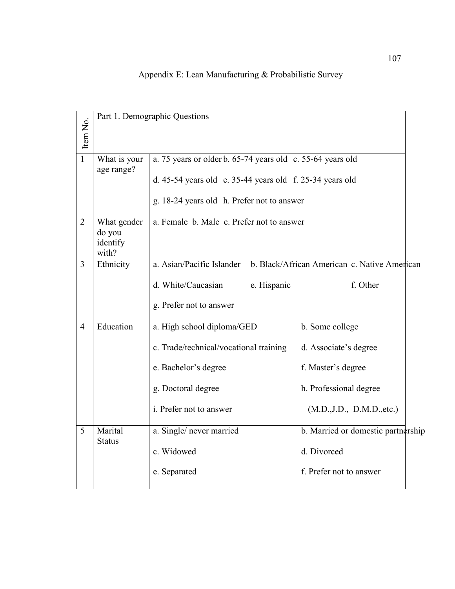| Item No.       |                                            | Part 1. Demographic Questions                                                                                                                                          |                                                                                                                        |  |  |  |  |
|----------------|--------------------------------------------|------------------------------------------------------------------------------------------------------------------------------------------------------------------------|------------------------------------------------------------------------------------------------------------------------|--|--|--|--|
| 1              | What is your<br>age range?                 | a. 75 years or older b. 65-74 years old c. 55-64 years old<br>d. 45-54 years old e. 35-44 years old f. $25-34$ years old<br>g. 18-24 years old h. Prefer not to answer |                                                                                                                        |  |  |  |  |
| $\overline{2}$ | What gender<br>do you<br>identify<br>with? | a. Female b. Male c. Prefer not to answer                                                                                                                              |                                                                                                                        |  |  |  |  |
| 3              | Ethnicity                                  | a. Asian/Pacific Islander b. Black/African American c. Native American<br>d. White/Caucasian<br>e. Hispanic<br>g. Prefer not to answer                                 | f. Other                                                                                                               |  |  |  |  |
| $\overline{4}$ | Education                                  | a. High school diploma/GED<br>c. Trade/technical/vocational training<br>e. Bachelor's degree<br>g. Doctoral degree<br>i. Prefer not to answer                          | b. Some college<br>d. Associate's degree<br>f. Master's degree<br>h. Professional degree<br>(M.D., J.D., D.M.D., etc.) |  |  |  |  |
| 5              | Marital<br><b>Status</b>                   | a. Single/ never married<br>c. Widowed<br>e. Separated                                                                                                                 | b. Married or domestic partnership<br>d. Divorced<br>f. Prefer not to answer                                           |  |  |  |  |

# Appendix E: Lean Manufacturing & Probabilistic Survey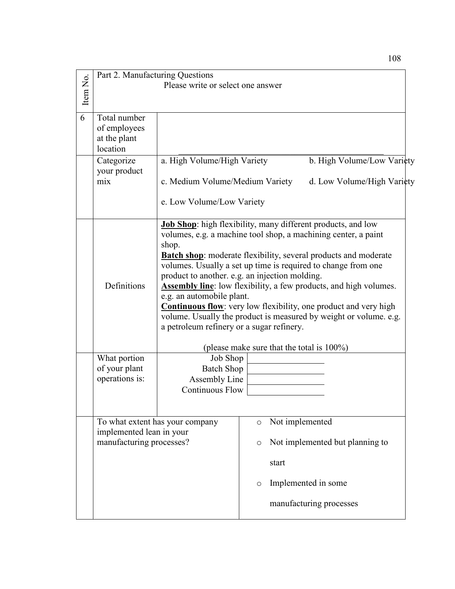| Item No. | Part 2. Manufacturing Questions<br>Please write or select one answer |                                                                                                                                                                                                          |         |                 |                                                                                                                                                                                                                                                                                                                                                                                                                                                                                          |  |
|----------|----------------------------------------------------------------------|----------------------------------------------------------------------------------------------------------------------------------------------------------------------------------------------------------|---------|-----------------|------------------------------------------------------------------------------------------------------------------------------------------------------------------------------------------------------------------------------------------------------------------------------------------------------------------------------------------------------------------------------------------------------------------------------------------------------------------------------------------|--|
| 6        | Total number<br>of employees<br>at the plant<br>location             |                                                                                                                                                                                                          |         |                 |                                                                                                                                                                                                                                                                                                                                                                                                                                                                                          |  |
|          | Categorize<br>your product<br>mix                                    | a. High Volume/High Variety<br>c. Medium Volume/Medium Variety                                                                                                                                           |         |                 | b. High Volume/Low Variety<br>d. Low Volume/High Variety                                                                                                                                                                                                                                                                                                                                                                                                                                 |  |
|          |                                                                      | e. Low Volume/Low Variety                                                                                                                                                                                |         |                 |                                                                                                                                                                                                                                                                                                                                                                                                                                                                                          |  |
|          | Definitions                                                          | <b>Job Shop:</b> high flexibility, many different products, and low<br>shop.<br>product to another. e.g. an injection molding.<br>e.g. an automobile plant.<br>a petroleum refinery or a sugar refinery. |         |                 | volumes, e.g. a machine tool shop, a machining center, a paint<br><b>Batch shop</b> : moderate flexibility, several products and moderate<br>volumes. Usually a set up time is required to change from one<br><b>Assembly line:</b> low flexibility, a few products, and high volumes.<br><b>Continuous flow</b> : very low flexibility, one product and very high<br>volume. Usually the product is measured by weight or volume. e.g.<br>(please make sure that the total is $100\%$ ) |  |
|          | What portion                                                         | Job Shop                                                                                                                                                                                                 |         |                 |                                                                                                                                                                                                                                                                                                                                                                                                                                                                                          |  |
|          | of your plant                                                        | <b>Batch Shop</b>                                                                                                                                                                                        |         |                 |                                                                                                                                                                                                                                                                                                                                                                                                                                                                                          |  |
|          | operations is:                                                       | Assembly Line                                                                                                                                                                                            |         |                 |                                                                                                                                                                                                                                                                                                                                                                                                                                                                                          |  |
|          |                                                                      | <b>Continuous Flow</b>                                                                                                                                                                                   |         |                 |                                                                                                                                                                                                                                                                                                                                                                                                                                                                                          |  |
|          |                                                                      | To what extent has your company                                                                                                                                                                          | $\circ$ | Not implemented |                                                                                                                                                                                                                                                                                                                                                                                                                                                                                          |  |
|          | implemented lean in your<br>manufacturing processes?                 |                                                                                                                                                                                                          | O       |                 | Not implemented but planning to                                                                                                                                                                                                                                                                                                                                                                                                                                                          |  |
|          |                                                                      |                                                                                                                                                                                                          |         | start           |                                                                                                                                                                                                                                                                                                                                                                                                                                                                                          |  |
|          |                                                                      |                                                                                                                                                                                                          | O       |                 | Implemented in some                                                                                                                                                                                                                                                                                                                                                                                                                                                                      |  |
|          |                                                                      |                                                                                                                                                                                                          |         |                 | manufacturing processes                                                                                                                                                                                                                                                                                                                                                                                                                                                                  |  |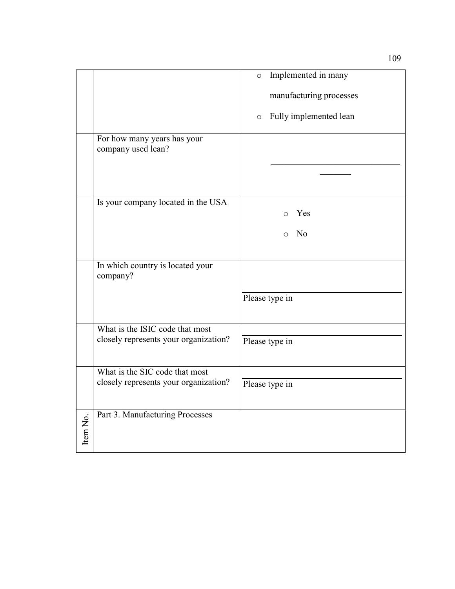|          |                                                   | Implemented in many<br>$\circ$    |
|----------|---------------------------------------------------|-----------------------------------|
|          |                                                   | manufacturing processes           |
|          |                                                   | Fully implemented lean<br>$\circ$ |
|          | For how many years has your<br>company used lean? |                                   |
|          |                                                   |                                   |
|          |                                                   |                                   |
|          | Is your company located in the USA                | Yes<br>$\Omega$                   |
|          |                                                   | No<br>$\Omega$                    |
|          |                                                   |                                   |
|          | In which country is located your<br>company?      |                                   |
|          |                                                   | Please type in                    |
|          | What is the ISIC code that most                   |                                   |
|          | closely represents your organization?             | Please type in                    |
|          | What is the SIC code that most                    |                                   |
|          | closely represents your organization?             | Please type in                    |
|          |                                                   |                                   |
|          | Part 3. Manufacturing Processes                   |                                   |
| Item No. |                                                   |                                   |
|          |                                                   |                                   |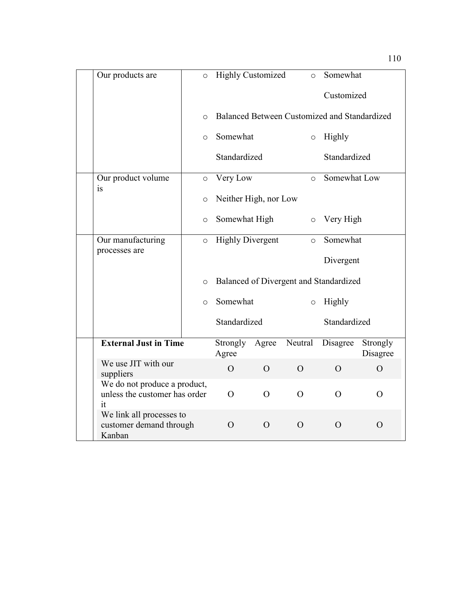| Our products are                                                    | $\circ$  | <b>Highly Customized</b> |                | $\circ$  | Somewhat                                     |                      |
|---------------------------------------------------------------------|----------|--------------------------|----------------|----------|----------------------------------------------|----------------------|
|                                                                     |          |                          |                |          | Customized                                   |                      |
|                                                                     | $\Omega$ |                          |                |          | Balanced Between Customized and Standardized |                      |
|                                                                     | $\circ$  | Somewhat                 |                | $\circ$  | Highly                                       |                      |
|                                                                     |          | Standardized             |                |          | Standardized                                 |                      |
| Our product volume<br>is                                            | $\circ$  | Very Low                 |                | $\circ$  | Somewhat Low                                 |                      |
|                                                                     | $\circ$  | Neither High, nor Low    |                |          |                                              |                      |
|                                                                     | $\circ$  | Somewhat High            |                | $\circ$  | Very High                                    |                      |
| Our manufacturing<br>processes are                                  | $\circ$  | <b>Highly Divergent</b>  |                | $\circ$  | Somewhat                                     |                      |
|                                                                     |          |                          |                |          | Divergent                                    |                      |
|                                                                     | $\circ$  |                          |                |          | Balanced of Divergent and Standardized       |                      |
|                                                                     | $\Omega$ | Somewhat                 |                | $\circ$  | Highly                                       |                      |
|                                                                     |          | Standardized             |                |          | Standardized                                 |                      |
| <b>External Just in Time</b>                                        |          | Strongly<br>Agree        | Agree          | Neutral  | Disagree                                     | Strongly<br>Disagree |
| We use JIT with our<br>suppliers                                    |          | $\Omega$                 | $\overline{O}$ | $\Omega$ | $\Omega$                                     | $\Omega$             |
| We do not produce a product,<br>unless the customer has order<br>it |          | $\Omega$                 | $\Omega$       | $\Omega$ | $\Omega$                                     | $\Omega$             |
| We link all processes to<br>customer demand through<br>Kanban       |          | $\Omega$                 | $\Omega$       | $\Omega$ | $\Omega$                                     | $\Omega$             |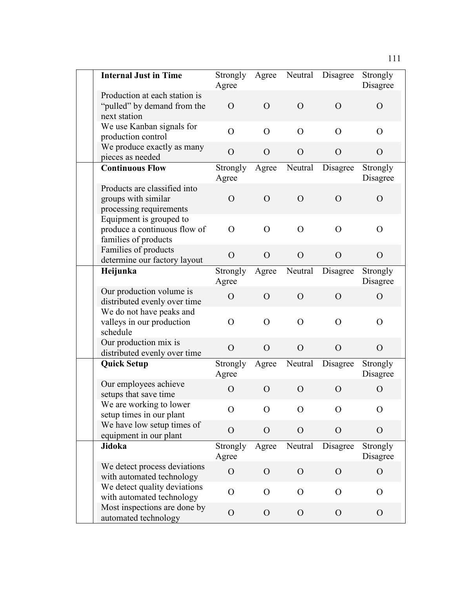| <b>Internal Just in Time</b>                                                    | Strongly<br>Agree | Agree          | Neutral        | Disagree       | Strongly<br>Disagree |
|---------------------------------------------------------------------------------|-------------------|----------------|----------------|----------------|----------------------|
| Production at each station is<br>"pulled" by demand from the<br>next station    | $\Omega$          | $\Omega$       | $\overline{O}$ | $\Omega$       | $\Omega$             |
| We use Kanban signals for<br>production control                                 | $\Omega$          | $\Omega$       | $\Omega$       | $\Omega$       | $\Omega$             |
| We produce exactly as many<br>pieces as needed                                  | $\Omega$          | $\Omega$       | $\Omega$       | $\Omega$       | $\Omega$             |
| <b>Continuous Flow</b>                                                          | Strongly<br>Agree | Agree          | Neutral        | Disagree       | Strongly<br>Disagree |
| Products are classified into<br>groups with similar<br>processing requirements  | $\overline{O}$    | $\Omega$       | $\Omega$       | $\overline{O}$ | $\overline{O}$       |
| Equipment is grouped to<br>produce a continuous flow of<br>families of products | $\Omega$          | $\Omega$       | $\Omega$       | $\overline{O}$ | $\overline{O}$       |
| Families of products<br>determine our factory layout                            | $\Omega$          | $\Omega$       | $\Omega$       | $\Omega$       | $\overline{O}$       |
| Heijunka                                                                        | Strongly<br>Agree | Agree          | Neutral        | Disagree       | Strongly<br>Disagree |
| Our production volume is<br>distributed evenly over time                        | $\Omega$          | $\Omega$       | $\Omega$       | $\Omega$       | $\Omega$             |
| We do not have peaks and<br>valleys in our production<br>schedule               | $\overline{O}$    | $\Omega$       | $\Omega$       | $\overline{O}$ | $\overline{O}$       |
| Our production mix is<br>distributed evenly over time                           | $\Omega$          | $\Omega$       | $\overline{O}$ | $\overline{O}$ | $\Omega$             |
| <b>Quick Setup</b>                                                              | Strongly<br>Agree | Agree          | Neutral        | Disagree       | Strongly<br>Disagree |
| Our employees achieve<br>setups that save time                                  | $\overline{O}$    | $\Omega$       | $\Omega$       | $\overline{O}$ | $\overline{O}$       |
| We are working to lower<br>setup times in our plant                             | $\overline{O}$    | $\Omega$       | $\overline{O}$ | $\mathcal{O}$  | $\mathcal{O}$        |
| We have low setup times of<br>equipment in our plant                            | $\Omega$          | $\overline{O}$ | $\overline{O}$ | $\Omega$       | $\overline{O}$       |
| Jidoka                                                                          | Strongly<br>Agree | Agree          | Neutral        | Disagree       | Strongly<br>Disagree |
| We detect process deviations<br>with automated technology                       | $\Omega$          | $\mathcal{O}$  | $\overline{O}$ | $\overline{O}$ | $\overline{O}$       |
| We detect quality deviations<br>with automated technology                       | $\Omega$          | $\Omega$       | $\overline{O}$ | $\Omega$       | $\overline{O}$       |
| Most inspections are done by<br>automated technology                            | $\Omega$          | $\mathbf{O}$   | $\mathbf{O}$   | $\mathcal{O}$  | $\mathbf{O}$         |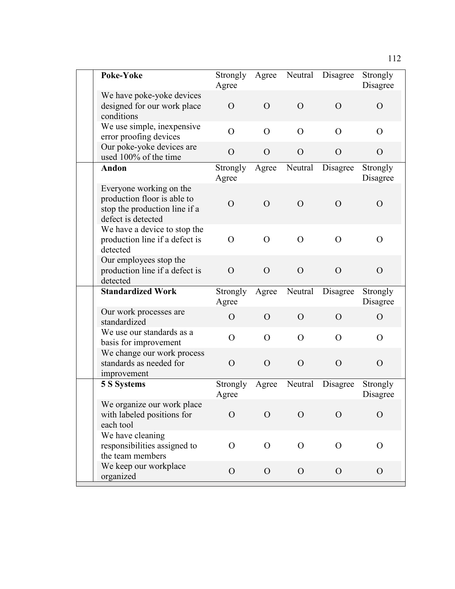| Poke-Yoke                                                                                                     | Strongly<br>Agree | Agree          | Neutral        | Disagree       | Strongly<br>Disagree |
|---------------------------------------------------------------------------------------------------------------|-------------------|----------------|----------------|----------------|----------------------|
| We have poke-yoke devices<br>designed for our work place<br>conditions                                        | $\Omega$          | $\Omega$       | $\Omega$       | $\Omega$       | $\Omega$             |
| We use simple, inexpensive<br>error proofing devices                                                          | $\Omega$          | $\Omega$       | $\Omega$       | $\Omega$       | $\Omega$             |
| Our poke-yoke devices are<br>used 100% of the time                                                            | $\overline{O}$    | $\Omega$       | $\Omega$       | $\Omega$       | $\overline{O}$       |
| Andon                                                                                                         | Strongly<br>Agree | Agree          | Neutral        | Disagree       | Strongly<br>Disagree |
| Everyone working on the<br>production floor is able to<br>stop the production line if a<br>defect is detected | $\overline{O}$    | $\Omega$       | $\Omega$       | $\Omega$       | $\Omega$             |
| We have a device to stop the<br>production line if a defect is<br>detected                                    | $\Omega$          | $\Omega$       | $\Omega$       | $\Omega$       | $\Omega$             |
| Our employees stop the<br>production line if a defect is<br>detected                                          | $\Omega$          | $\Omega$       | $\Omega$       | $\Omega$       | $\Omega$             |
| <b>Standardized Work</b>                                                                                      | Strongly<br>Agree | Agree          | Neutral        | Disagree       | Strongly<br>Disagree |
| Our work processes are<br>standardized                                                                        | $\overline{O}$    | $\Omega$       | $\Omega$       | $\Omega$       | $\overline{O}$       |
| We use our standards as a<br>basis for improvement                                                            | $\Omega$          | $\Omega$       | $\Omega$       | $\Omega$       | $\Omega$             |
| We change our work process<br>standards as needed for<br>improvement                                          | $\Omega$          | $\Omega$       | $\Omega$       | $\Omega$       | $\Omega$             |
| <b>5 S Systems</b>                                                                                            | Strongly<br>Agree | Agree          | Neutral        | Disagree       | Strongly<br>Disagree |
| We organize our work place<br>with labeled positions for<br>each tool                                         | $\Omega$          | $\Omega$       | $\Omega$       | $\Omega$       | $\Omega$             |
| We have cleaning<br>responsibilities assigned to<br>the team members                                          | O                 | $\overline{O}$ | $\overline{O}$ | $\overline{O}$ | $\overline{O}$       |
| We keep our workplace<br>organized                                                                            | $\overline{O}$    | $\mathbf{O}$   | $\Omega$       | $\mathbf{O}$   | $\overline{O}$       |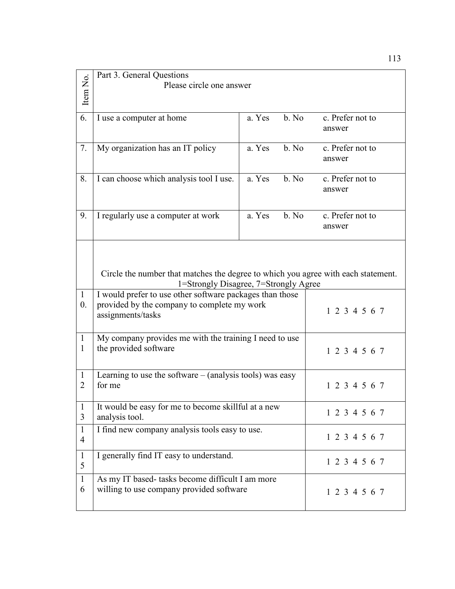|                  | Part 3. General Questions                                                                                                  |                                                          |       |                  |  |  |  |
|------------------|----------------------------------------------------------------------------------------------------------------------------|----------------------------------------------------------|-------|------------------|--|--|--|
| Item No.         |                                                                                                                            | Please circle one answer                                 |       |                  |  |  |  |
|                  |                                                                                                                            |                                                          |       |                  |  |  |  |
|                  |                                                                                                                            |                                                          |       |                  |  |  |  |
| 6.               | I use a computer at home                                                                                                   | a. Yes                                                   | b. No | c. Prefer not to |  |  |  |
|                  |                                                                                                                            |                                                          |       | answer           |  |  |  |
|                  |                                                                                                                            |                                                          |       |                  |  |  |  |
| 7.               | My organization has an IT policy                                                                                           | a. Yes                                                   | b. No | c. Prefer not to |  |  |  |
|                  |                                                                                                                            |                                                          |       | answer           |  |  |  |
|                  |                                                                                                                            |                                                          |       |                  |  |  |  |
| 8.               | I can choose which analysis tool I use.                                                                                    | a. Yes                                                   | b. No | c. Prefer not to |  |  |  |
|                  |                                                                                                                            |                                                          |       | answer           |  |  |  |
|                  |                                                                                                                            |                                                          |       |                  |  |  |  |
|                  |                                                                                                                            |                                                          |       |                  |  |  |  |
| 9.               | I regularly use a computer at work                                                                                         | a. Yes                                                   | b. No | c. Prefer not to |  |  |  |
|                  |                                                                                                                            |                                                          |       | answer           |  |  |  |
|                  |                                                                                                                            |                                                          |       |                  |  |  |  |
|                  |                                                                                                                            |                                                          |       |                  |  |  |  |
|                  |                                                                                                                            |                                                          |       |                  |  |  |  |
|                  |                                                                                                                            |                                                          |       |                  |  |  |  |
|                  | Circle the number that matches the degree to which you agree with each statement.<br>1=Strongly Disagree, 7=Strongly Agree |                                                          |       |                  |  |  |  |
|                  |                                                                                                                            |                                                          |       |                  |  |  |  |
| $\mathbf{1}$     |                                                                                                                            | I would prefer to use other software packages than those |       |                  |  |  |  |
| $\overline{0}$ . | provided by the company to complete my work                                                                                |                                                          |       | 1 2 3 4 5 6 7    |  |  |  |
|                  | assignments/tasks                                                                                                          |                                                          |       |                  |  |  |  |
|                  |                                                                                                                            |                                                          |       |                  |  |  |  |
| $\mathbf{1}$     | My company provides me with the training I need to use                                                                     |                                                          |       |                  |  |  |  |
| 1                | the provided software                                                                                                      |                                                          |       | 1 2 3 4 5 6 7    |  |  |  |
|                  |                                                                                                                            |                                                          |       |                  |  |  |  |
|                  |                                                                                                                            |                                                          |       |                  |  |  |  |
| 1                | Learning to use the software $-$ (analysis tools) was easy                                                                 |                                                          |       |                  |  |  |  |
| 2                | for me                                                                                                                     |                                                          |       | 1 2 3 4 5 6 7    |  |  |  |
|                  |                                                                                                                            |                                                          |       |                  |  |  |  |
| $\mathbf{I}$     | It would be easy for me to become skillful at a new                                                                        |                                                          |       | 1 2 3 4 5 6 7    |  |  |  |
| 3                | analysis tool.                                                                                                             |                                                          |       |                  |  |  |  |
| $\mathbf{1}$     | I find new company analysis tools easy to use.                                                                             |                                                          |       |                  |  |  |  |
| $\overline{4}$   |                                                                                                                            |                                                          |       | 1 2 3 4 5 6 7    |  |  |  |
|                  |                                                                                                                            |                                                          |       |                  |  |  |  |
| $\mathbf{1}$     | I generally find IT easy to understand.                                                                                    |                                                          |       | 1 2 3 4 5 6 7    |  |  |  |
| 5                |                                                                                                                            |                                                          |       |                  |  |  |  |
| $\mathbf{1}$     | As my IT based- tasks become difficult I am more                                                                           |                                                          |       |                  |  |  |  |
| 6                | willing to use company provided software                                                                                   |                                                          |       | 1 2 3 4 5 6 7    |  |  |  |
|                  |                                                                                                                            |                                                          |       |                  |  |  |  |
|                  |                                                                                                                            |                                                          |       |                  |  |  |  |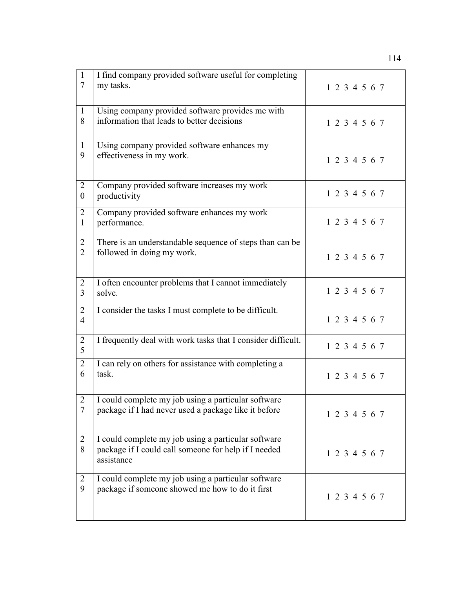| $\mathbf{1}$<br>$7\phantom{.0}$  | I find company provided software useful for completing<br>my tasks.                                                       | 1 2 3 4 5 6 7 |
|----------------------------------|---------------------------------------------------------------------------------------------------------------------------|---------------|
| $\mathbf{1}$<br>8                | Using company provided software provides me with<br>information that leads to better decisions                            | 1 2 3 4 5 6 7 |
| $\mathbf{1}$<br>9                | Using company provided software enhances my<br>effectiveness in my work.                                                  | 1 2 3 4 5 6 7 |
| 2<br>$\boldsymbol{0}$            | Company provided software increases my work<br>productivity                                                               | 1 2 3 4 5 6 7 |
| 2<br>$\mathbf{1}$                | Company provided software enhances my work<br>performance.                                                                | 1 2 3 4 5 6 7 |
| 2<br>$\overline{2}$              | There is an understandable sequence of steps than can be<br>followed in doing my work.                                    | 1 2 3 4 5 6 7 |
| 2<br>3                           | I often encounter problems that I cannot immediately<br>solve.                                                            | 1 2 3 4 5 6 7 |
| $\overline{2}$<br>$\overline{4}$ | I consider the tasks I must complete to be difficult.                                                                     | 1 2 3 4 5 6 7 |
| $\overline{2}$<br>5              | I frequently deal with work tasks that I consider difficult.                                                              | 1 2 3 4 5 6 7 |
| $\overline{2}$<br>6              | I can rely on others for assistance with completing a<br>task.                                                            | 1 2 3 4 5 6 7 |
| $\overline{2}$<br>$\overline{7}$ | I could complete my job using a particular software<br>package if I had never used a package like it before               | 1 2 3 4 5 6 7 |
| 2<br>8                           | I could complete my job using a particular software<br>package if I could call someone for help if I needed<br>assistance | 1 2 3 4 5 6 7 |
| 2<br>9                           | I could complete my job using a particular software<br>package if someone showed me how to do it first                    | 1 2 3 4 5 6 7 |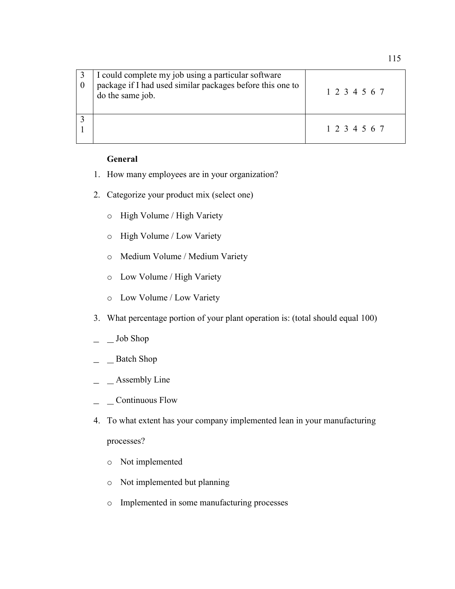| I could complete my job using a particular software<br>package if I had used similar packages before this one to<br>do the same job. | 1 2 3 4 5 6 7 |
|--------------------------------------------------------------------------------------------------------------------------------------|---------------|
|                                                                                                                                      | 1 2 3 4 5 6 7 |

#### **General**

- 1. How many employees are in your organization?
- 2. Categorize your product mix (select one)
	- o High Volume / High Variety
	- o High Volume / Low Variety
	- o Medium Volume / Medium Variety
	- o Low Volume / High Variety
	- o Low Volume / Low Variety
- 3. What percentage portion of your plant operation is: (total should equal 100)
- \_ Job Shop
- \_ Batch Shop
- $\angle$  Assembly Line
- \_ Continuous Flow
- 4. To what extent has your company implemented lean in your manufacturing processes?
	- o Not implemented
	- o Not implemented but planning
	- o Implemented in some manufacturing processes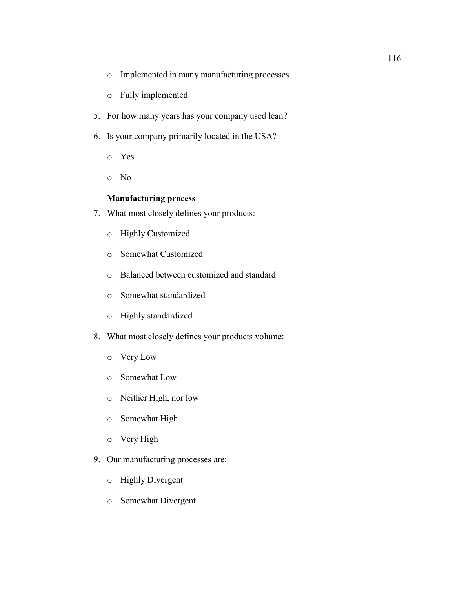- o Implemented in many manufacturing processes
- o Fully implemented
- 5. For how many years has your company used lean?
- 6. Is your company primarily located in the USA?
	- o Yes
	- o No

## **Manufacturing process**

- 7. What most closely defines your products:
	- o Highly Customized
	- o Somewhat Customized
	- o Balanced between customized and standard
	- o Somewhat standardized
	- o Highly standardized
- 8. What most closely defines your products volume:
	- o Very Low
	- o Somewhat Low
	- o Neither High, nor low
	- o Somewhat High
	- o Very High
- 9. Our manufacturing processes are:
	- o Highly Divergent
	- o Somewhat Divergent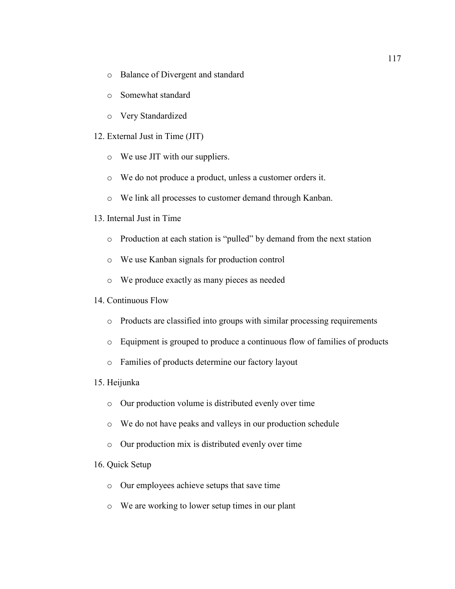- o Balance of Divergent and standard
- o Somewhat standard
- o Very Standardized
- 12. External Just in Time (JIT)
	- o We use JIT with our suppliers.
	- o We do not produce a product, unless a customer orders it.
	- o We link all processes to customer demand through Kanban.
- 13. Internal Just in Time
	- o Production at each station is "pulled" by demand from the next station
	- o We use Kanban signals for production control
	- o We produce exactly as many pieces as needed
- 14. Continuous Flow
	- o Products are classified into groups with similar processing requirements
	- o Equipment is grouped to produce a continuous flow of families of products
	- o Families of products determine our factory layout
- 15. Heijunka
	- o Our production volume is distributed evenly over time
	- o We do not have peaks and valleys in our production schedule
	- o Our production mix is distributed evenly over time

## 16. Quick Setup

- o Our employees achieve setups that save time
- o We are working to lower setup times in our plant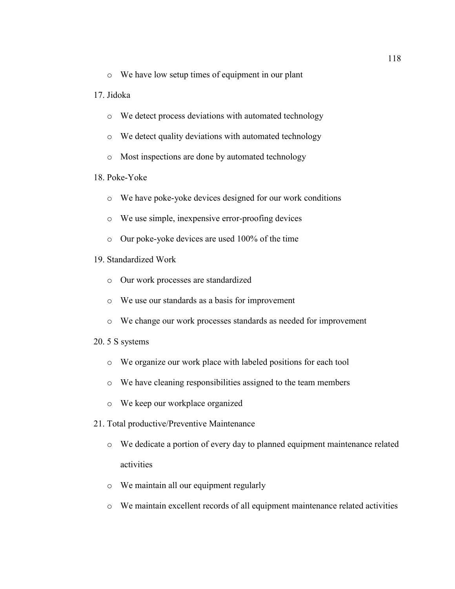o We have low setup times of equipment in our plant

#### 17. Jidoka

- o We detect process deviations with automated technology
- o We detect quality deviations with automated technology
- o Most inspections are done by automated technology

#### 18. Poke-Yoke

- o We have poke-yoke devices designed for our work conditions
- o We use simple, inexpensive error-proofing devices
- o Our poke-yoke devices are used 100% of the time
- 19. Standardized Work
	- o Our work processes are standardized
	- o We use our standards as a basis for improvement
	- o We change our work processes standards as needed for improvement

#### 20. 5 S systems

- o We organize our work place with labeled positions for each tool
- o We have cleaning responsibilities assigned to the team members
- o We keep our workplace organized
- 21. Total productive/Preventive Maintenance
	- o We dedicate a portion of every day to planned equipment maintenance related activities
	- o We maintain all our equipment regularly
	- o We maintain excellent records of all equipment maintenance related activities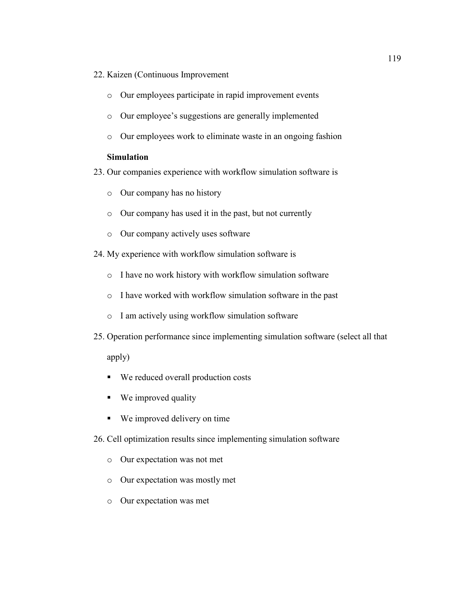- 22. Kaizen (Continuous Improvement
	- o Our employees participate in rapid improvement events
	- o Our employee's suggestions are generally implemented
	- o Our employees work to eliminate waste in an ongoing fashion

#### **Simulation**

- 23. Our companies experience with workflow simulation software is
	- o Our company has no history
	- o Our company has used it in the past, but not currently
	- o Our company actively uses software
- 24. My experience with workflow simulation software is
	- o I have no work history with workflow simulation software
	- o I have worked with workflow simulation software in the past
	- o I am actively using workflow simulation software
- 25. Operation performance since implementing simulation software (select all that

apply)

- We reduced overall production costs
- We improved quality
- We improved delivery on time
- 26. Cell optimization results since implementing simulation software
	- o Our expectation was not met
	- o Our expectation was mostly met
	- o Our expectation was met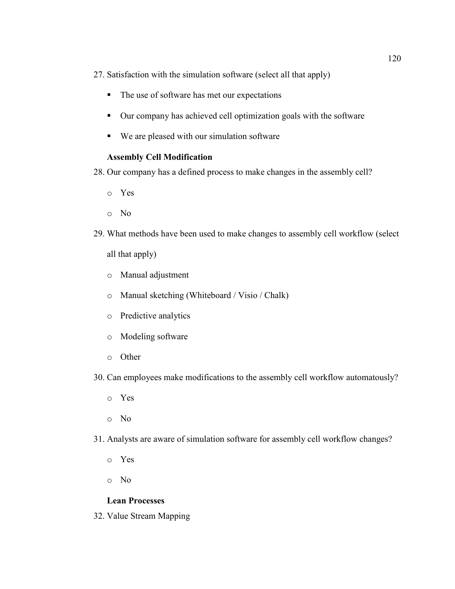27. Satisfaction with the simulation software (select all that apply)

- The use of software has met our expectations
- Our company has achieved cell optimization goals with the software
- We are pleased with our simulation software

# **Assembly Cell Modification**

- 28. Our company has a defined process to make changes in the assembly cell?
	- o Yes
	- o No
- 29. What methods have been used to make changes to assembly cell workflow (select all that apply)
	- o Manual adjustment
	- o Manual sketching (Whiteboard / Visio / Chalk)
	- o Predictive analytics
	- o Modeling software
	- o Other
- 30. Can employees make modifications to the assembly cell workflow automatously?
	- o Yes
	- o No
- 31. Analysts are aware of simulation software for assembly cell workflow changes?
	- o Yes
	- o No

# **Lean Processes**

32. Value Stream Mapping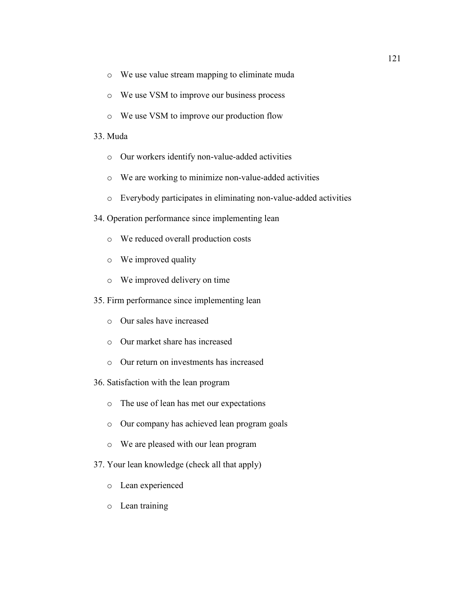- o We use value stream mapping to eliminate muda
- o We use VSM to improve our business process
- o We use VSM to improve our production flow

#### 33. Muda

- o Our workers identify non-value-added activities
- o We are working to minimize non-value-added activities
- o Everybody participates in eliminating non-value-added activities
- 34. Operation performance since implementing lean
	- o We reduced overall production costs
	- o We improved quality
	- o We improved delivery on time
- 35. Firm performance since implementing lean
	- o Our sales have increased
	- o Our market share has increased
	- o Our return on investments has increased
- 36. Satisfaction with the lean program
	- o The use of lean has met our expectations
	- o Our company has achieved lean program goals
	- o We are pleased with our lean program
- 37. Your lean knowledge (check all that apply)
	- o Lean experienced
	- o Lean training